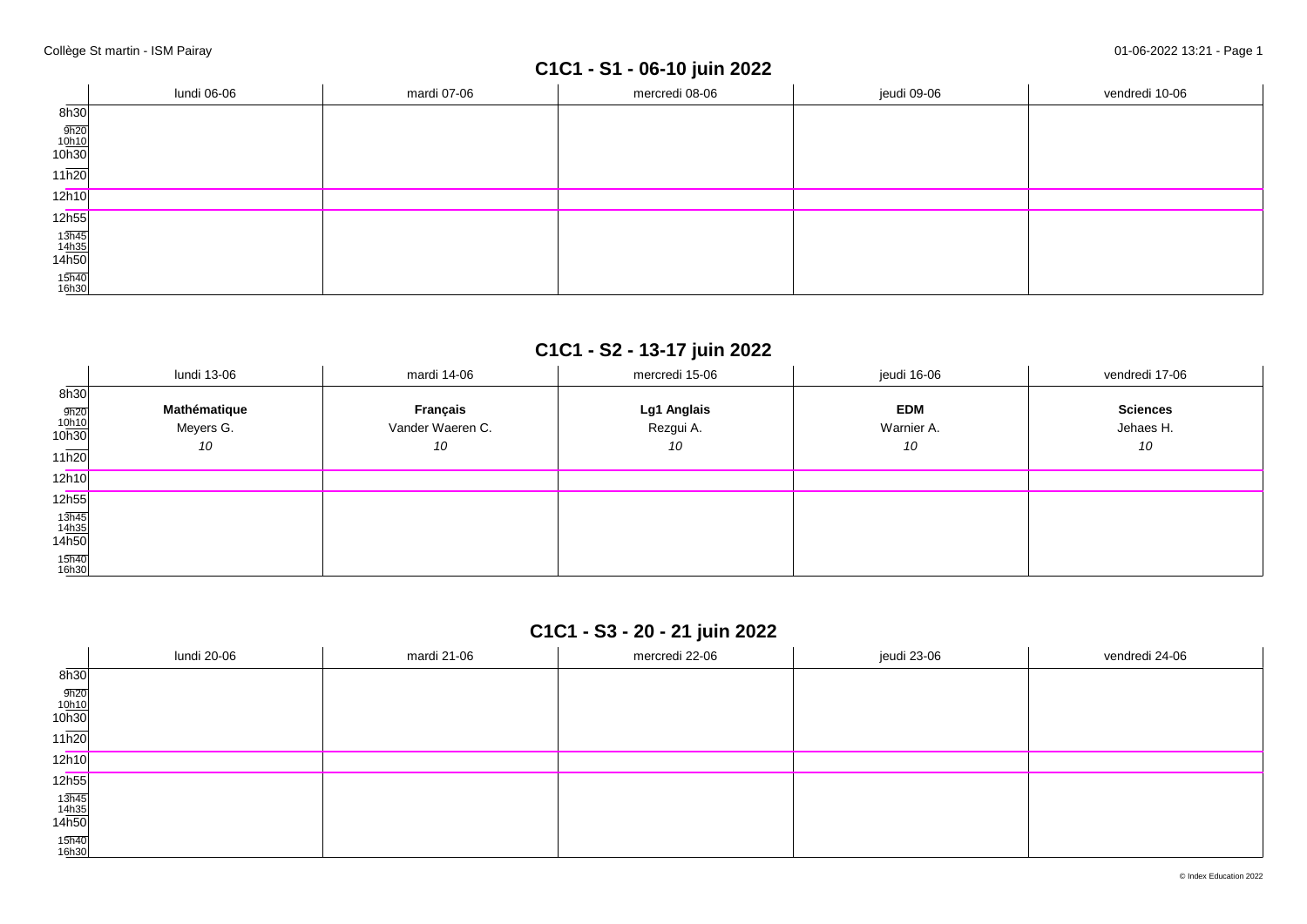# **C1C1 - S1 - 06-10 juin 2022**

|                                | lundi 06-06 | mardi 07-06 | mercredi 08-06 | jeudi 09-06 | vendredi 10-06 |
|--------------------------------|-------------|-------------|----------------|-------------|----------------|
| 8h30                           |             |             |                |             |                |
| $\frac{9h20}{10h10}$<br>10h30  |             |             |                |             |                |
| $11\overline{h20}$             |             |             |                |             |                |
| 12h10                          |             |             |                |             |                |
| 12h55                          |             |             |                |             |                |
| $\frac{13h45}{14h35}$<br>14h50 |             |             |                |             |                |
| 15h40<br>16h30                 |             |             |                |             |                |

## **C1C1 - S2 - 13-17 juin 2022**

|                                                       | lundi 13-06                     | mardi 14-06                        | mercredi 15-06                 | jeudi 16-06                    | vendredi 17-06                     |
|-------------------------------------------------------|---------------------------------|------------------------------------|--------------------------------|--------------------------------|------------------------------------|
| 8h30<br>$\frac{9h20}{10h10}$<br>10h30<br>11h20        | Mathématique<br>Meyers G.<br>10 | Français<br>Vander Waeren C.<br>10 | Lg1 Anglais<br>Rezgui A.<br>10 | <b>EDM</b><br>Warnier A.<br>10 | <b>Sciences</b><br>Jehaes H.<br>10 |
| 12h10                                                 |                                 |                                    |                                |                                |                                    |
| 12h55                                                 |                                 |                                    |                                |                                |                                    |
| $\frac{13\overline{h45}}{14\underline{h35}}$<br>14h50 |                                 |                                    |                                |                                |                                    |
| 15h40<br>16h30                                        |                                 |                                    |                                |                                |                                    |

## **C1C1 - S3 - 20 - 21 juin 2022**

|                                                        | lundi 20-06 | mardi 21-06 | mercredi 22-06 | jeudi 23-06 | vendredi 24-06 |
|--------------------------------------------------------|-------------|-------------|----------------|-------------|----------------|
| 8h30                                                   |             |             |                |             |                |
| $\frac{9h20}{10h10}$<br>10h30                          |             |             |                |             |                |
| 11h20                                                  |             |             |                |             |                |
| 12h10                                                  |             |             |                |             |                |
| 12 <sub>h55</sub>                                      |             |             |                |             |                |
| $\begin{array}{r} 13h45 \\ 14h35 \\ 14h50 \end{array}$ |             |             |                |             |                |
| 15h40<br>16h30                                         |             |             |                |             |                |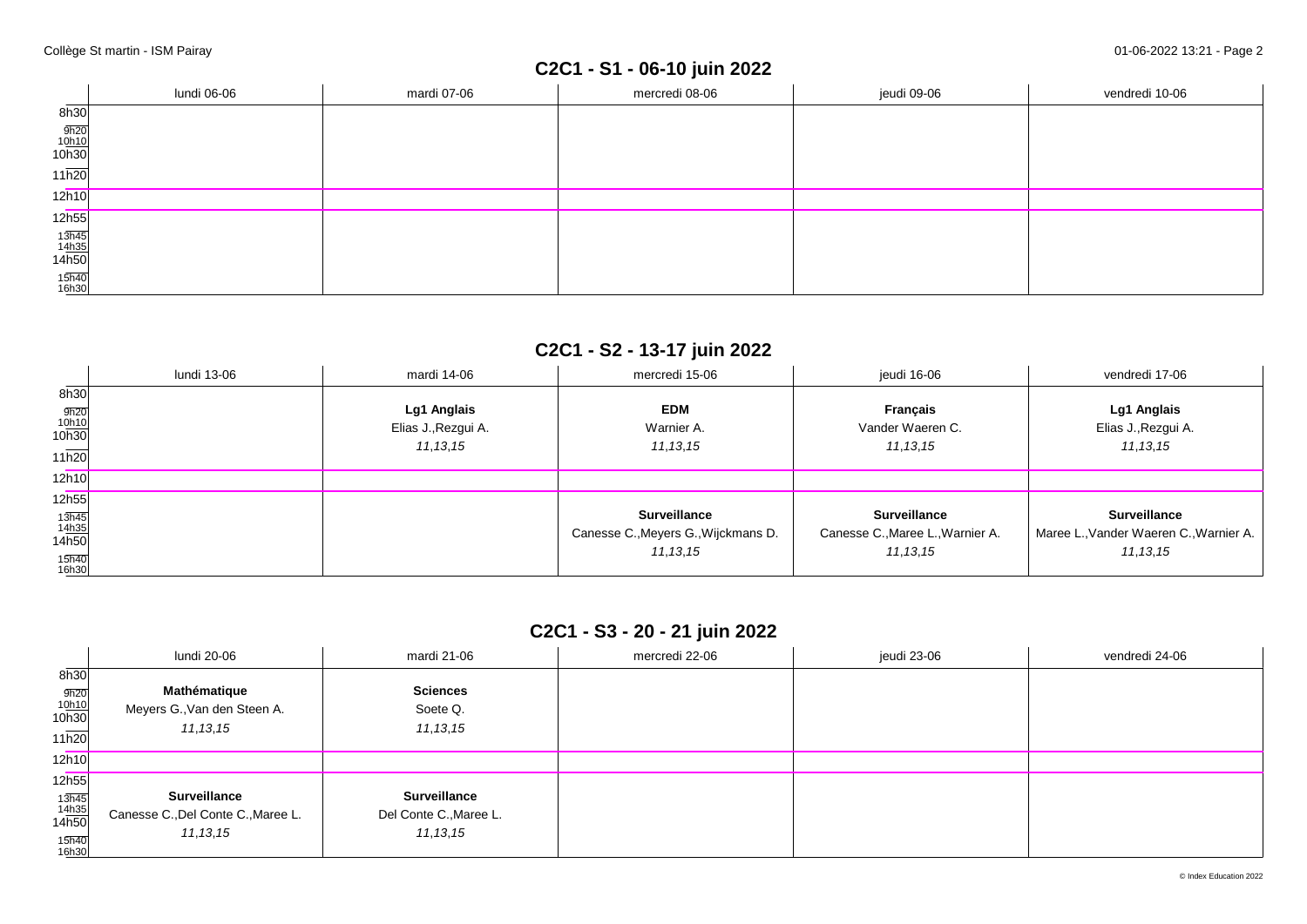# **C2C1 - S1 - 06-10 juin 2022**

|                                | lundi 06-06 | mardi 07-06 | mercredi 08-06 | jeudi 09-06 | vendredi 10-06 |
|--------------------------------|-------------|-------------|----------------|-------------|----------------|
| 8h30                           |             |             |                |             |                |
| $\frac{9h20}{10h10}$<br>10h30  |             |             |                |             |                |
| $11\overline{h20}$             |             |             |                |             |                |
| 12h10                          |             |             |                |             |                |
| 12h55                          |             |             |                |             |                |
| $\frac{13h45}{14h35}$<br>14h50 |             |             |                |             |                |
| 15h40<br>16h30                 |             |             |                |             |                |

## **C2C1 - S2 - 13-17 juin 2022**

|                                                | lundi 13-06 | mardi 14-06                                      | mercredi 15-06                                                           | jeudi 16-06                                                           | vendredi 17-06                                                              |
|------------------------------------------------|-------------|--------------------------------------------------|--------------------------------------------------------------------------|-----------------------------------------------------------------------|-----------------------------------------------------------------------------|
| 8h30<br>$\frac{9h20}{10h10}$<br>10h30<br>11h20 |             | Lg1 Anglais<br>Elias J., Rezgui A.<br>11, 13, 15 | <b>EDM</b><br>Warnier A.<br>11, 13, 15                                   | <b>Français</b><br>Vander Waeren C.<br>11, 13, 15                     | Lg1 Anglais<br>Elias J., Rezgui A.<br>11, 13, 15                            |
| 12h10                                          |             |                                                  |                                                                          |                                                                       |                                                                             |
| 12h55                                          |             |                                                  |                                                                          |                                                                       |                                                                             |
| 13h45<br>14h35<br>14h50<br>15h40<br>16h30      |             |                                                  | <b>Surveillance</b><br>Canesse C., Meyers G., Wijckmans D.<br>11, 13, 15 | <b>Surveillance</b><br>Canesse C., Maree L., Warnier A.<br>11, 13, 15 | <b>Surveillance</b><br>Maree L., Vander Waeren C., Warnier A.<br>11, 13, 15 |

### **C2C1 - S3 - 20 - 21 juin 2022**

|                                                    | lundi 20-06                        | mardi 21-06            | mercredi 22-06 | jeudi 23-06 | vendredi 24-06 |
|----------------------------------------------------|------------------------------------|------------------------|----------------|-------------|----------------|
| 8h30                                               |                                    |                        |                |             |                |
|                                                    | Mathématique                       | <b>Sciences</b>        |                |             |                |
| $\frac{9h20}{10h10}$<br>10h30                      | Meyers G., Van den Steen A.        | Soete Q.               |                |             |                |
|                                                    | 11, 13, 15                         | 11, 13, 15             |                |             |                |
| 11h20                                              |                                    |                        |                |             |                |
| 12h10                                              |                                    |                        |                |             |                |
| 12h55                                              |                                    |                        |                |             |                |
|                                                    | <b>Surveillance</b>                | <b>Surveillance</b>    |                |             |                |
| $\frac{13\overline{h45}}{14\underline{h35}}$ 14h50 | Canesse C., Del Conte C., Maree L. | Del Conte C., Maree L. |                |             |                |
|                                                    | 11, 13, 15                         | 11, 13, 15             |                |             |                |
| 15h40<br>16h30                                     |                                    |                        |                |             |                |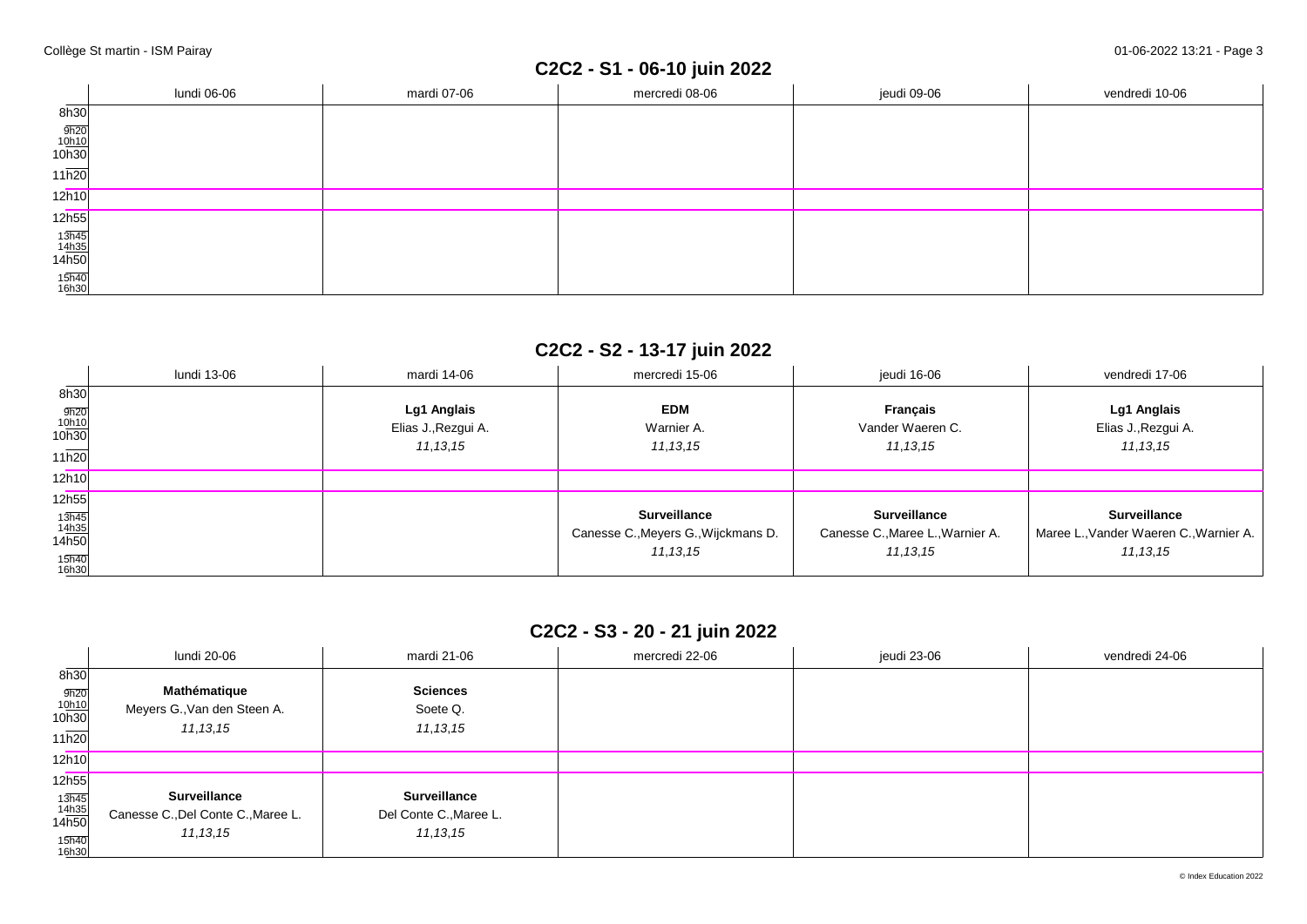# **C2C2 - S1 - 06-10 juin 2022**

|                                | lundi 06-06 | mardi 07-06 | mercredi 08-06 | jeudi 09-06 | vendredi 10-06 |
|--------------------------------|-------------|-------------|----------------|-------------|----------------|
| 8h30                           |             |             |                |             |                |
| $\frac{9h20}{10h10}$<br>10h30  |             |             |                |             |                |
| $11\overline{h20}$             |             |             |                |             |                |
| 12h10                          |             |             |                |             |                |
| 12h55                          |             |             |                |             |                |
| $\frac{13h45}{14h35}$<br>14h50 |             |             |                |             |                |
| 15h40<br>16h30                 |             |             |                |             |                |

## **C2C2 - S2 - 13-17 juin 2022**

|                                                                                            | lundi 13-06 | mardi 14-06                                      | mercredi 15-06                                                           | ieudi 16-06                                                           | vendredi 17-06                                                              |
|--------------------------------------------------------------------------------------------|-------------|--------------------------------------------------|--------------------------------------------------------------------------|-----------------------------------------------------------------------|-----------------------------------------------------------------------------|
| 8h30<br>$\frac{9h20}{10h10}$<br>10h30<br>11h20                                             |             | Lg1 Anglais<br>Elias J., Rezgui A.<br>11, 13, 15 | <b>EDM</b><br>Warnier A.<br>11, 13, 15                                   | <b>Francais</b><br>Vander Waeren C.<br>11, 13, 15                     | Lg1 Anglais<br>Elias J., Rezgui A.<br>11, 13, 15                            |
| 12h10                                                                                      |             |                                                  |                                                                          |                                                                       |                                                                             |
| 12h55                                                                                      |             |                                                  |                                                                          |                                                                       |                                                                             |
| $\begin{array}{c}\n 13h45 \\  14h35 \\  14h50\n \end{array}$<br>15 <sub>h40</sub><br>16h30 |             |                                                  | <b>Surveillance</b><br>Canesse C., Meyers G., Wijckmans D.<br>11, 13, 15 | <b>Surveillance</b><br>Canesse C., Maree L., Warnier A.<br>11, 13, 15 | <b>Surveillance</b><br>Maree L., Vander Waeren C., Warnier A.<br>11, 13, 15 |

### **C2C2 - S3 - 20 - 21 juin 2022**

|                                                    | lundi 20-06                        | mardi 21-06            | mercredi 22-06 | jeudi 23-06 | vendredi 24-06 |
|----------------------------------------------------|------------------------------------|------------------------|----------------|-------------|----------------|
|                                                    |                                    |                        |                |             |                |
| 8h30                                               |                                    |                        |                |             |                |
|                                                    | Mathématique                       | <b>Sciences</b>        |                |             |                |
| $\frac{9h20}{10h10}$<br>10h30                      | Meyers G., Van den Steen A.        | Soete Q.               |                |             |                |
|                                                    | 11, 13, 15                         | 11, 13, 15             |                |             |                |
| 11h20                                              |                                    |                        |                |             |                |
| 12h10                                              |                                    |                        |                |             |                |
| 12h55                                              |                                    |                        |                |             |                |
|                                                    | <b>Surveillance</b>                | <b>Surveillance</b>    |                |             |                |
| $\frac{13\overline{h45}}{14\underline{h35}}$ 14h50 | Canesse C., Del Conte C., Maree L. | Del Conte C., Maree L. |                |             |                |
|                                                    | 11, 13, 15                         | 11, 13, 15             |                |             |                |
| 15h40<br>16h30                                     |                                    |                        |                |             |                |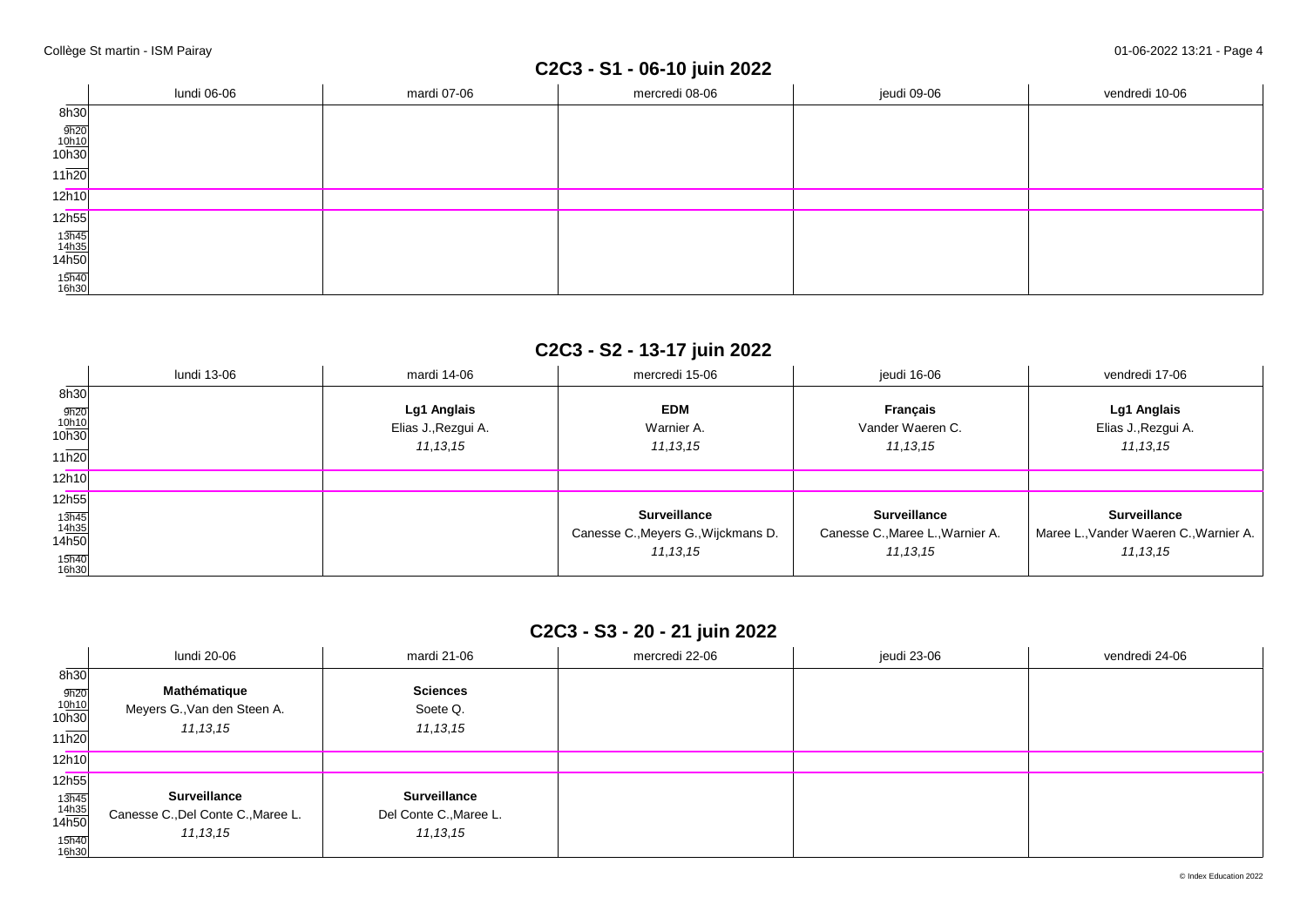# **C2C3 - S1 - 06-10 juin 2022**

|                                | lundi 06-06 | mardi 07-06 | mercredi 08-06 | jeudi 09-06 | vendredi 10-06 |
|--------------------------------|-------------|-------------|----------------|-------------|----------------|
| 8h30                           |             |             |                |             |                |
| $\frac{9h20}{10h10}$<br>10h30  |             |             |                |             |                |
| $11\overline{h20}$             |             |             |                |             |                |
| 12h10                          |             |             |                |             |                |
| 12h55                          |             |             |                |             |                |
| $\frac{13h45}{14h35}$<br>14h50 |             |             |                |             |                |
| 15h40<br>16h30                 |             |             |                |             |                |

## **C2C3 - S2 - 13-17 juin 2022**

|                                                                                     | lundi 13-06 | mardi 14-06                                      | mercredi 15-06                                                           | jeudi 16-06                                                           | vendredi 17-06                                                              |
|-------------------------------------------------------------------------------------|-------------|--------------------------------------------------|--------------------------------------------------------------------------|-----------------------------------------------------------------------|-----------------------------------------------------------------------------|
| 8h30<br>$\frac{9h20}{10h10}$<br>10h30<br>11h20                                      |             | Lg1 Anglais<br>Elias J., Rezgui A.<br>11, 13, 15 | <b>EDM</b><br>Warnier A.<br>11, 13, 15                                   | <b>Français</b><br>Vander Waeren C.<br>11, 13, 15                     | Lg1 Anglais<br>Elias J., Rezgui A.<br>11, 13, 15                            |
| 12h10                                                                               |             |                                                  |                                                                          |                                                                       |                                                                             |
| 12h55                                                                               |             |                                                  |                                                                          |                                                                       |                                                                             |
| $\frac{13\overline{h45}}{14\underline{h35}}$<br>14h50<br>15 <sub>h40</sub><br>16h30 |             |                                                  | <b>Surveillance</b><br>Canesse C., Meyers G., Wijckmans D.<br>11, 13, 15 | <b>Surveillance</b><br>Canesse C., Maree L., Warnier A.<br>11, 13, 15 | <b>Surveillance</b><br>Maree L., Vander Waeren C., Warnier A.<br>11, 13, 15 |

### **C2C3 - S3 - 20 - 21 juin 2022**

|                                                    | lundi 20-06                        | mardi 21-06            | mercredi 22-06 | jeudi 23-06 | vendredi 24-06 |
|----------------------------------------------------|------------------------------------|------------------------|----------------|-------------|----------------|
| 8h30                                               |                                    |                        |                |             |                |
|                                                    | Mathématique                       | <b>Sciences</b>        |                |             |                |
| $\frac{9h20}{10h10}$<br>10h30                      | Meyers G., Van den Steen A.        | Soete Q.               |                |             |                |
|                                                    | 11, 13, 15                         | 11, 13, 15             |                |             |                |
| 11h20                                              |                                    |                        |                |             |                |
| 12h10                                              |                                    |                        |                |             |                |
| 12h55                                              |                                    |                        |                |             |                |
|                                                    | <b>Surveillance</b>                | <b>Surveillance</b>    |                |             |                |
| $\frac{13\overline{h45}}{14\underline{h35}}$ 14h50 | Canesse C., Del Conte C., Maree L. | Del Conte C., Maree L. |                |             |                |
|                                                    | 11, 13, 15                         | 11, 13, 15             |                |             |                |
| 15h40<br>16h30                                     |                                    |                        |                |             |                |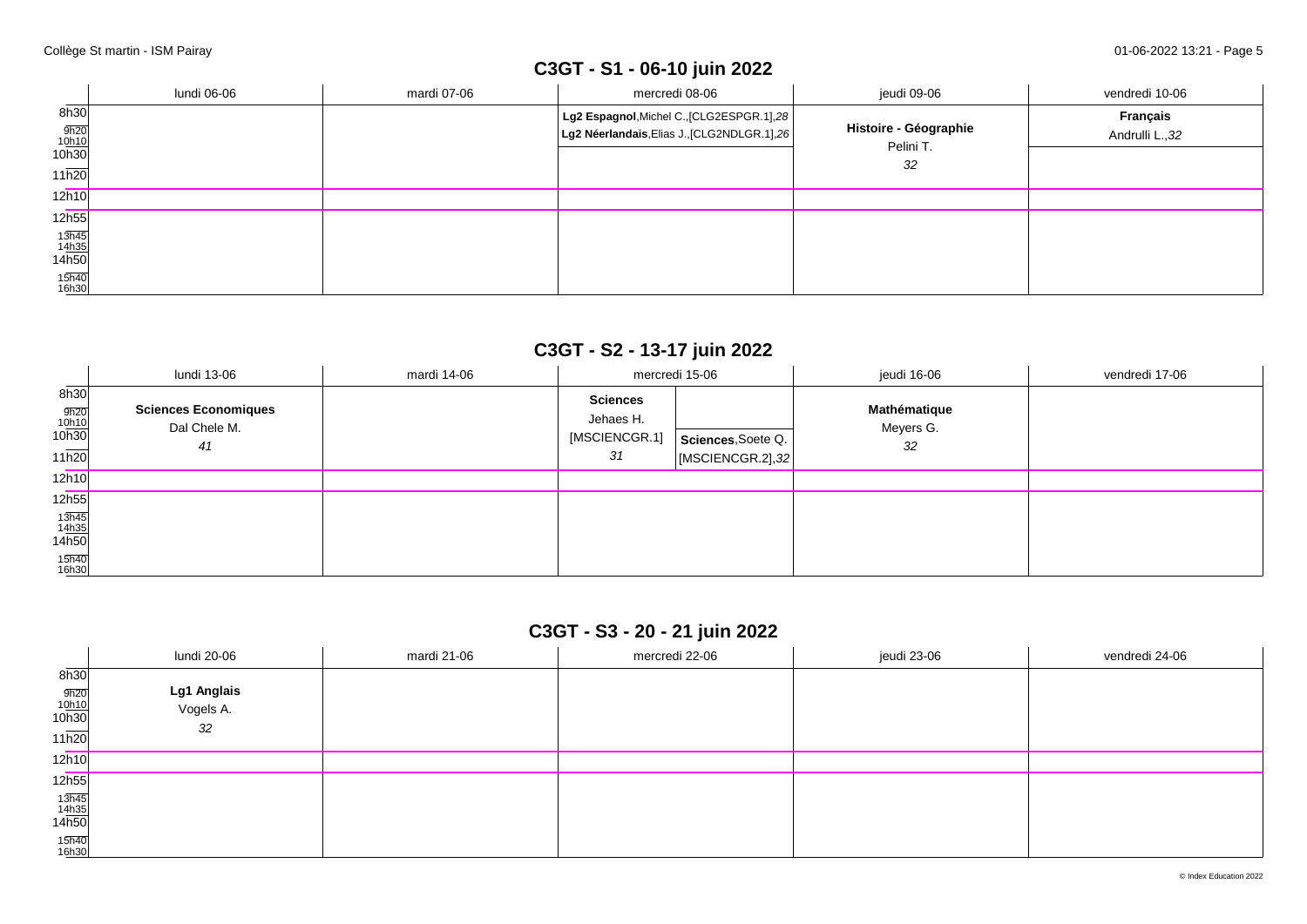# **C3GT - S1 - 06-10 juin 2022**

|                                                | lundi 06-06 | mardi 07-06 | mercredi 08-06                                                                                  | jeudi 09-06                               | vendredi 10-06              |
|------------------------------------------------|-------------|-------------|-------------------------------------------------------------------------------------------------|-------------------------------------------|-----------------------------|
| 8h30<br>$\frac{9h20}{10h10}$<br>10h30<br>11h20 |             |             | $\log 2$ Espagnol, Michel C., [CLG2ESPGR.1], 28<br>Lg2 Néerlandais, Elias J., [CLG2NDLGR.1], 26 | Histoire - Géographie<br>Pelini T.<br>-32 | Français<br>Andrulli L., 32 |
| 12h10                                          |             |             |                                                                                                 |                                           |                             |
| 12h55                                          |             |             |                                                                                                 |                                           |                             |
| $\frac{13\overline{h45}}{14h35}$<br>14h50      |             |             |                                                                                                 |                                           |                             |
| 15h40<br>16h30                                 |             |             |                                                                                                 |                                           |                             |

## **C3GT - S2 - 13-17 juin 2022**

|                                                | lundi 13-06                                       | mardi 14-06 |                                                     | mercredi 15-06                         | jeudi 16-06                     | vendredi 17-06 |
|------------------------------------------------|---------------------------------------------------|-------------|-----------------------------------------------------|----------------------------------------|---------------------------------|----------------|
| 8h30<br>$\frac{9h20}{10h10}$<br>10h30<br>11h20 | <b>Sciences Economiques</b><br>Dal Chele M.<br>41 |             | <b>Sciences</b><br>Jehaes H.<br>[MSCIENCGR.1]<br>31 | Sciences, Soete Q.<br>[MSCIENCGR.2],32 | Mathématique<br>Meyers G.<br>32 |                |
| 12h10                                          |                                                   |             |                                                     |                                        |                                 |                |
| 12h55                                          |                                                   |             |                                                     |                                        |                                 |                |
| $\frac{13\overline{h45}}{14h35}$ 14h50         |                                                   |             |                                                     |                                        |                                 |                |
| 15h40<br>16h30                                 |                                                   |             |                                                     |                                        |                                 |                |

## **C3GT - S3 - 20 - 21 juin 2022**

|                                                    | lundi 20-06                    | mardi 21-06 | mercredi 22-06 | jeudi 23-06 | vendredi 24-06 |
|----------------------------------------------------|--------------------------------|-------------|----------------|-------------|----------------|
| 8h30<br>$\frac{9h20}{10h10}$<br>10h30<br>11h20     | Lg1 Anglais<br>Vogels A.<br>32 |             |                |             |                |
| 12h10                                              |                                |             |                |             |                |
| 12h55                                              |                                |             |                |             |                |
| $\frac{13\overline{h45}}{14\underline{h35}}$ 14h50 |                                |             |                |             |                |
| 15h40<br>16h30                                     |                                |             |                |             |                |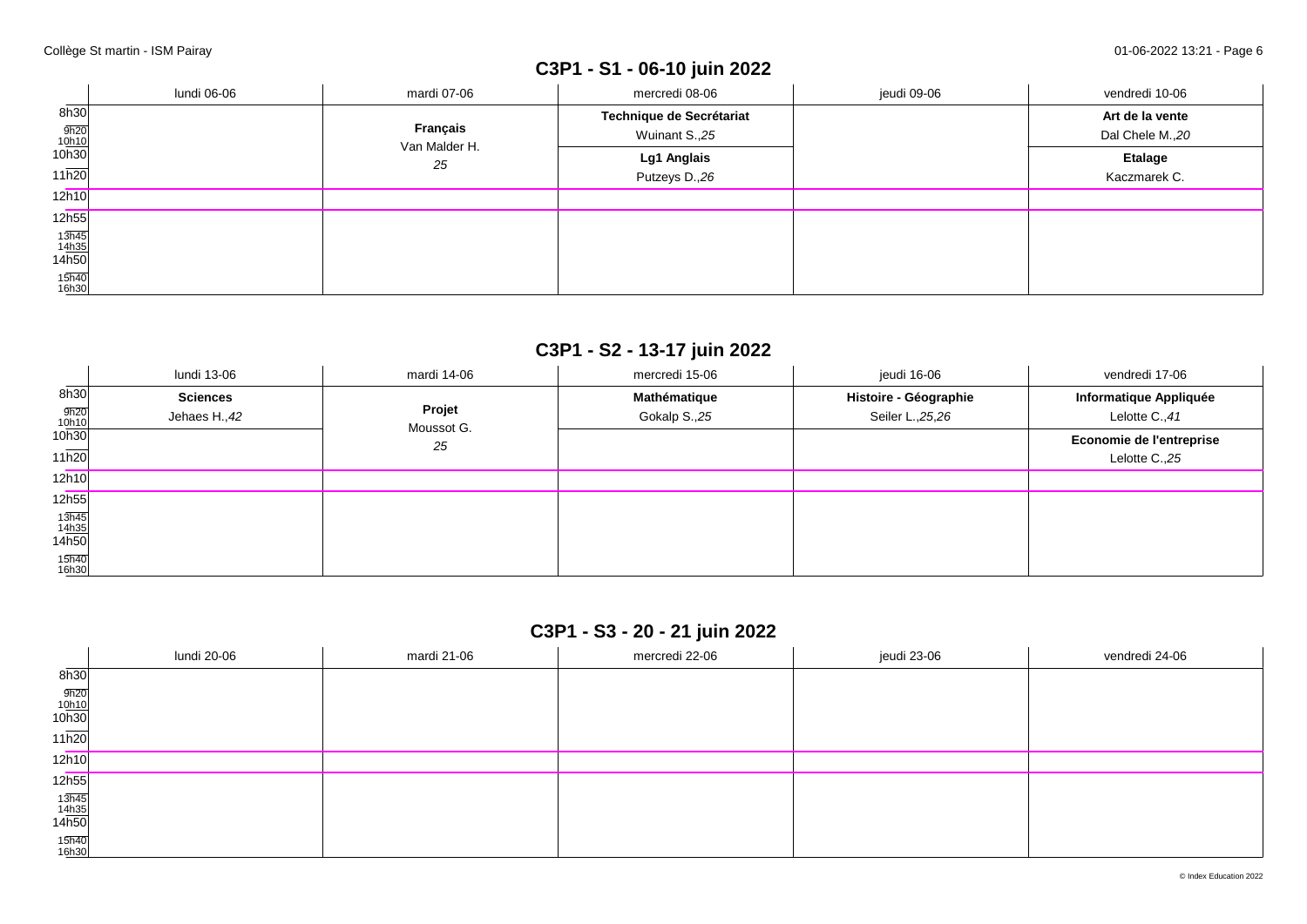# **C3P1 - S1 - 06-10 juin 2022**

|                                                       | lundi 06-06 | mardi 07-06               | mercredi 08-06           | jeudi 09-06 | vendredi 10-06  |
|-------------------------------------------------------|-------------|---------------------------|--------------------------|-------------|-----------------|
| 8h30                                                  |             |                           | Technique de Secrétariat |             | Art de la vente |
| $\frac{9h20}{10h10}$<br>10h30                         |             | Français<br>Van Malder H. | Wuinant S.,25            |             | Dal Chele M.,20 |
|                                                       |             | 25                        | Lg1 Anglais              |             | <b>Etalage</b>  |
| 11h20                                                 |             |                           | Putzeys D.,26            |             | Kaczmarek C.    |
| 12h10                                                 |             |                           |                          |             |                 |
| 12h55                                                 |             |                           |                          |             |                 |
| $\frac{13\overline{h45}}{14\underline{h35}}$<br>14h50 |             |                           |                          |             |                 |
|                                                       |             |                           |                          |             |                 |
| 15h40<br>16h30                                        |             |                           |                          |             |                 |

## **C3P1 - S2 - 13-17 juin 2022**

|                                                       | lundi 13-06                      | mardi 14-06          | mercredi 15-06               | jeudi 16-06                                | vendredi 17-06                             |
|-------------------------------------------------------|----------------------------------|----------------------|------------------------------|--------------------------------------------|--------------------------------------------|
| 8h30<br>$\frac{9h20}{10h10}$                          | <b>Sciences</b><br>Jehaes H., 42 | Projet<br>Moussot G. | Mathématique<br>Gokalp S.,25 | Histoire - Géographie<br>Seiler L., 25, 26 | Informatique Appliquée<br>Lelotte C., 41   |
| 10h30<br>11h20                                        |                                  | 25                   |                              |                                            | Economie de l'entreprise<br>Lelotte C., 25 |
| 12h10                                                 |                                  |                      |                              |                                            |                                            |
| 12h55                                                 |                                  |                      |                              |                                            |                                            |
| $\frac{13\overline{h45}}{14\underline{h35}}$<br>14h50 |                                  |                      |                              |                                            |                                            |
| 15h40<br>16h30                                        |                                  |                      |                              |                                            |                                            |

## **C3P1 - S3 - 20 - 21 juin 2022**

|                                                        | lundi 20-06 | mardi 21-06 | mercredi 22-06 | jeudi 23-06 | vendredi 24-06 |
|--------------------------------------------------------|-------------|-------------|----------------|-------------|----------------|
| 8h30                                                   |             |             |                |             |                |
| $\frac{9h20}{10h10}$<br>10h30                          |             |             |                |             |                |
| 11h20                                                  |             |             |                |             |                |
| 12h10                                                  |             |             |                |             |                |
| 12 <sub>h55</sub>                                      |             |             |                |             |                |
| $\begin{array}{r} 13h45 \\ 14h35 \\ 14h50 \end{array}$ |             |             |                |             |                |
| 15h40<br>16h30                                         |             |             |                |             |                |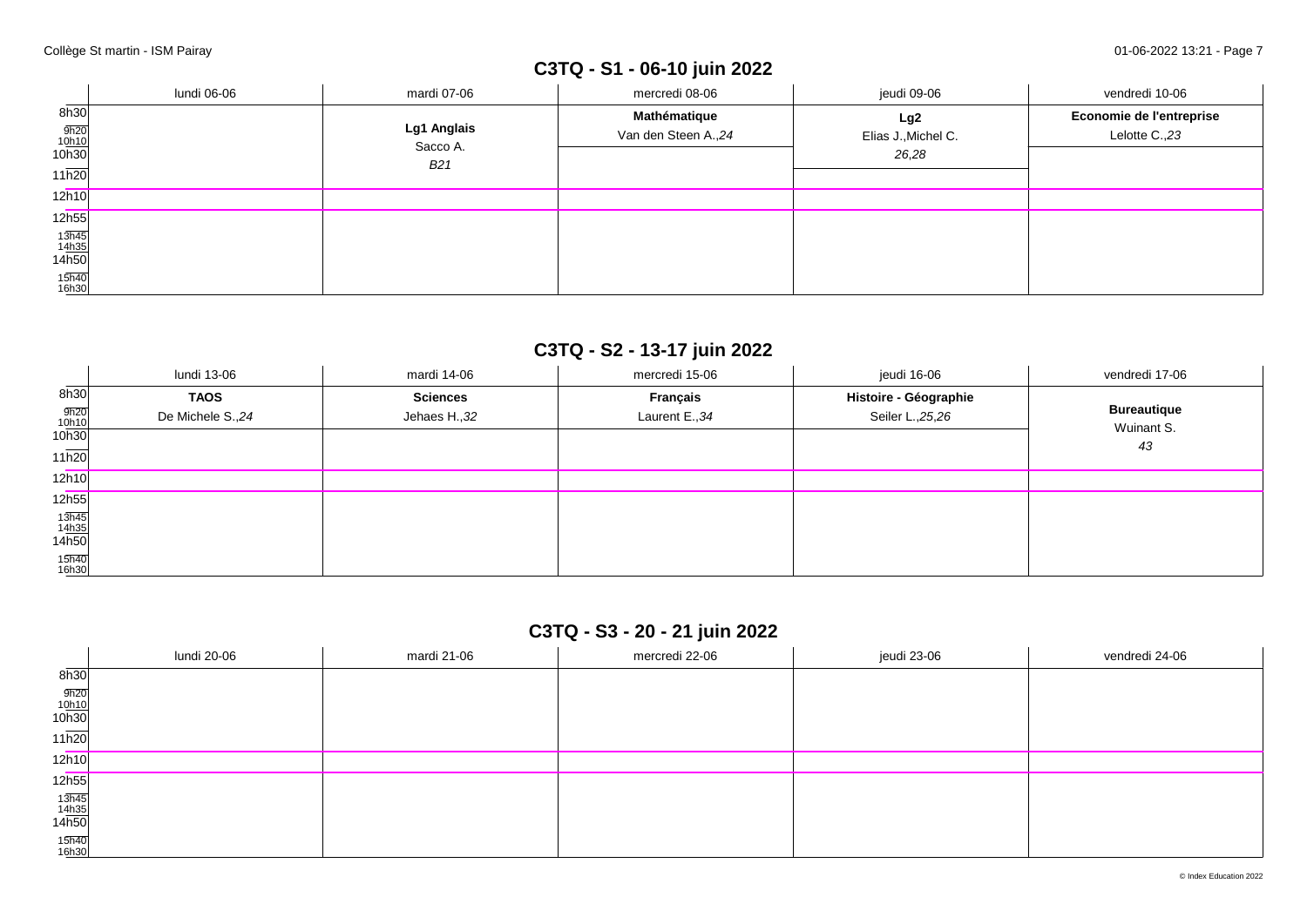# **C3TQ - S1 - 06-10 juin 2022**

|                                                       | lundi 06-06 | mardi 07-06             | mercredi 08-06                       | jeudi 09-06                         | vendredi 10-06                             |
|-------------------------------------------------------|-------------|-------------------------|--------------------------------------|-------------------------------------|--------------------------------------------|
| 8h30<br>$\frac{9h20}{10h10}$<br>10h30                 |             | Lg1 Anglais<br>Sacco A. | Mathématique<br>Van den Steen A., 24 | Lg2<br>Elias J., Michel C.<br>26,28 | Economie de l'entreprise<br>Lelotte C., 23 |
| 11h20                                                 |             | B <sub>21</sub>         |                                      |                                     |                                            |
| 12h10                                                 |             |                         |                                      |                                     |                                            |
| 12h55                                                 |             |                         |                                      |                                     |                                            |
| $\frac{13\overline{h45}}{14\underline{h35}}$<br>14h50 |             |                         |                                      |                                     |                                            |
| 15h40<br>16h30                                        |             |                         |                                      |                                     |                                            |

## **C3TQ - S2 - 13-17 juin 2022**

|                                                       | lundi 13-06      | mardi 14-06     | mercredi 15-06  | jeudi 16-06           | vendredi 17-06     |
|-------------------------------------------------------|------------------|-----------------|-----------------|-----------------------|--------------------|
| 8h30                                                  | <b>TAOS</b>      | <b>Sciences</b> | <b>Français</b> | Histoire - Géographie | <b>Bureautique</b> |
| $\frac{9h20}{10h10}$<br>10h30                         | De Michele S.,24 | Jehaes H., 32   | Laurent E., 34  | Seiler L., 25, 26     | Wuinant S.         |
| 11h20                                                 |                  |                 |                 |                       | 43                 |
| 12h10                                                 |                  |                 |                 |                       |                    |
| 12h55                                                 |                  |                 |                 |                       |                    |
| $\frac{13\overline{h45}}{14\underline{h35}}$<br>14h50 |                  |                 |                 |                       |                    |
| 15h40<br>16h30                                        |                  |                 |                 |                       |                    |

## **C3TQ - S3 - 20 - 21 juin 2022**

|                                                        | lundi 20-06 | mardi 21-06 | mercredi 22-06 | jeudi 23-06 | vendredi 24-06 |
|--------------------------------------------------------|-------------|-------------|----------------|-------------|----------------|
| $\overline{\phantom{a}}$<br>8h30                       |             |             |                |             |                |
| $\frac{9h20}{10h10}$<br>10h30                          |             |             |                |             |                |
| 11h20                                                  |             |             |                |             |                |
| 12h10                                                  |             |             |                |             |                |
| 12h55                                                  |             |             |                |             |                |
| $\begin{array}{r} 13h45 \\ 14h35 \\ 14h50 \end{array}$ |             |             |                |             |                |
| 15h40<br>16h30                                         |             |             |                |             |                |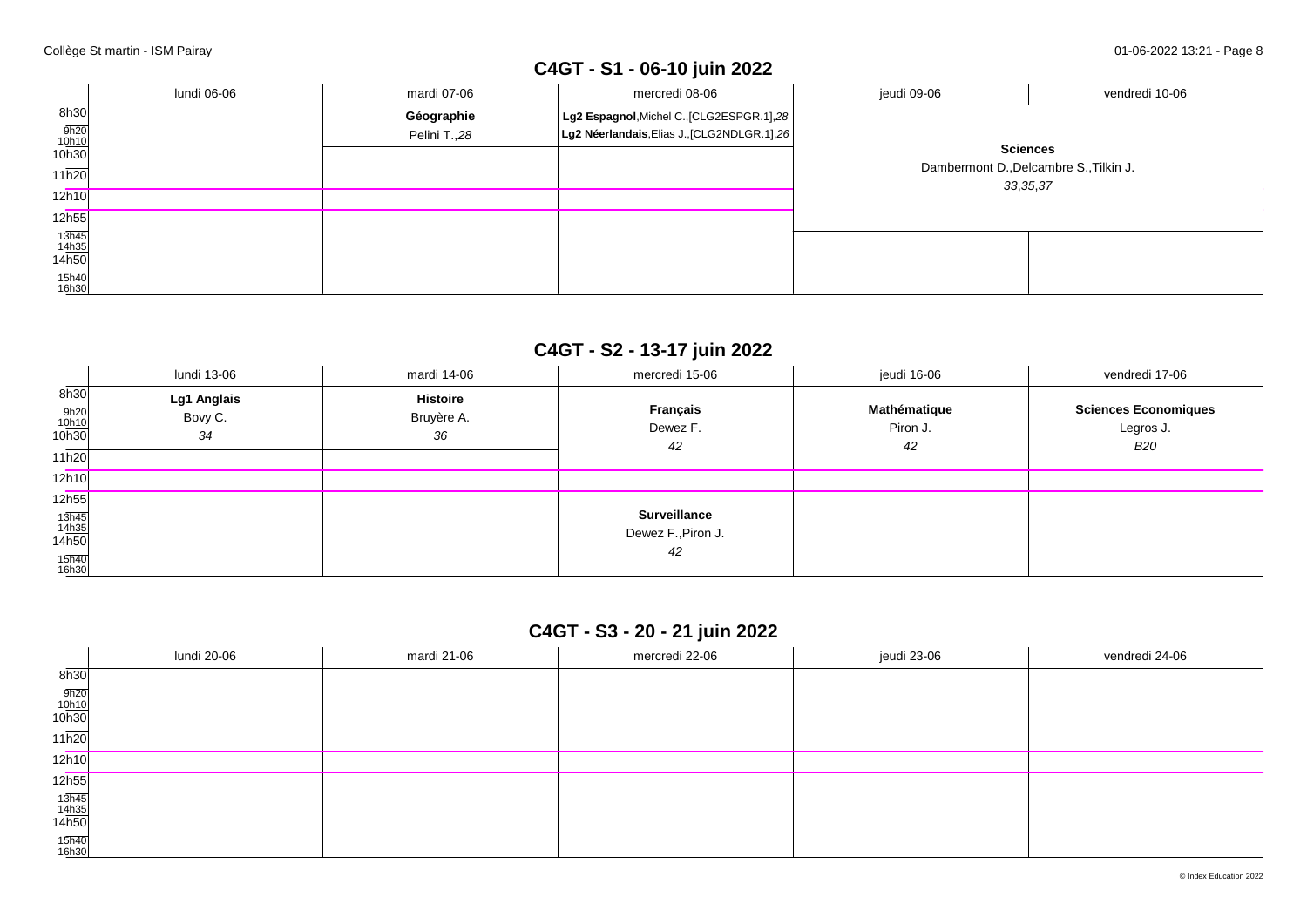# **C4GT - S1 - 06-10 juin 2022**

|                                           | lundi 06-06 | mardi 07-06  | mercredi 08-06                                 | jeudi 09-06                                                             | vendredi 10-06 |
|-------------------------------------------|-------------|--------------|------------------------------------------------|-------------------------------------------------------------------------|----------------|
| 8h30                                      |             | Géographie   | $ $ Lg2 Espagnol, Michel C., [CLG2ESPGR.1], 28 |                                                                         |                |
| $\frac{9h20}{10h10}$<br>10h30             |             | Pelini T.,28 | Lg2 Néerlandais, Elias J., [CLG2NDLGR.1], 26   |                                                                         |                |
|                                           |             |              |                                                | <b>Sciences</b><br>Dambermont D., Delcambre S., Tilkin J.<br>33, 35, 37 |                |
| 11h20                                     |             |              |                                                |                                                                         |                |
| 12h10                                     |             |              |                                                |                                                                         |                |
| 12h55                                     |             |              |                                                |                                                                         |                |
| $\frac{13\overline{h45}}{14h35}$<br>14h50 |             |              |                                                |                                                                         |                |
|                                           |             |              |                                                |                                                                         |                |
| 15h40<br>16h30                            |             |              |                                                |                                                                         |                |

## **C4GT - S2 - 13-17 juin 2022**

|                                                       | lundi 13-06                  | mardi 14-06                         | mercredi 15-06                                  | jeudi 16-06                    | vendredi 17-06                                         |
|-------------------------------------------------------|------------------------------|-------------------------------------|-------------------------------------------------|--------------------------------|--------------------------------------------------------|
| 8h30<br>$\frac{9h20}{10h10}$<br>10h30<br>11h20        | Lg1 Anglais<br>Bovy C.<br>34 | <b>Histoire</b><br>Bruyère A.<br>36 | Français<br>Dewez F.<br>42                      | Mathématique<br>Piron J.<br>42 | <b>Sciences Economiques</b><br>Legros J.<br><b>B20</b> |
| 12h10                                                 |                              |                                     |                                                 |                                |                                                        |
| 12h55                                                 |                              |                                     |                                                 |                                |                                                        |
| $\frac{13\overline{h45}}{14\underline{h35}}$<br>14h50 |                              |                                     | <b>Surveillance</b><br>Dewez F., Piron J.<br>42 |                                |                                                        |
| 15h40<br>16h30                                        |                              |                                     |                                                 |                                |                                                        |

## **C4GT - S3 - 20 - 21 juin 2022**

|                                                        | lundi 20-06 | mardi 21-06 | mercredi 22-06 | jeudi 23-06 | vendredi 24-06 |
|--------------------------------------------------------|-------------|-------------|----------------|-------------|----------------|
| $\overline{\phantom{a}}$<br>8h30                       |             |             |                |             |                |
| $\frac{9h20}{10h10}$<br>10h30                          |             |             |                |             |                |
| $11\overline{h20}$                                     |             |             |                |             |                |
| 12h10                                                  |             |             |                |             |                |
| 12 <sub>h55</sub>                                      |             |             |                |             |                |
| $\begin{array}{r} 13h45 \\ 14h35 \\ 14h50 \end{array}$ |             |             |                |             |                |
| 15h40<br>16h30                                         |             |             |                |             |                |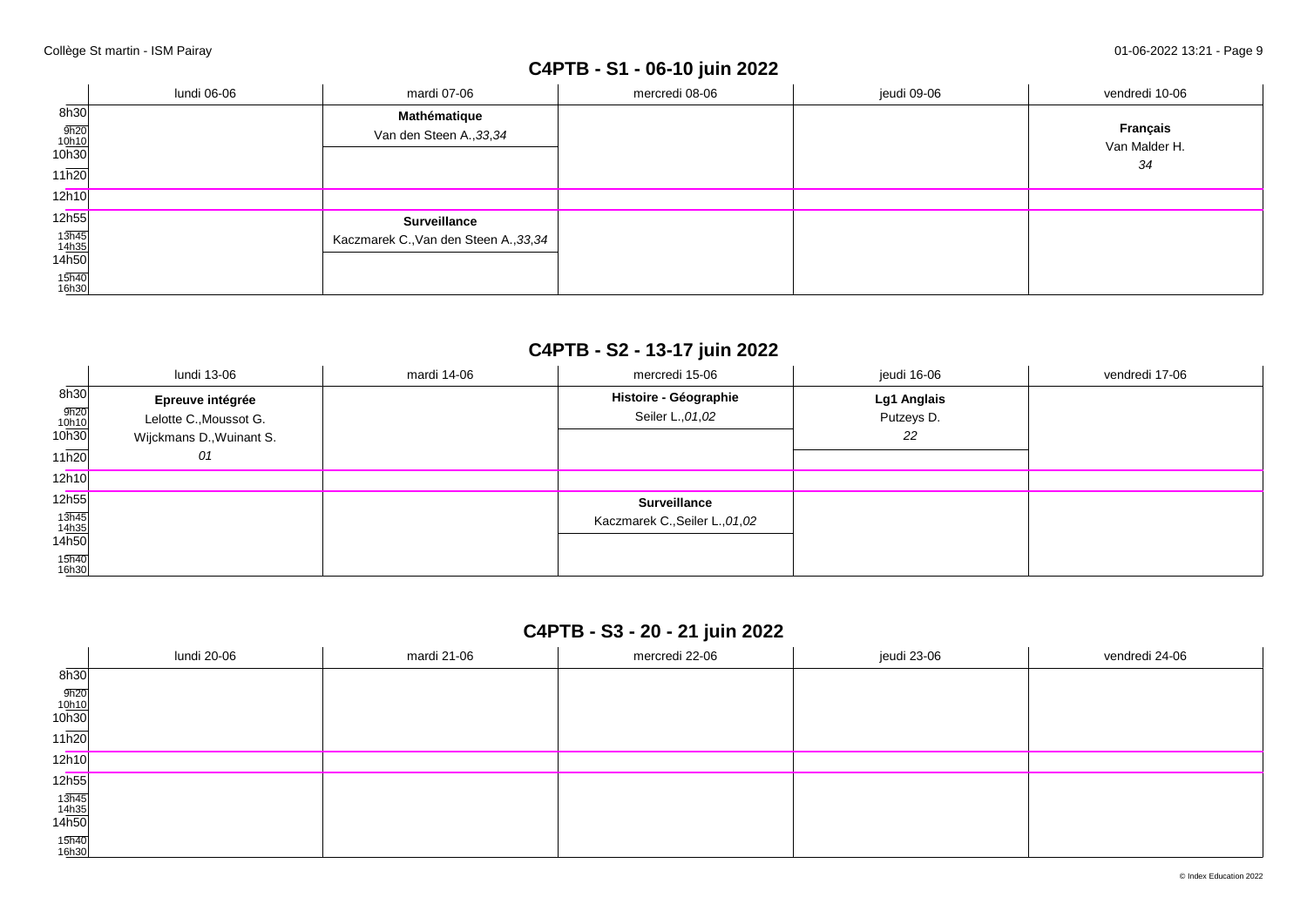## **C4PTB - S1 - 06-10 juin 2022**

|                                                                                                                     | lundi 06-06 | mardi 07-06                                                   | mercredi 08-06 | jeudi 09-06 | vendredi 10-06                  |
|---------------------------------------------------------------------------------------------------------------------|-------------|---------------------------------------------------------------|----------------|-------------|---------------------------------|
| 8h30<br>$\frac{9h20}{10h10}$<br>10h30<br>11h20                                                                      |             | Mathématique<br>Van den Steen A., 33, 34                      |                |             | Français<br>Van Malder H.<br>34 |
| 12h10                                                                                                               |             |                                                               |                |             |                                 |
| 12h55<br>$\begin{array}{r} 13\overline{h45} \\ 14\underline{h35} \\ 14\overline{h50} \end{array}$<br>15h40<br>16h30 |             | <b>Surveillance</b><br>Kaczmarek C., Van den Steen A., 33, 34 |                |             |                                 |

### **C4PTB - S2 - 13-17 juin 2022**

|                                                                                  | lundi 13-06                                                                  | mardi 14-06 | mercredi 15-06                                         | jeudi 16-06                     | vendredi 17-06 |
|----------------------------------------------------------------------------------|------------------------------------------------------------------------------|-------------|--------------------------------------------------------|---------------------------------|----------------|
| 8h30<br>9h20<br>10h10<br>10h30<br>11h20                                          | Epreuve intégrée<br>Lelotte C., Moussot G.<br>Wijckmans D., Wuinant S.<br>01 |             | Histoire - Géographie<br>Seiler L., 01, 02             | Lg1 Anglais<br>Putzeys D.<br>22 |                |
| 12h10                                                                            |                                                                              |             |                                                        |                                 |                |
| 12h55<br>$\frac{13\overline{h45}}{14\underline{h35}}$<br>14h50<br>15h40<br>16h30 |                                                                              |             | <b>Surveillance</b><br>Kaczmarek C., Seiler L., 01, 02 |                                 |                |

## **C4PTB - S3 - 20 - 21 juin 2022**

|                                                        | lundi 20-06 | mardi 21-06 | mercredi 22-06 | jeudi 23-06 | vendredi 24-06 |
|--------------------------------------------------------|-------------|-------------|----------------|-------------|----------------|
| $\overline{\phantom{a}}$<br>8h30                       |             |             |                |             |                |
| $\frac{9h20}{10h10}$<br>10h30                          |             |             |                |             |                |
| $11\overline{h20}$                                     |             |             |                |             |                |
| 12h10                                                  |             |             |                |             |                |
| 12 <sub>h55</sub>                                      |             |             |                |             |                |
| $\begin{array}{r} 13h45 \\ 14h35 \\ 14h50 \end{array}$ |             |             |                |             |                |
| 15h40<br>16h30                                         |             |             |                |             |                |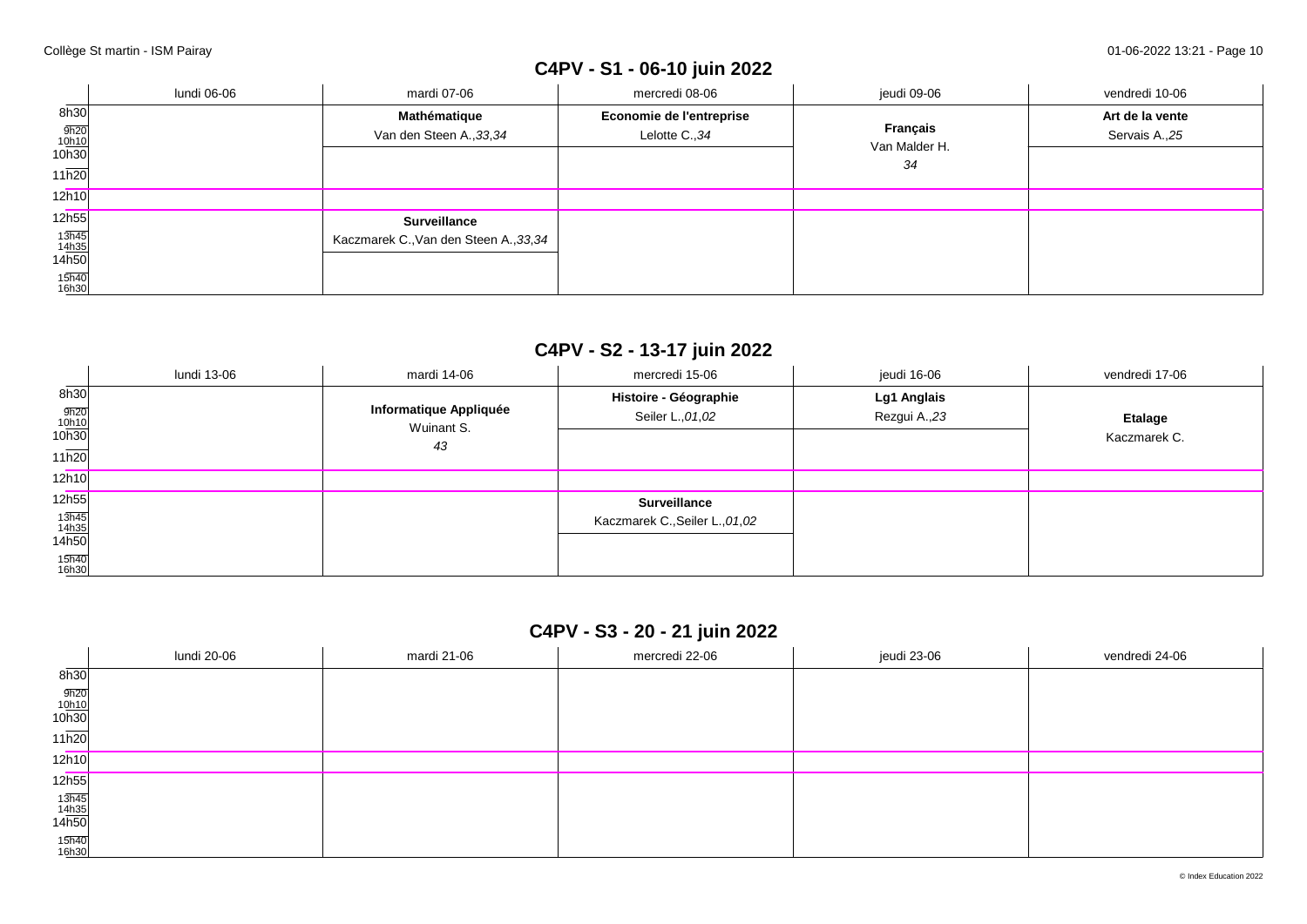# **C4PV - S1 - 06-10 juin 2022**

|                                                                      | lundi 06-06 | mardi 07-06                                                   | mercredi 08-06                             | jeudi 09-06                     | vendredi 10-06                   |
|----------------------------------------------------------------------|-------------|---------------------------------------------------------------|--------------------------------------------|---------------------------------|----------------------------------|
| 8h30<br>$\frac{9h20}{10h10}$<br>10h30<br>11h20                       |             | Mathématique<br>Van den Steen A., 33, 34                      | Economie de l'entreprise<br>Lelotte C., 34 | Français<br>Van Malder H.<br>34 | Art de la vente<br>Servais A.,25 |
| 12h10                                                                |             |                                                               |                                            |                                 |                                  |
| 12h55<br>$\frac{13\overline{h45}}{14h35}$<br>14h50<br>15h40<br>16h30 |             | <b>Surveillance</b><br>Kaczmarek C., Van den Steen A., 33, 34 |                                            |                                 |                                  |

## **C4PV - S2 - 13-17 juin 2022**

|                                                                                  | lundi 13-06 | mardi 14-06                                | mercredi 15-06                                         | jeudi 16-06                 | vendredi 17-06                 |
|----------------------------------------------------------------------------------|-------------|--------------------------------------------|--------------------------------------------------------|-----------------------------|--------------------------------|
| 8h30<br>$\frac{9h20}{10h10}$<br>10h30<br>11h20                                   |             | Informatique Appliquée<br>Wuinant S.<br>43 | Histoire - Géographie<br>Seiler L., 01, 02             | Lg1 Anglais<br>Rezgui A.,23 | <b>Etalage</b><br>Kaczmarek C. |
| 12h10                                                                            |             |                                            |                                                        |                             |                                |
| 12h55<br>$\frac{13\overline{h45}}{14\underline{h35}}$<br>14h50<br>15h40<br>16h30 |             |                                            | <b>Surveillance</b><br>Kaczmarek C., Seiler L., 01, 02 |                             |                                |

# **C4PV - S3 - 20 - 21 juin 2022**

|                                                        | lundi 20-06 | mardi 21-06 | mercredi 22-06 | jeudi 23-06 | vendredi 24-06 |
|--------------------------------------------------------|-------------|-------------|----------------|-------------|----------------|
| $\overline{\phantom{a}}$<br>8h30                       |             |             |                |             |                |
| $\frac{9h20}{10h10}$<br>10h30                          |             |             |                |             |                |
| $11\overline{h20}$                                     |             |             |                |             |                |
| 12h10                                                  |             |             |                |             |                |
| 12 <sub>h55</sub>                                      |             |             |                |             |                |
| $\begin{array}{r} 13h45 \\ 14h35 \\ 14h50 \end{array}$ |             |             |                |             |                |
| 15h40<br>16h30                                         |             |             |                |             |                |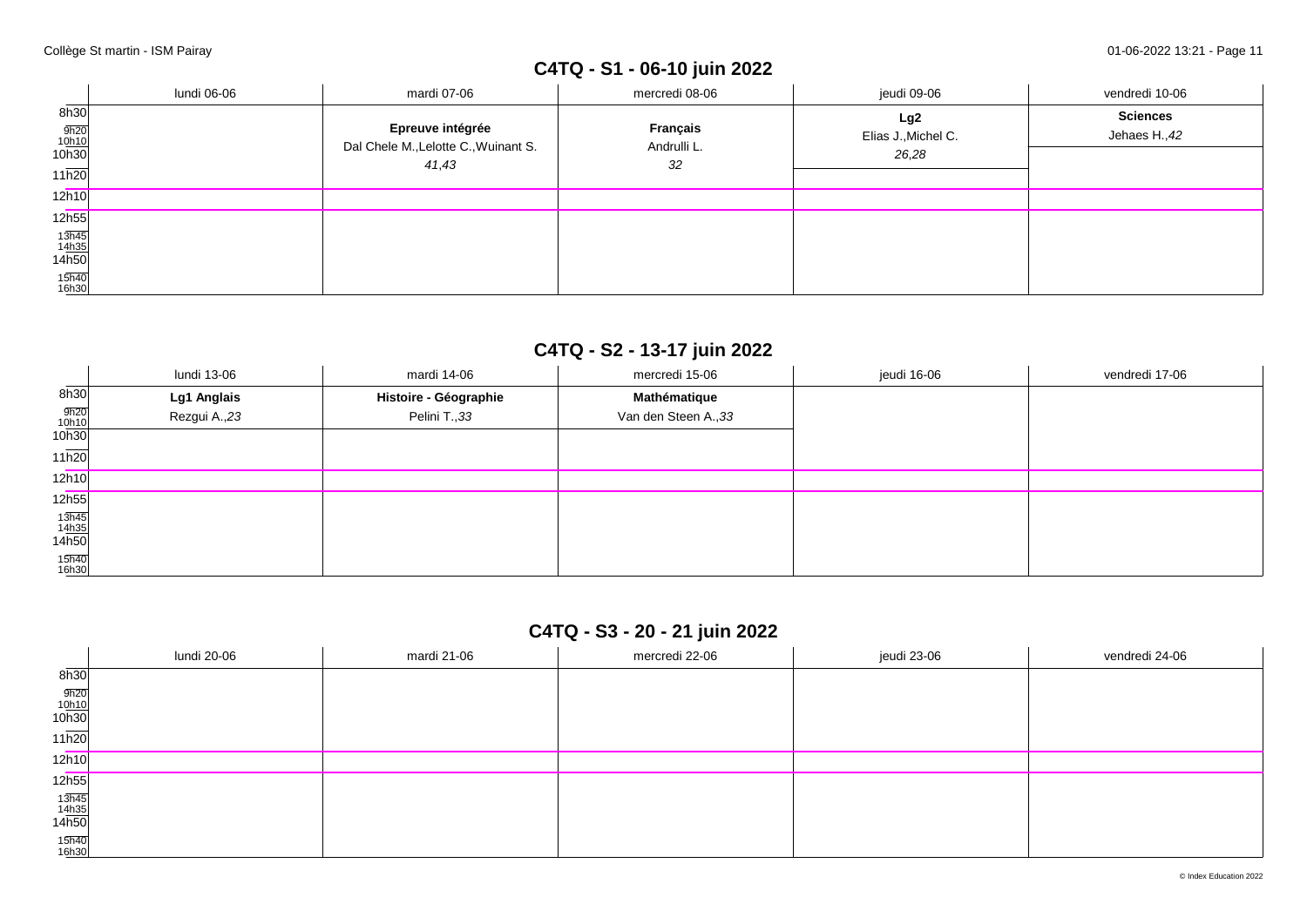# **C4TQ - S1 - 06-10 juin 2022**

|                                                    | lundi 06-06 | mardi 07-06                                                       | mercredi 08-06                       | jeudi 09-06                         | vendredi 10-06                   |
|----------------------------------------------------|-------------|-------------------------------------------------------------------|--------------------------------------|-------------------------------------|----------------------------------|
| 8h30<br>$\frac{9h20}{10h10}$<br>10h30<br>11h20     |             | Epreuve intégrée<br>Dal Chele M., Lelotte C., Wuinant S.<br>41,43 | <b>Français</b><br>Andrulli L.<br>32 | Lg2<br>Elias J., Michel C.<br>26,28 | <b>Sciences</b><br>Jehaes H., 42 |
| 12h10                                              |             |                                                                   |                                      |                                     |                                  |
| 12h55                                              |             |                                                                   |                                      |                                     |                                  |
| $\frac{13\overline{h45}}{14\underline{h35}}$ 14h50 |             |                                                                   |                                      |                                     |                                  |
| 15h40<br>16h30                                     |             |                                                                   |                                      |                                     |                                  |

## **C4TQ - S2 - 13-17 juin 2022**

|                                        | lundi 13-06   | mardi 14-06           | mercredi 15-06       | jeudi 16-06 | vendredi 17-06 |
|----------------------------------------|---------------|-----------------------|----------------------|-------------|----------------|
| $\overline{\phantom{a}}$<br>8h30       | Lg1 Anglais   | Histoire - Géographie | Mathématique         |             |                |
| 9h20<br>10h10                          | Rezgui A., 23 | Pelini T., 33         | Van den Steen A., 33 |             |                |
| 10h30                                  |               |                       |                      |             |                |
| 11h20                                  |               |                       |                      |             |                |
| 12h10                                  |               |                       |                      |             |                |
| 12h55                                  |               |                       |                      |             |                |
| $\frac{13\overline{h45}}{14h35}$ 14h50 |               |                       |                      |             |                |
|                                        |               |                       |                      |             |                |
| 15h40<br>16h30                         |               |                       |                      |             |                |

## **C4TQ - S3 - 20 - 21 juin 2022**

|                                                       | lundi 20-06 | mardi 21-06 | mercredi 22-06 | jeudi 23-06 | vendredi 24-06 |
|-------------------------------------------------------|-------------|-------------|----------------|-------------|----------------|
| $\overline{\phantom{a}}$<br>8h30                      |             |             |                |             |                |
| $\frac{9h20}{10h10}$<br>10h30                         |             |             |                |             |                |
| 11h20                                                 |             |             |                |             |                |
| 12h10                                                 |             |             |                |             |                |
| 12h55                                                 |             |             |                |             |                |
| $\frac{13\overline{h45}}{14\underline{h35}}$<br>14h50 |             |             |                |             |                |
| 15h40<br>16h30                                        |             |             |                |             |                |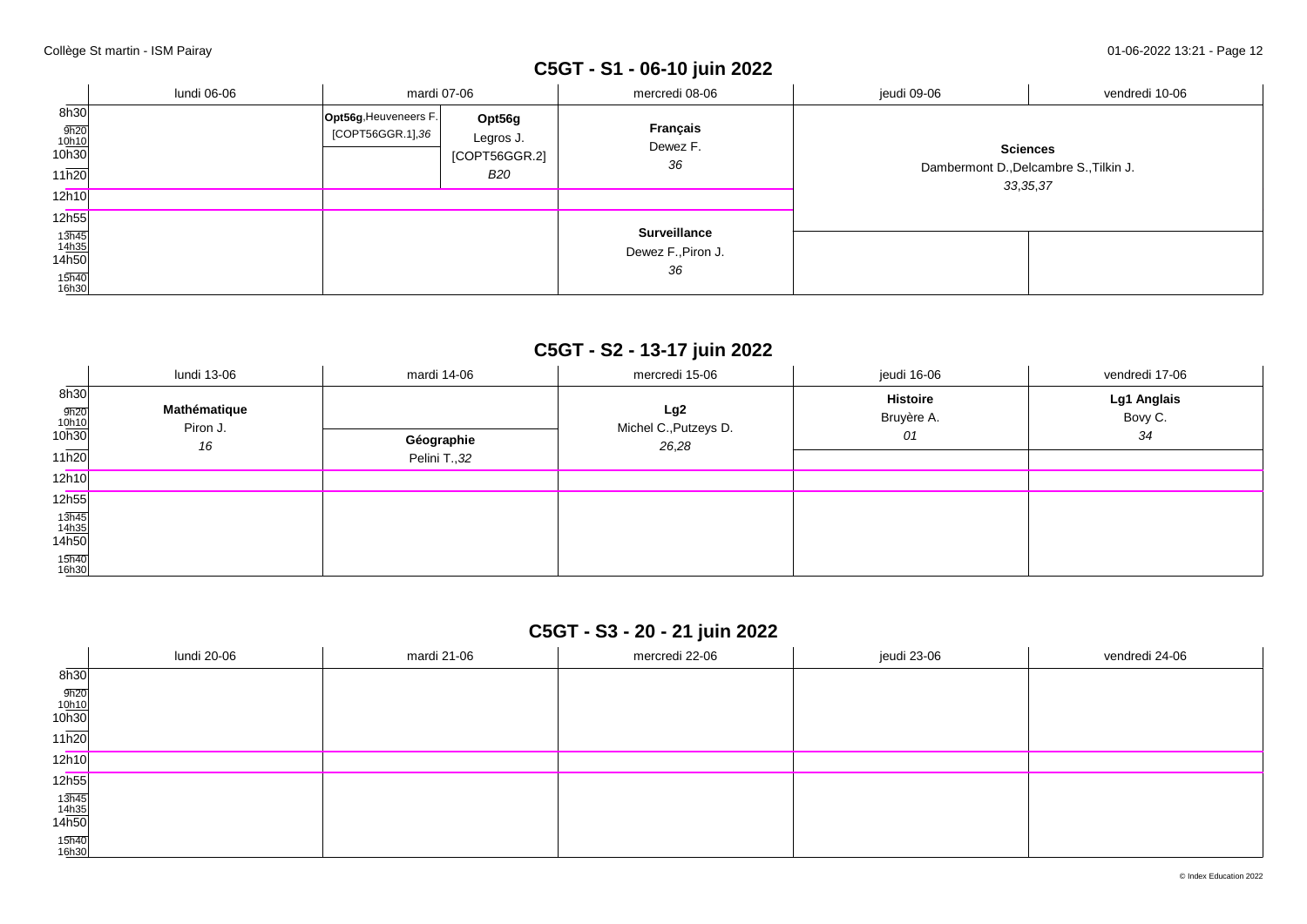# **C5GT - S1 - 06-10 juin 2022**

|                                                             | lundi 06-06 | mardi 07-06                               |                                                    | mercredi 08-06                                  | jeudi 09-06                                                             | vendredi 10-06 |
|-------------------------------------------------------------|-------------|-------------------------------------------|----------------------------------------------------|-------------------------------------------------|-------------------------------------------------------------------------|----------------|
| 8h30<br>$\frac{9h20}{10h10}$<br>10h30<br>11h20              |             | Opt56g, Heuveneers F.<br>[COPT56GGR.1],36 | Opt56g<br>Legros J.<br>[COPT56GGR.2]<br><b>B20</b> | Français<br>Dewez F.<br>36                      | <b>Sciences</b><br>Dambermont D., Delcambre S., Tilkin J.<br>33, 35, 37 |                |
| 12h10                                                       |             |                                           |                                                    |                                                 |                                                                         |                |
| 12h55                                                       |             |                                           |                                                    |                                                 |                                                                         |                |
| $\frac{13\overline{h45}}{14h35}$<br>14h50<br>15h40<br>16h30 |             |                                           |                                                    | <b>Surveillance</b><br>Dewez F., Piron J.<br>36 |                                                                         |                |

## **C5GT - S2 - 13-17 juin 2022**

|                                                             | lundi 13-06                    | mardi 14-06                 | mercredi 15-06                        | jeudi 16-06                         | vendredi 17-06               |
|-------------------------------------------------------------|--------------------------------|-----------------------------|---------------------------------------|-------------------------------------|------------------------------|
| 8h30<br>$\frac{9h20}{10h10}$<br>10h30<br>$11\overline{h20}$ | Mathématique<br>Piron J.<br>16 | Géographie<br>Pelini T., 32 | Lg2<br>Michel C., Putzeys D.<br>26,28 | <b>Histoire</b><br>Bruyère A.<br>01 | Lg1 Anglais<br>Bovy C.<br>34 |
| 12h10                                                       |                                |                             |                                       |                                     |                              |
| 12h55                                                       |                                |                             |                                       |                                     |                              |
| $\frac{13\overline{h45}}{14\underline{h35}}$ 14h50          |                                |                             |                                       |                                     |                              |
| 15h40<br>16h30                                              |                                |                             |                                       |                                     |                              |

## **C5GT - S3 - 20 - 21 juin 2022**

|                                                       | lundi 20-06 | mardi 21-06 | mercredi 22-06 | jeudi 23-06 | vendredi 24-06 |
|-------------------------------------------------------|-------------|-------------|----------------|-------------|----------------|
| $\overline{\phantom{a}}$<br>8h30                      |             |             |                |             |                |
| $\frac{9h20}{10h10}$<br>10h30                         |             |             |                |             |                |
| 11h20                                                 |             |             |                |             |                |
| 12h10                                                 |             |             |                |             |                |
| 12h55                                                 |             |             |                |             |                |
| $\frac{13\overline{h45}}{14\underline{h35}}$<br>14h50 |             |             |                |             |                |
| 15h40<br>16h30                                        |             |             |                |             |                |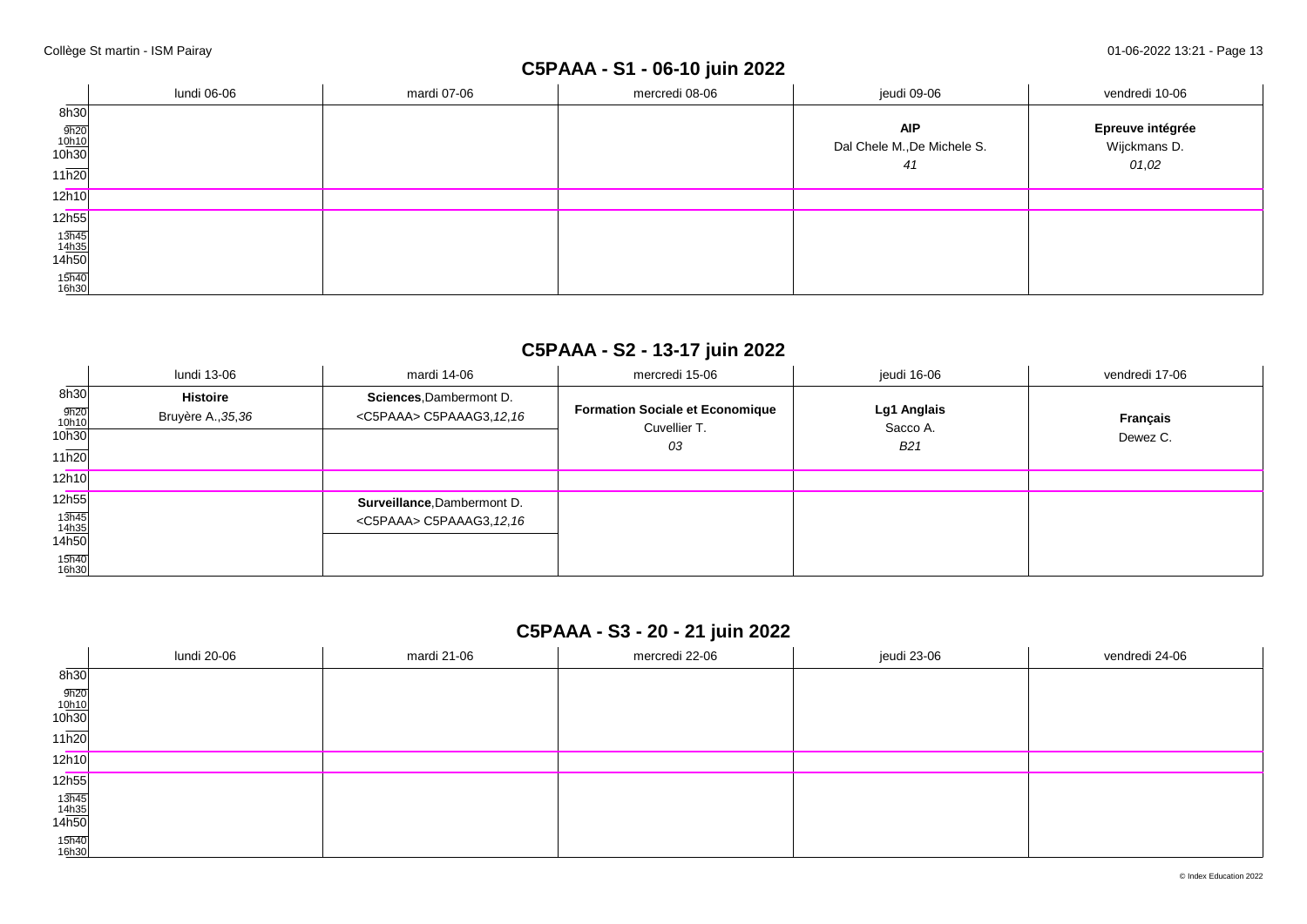## **C5PAAA - S1 - 06-10 juin 2022**

|                                                                                                              | lundi 06-06 | mardi 07-06 | mercredi 08-06 | jeudi 09-06                 | vendredi 10-06   |
|--------------------------------------------------------------------------------------------------------------|-------------|-------------|----------------|-----------------------------|------------------|
| 8h30                                                                                                         |             |             |                |                             |                  |
|                                                                                                              |             |             |                | <b>AIP</b>                  | Epreuve intégrée |
| $\frac{9h20}{10h10}$<br>10h30                                                                                |             |             |                | Dal Chele M., De Michele S. | Wijckmans D.     |
| 11h20                                                                                                        |             |             |                | 41                          | 01,02            |
| 12h10                                                                                                        |             |             |                |                             |                  |
| 12h55                                                                                                        |             |             |                |                             |                  |
| $\begin{array}{r} 13\overline{\text{h}45} \\ 14\overline{\text{h}35} \\ 14\overline{\text{h}50} \end{array}$ |             |             |                |                             |                  |
|                                                                                                              |             |             |                |                             |                  |
| 15h40<br>16h30                                                                                               |             |             |                |                             |                  |

## **C5PAAA - S2 - 13-17 juin 2022**

|                                                                                  | lundi 13-06                           | mardi 14-06                                                       | mercredi 15-06                                               | jeudi 16-06                    | vendredi 17-06       |
|----------------------------------------------------------------------------------|---------------------------------------|-------------------------------------------------------------------|--------------------------------------------------------------|--------------------------------|----------------------|
| 8h30<br>9h20<br>10h10<br>10h30<br>11h20                                          | <b>Histoire</b><br>Bruyère A., 35, 36 | Sciences, Dambermont D.<br><c5paaa> C5PAAAG3, 12, 16</c5paaa>     | <b>Formation Sociale et Economique</b><br>Cuvellier T.<br>03 | Lg1 Anglais<br>Sacco A.<br>B21 | Français<br>Dewez C. |
| 12h10                                                                            |                                       |                                                                   |                                                              |                                |                      |
| 12h55<br>$\frac{13\overline{h45}}{14\underline{h35}}$<br>14h50<br>15h40<br>16h30 |                                       | Surveillance, Dambermont D.<br><c5paaa> C5PAAAG3, 12, 16</c5paaa> |                                                              |                                |                      |

## **C5PAAA - S3 - 20 - 21 juin 2022**

|                                                        | lundi 20-06 | mardi 21-06 | mercredi 22-06 | jeudi 23-06 | vendredi 24-06 |
|--------------------------------------------------------|-------------|-------------|----------------|-------------|----------------|
| 8h30                                                   |             |             |                |             |                |
| $\frac{9h20}{10h10}$<br>10h30                          |             |             |                |             |                |
| 11h20                                                  |             |             |                |             |                |
| 12h10                                                  |             |             |                |             |                |
| 12 <sub>h55</sub>                                      |             |             |                |             |                |
| $\begin{array}{r} 13h45 \\ 14h35 \\ 14h50 \end{array}$ |             |             |                |             |                |
| 15h40<br>16h30                                         |             |             |                |             |                |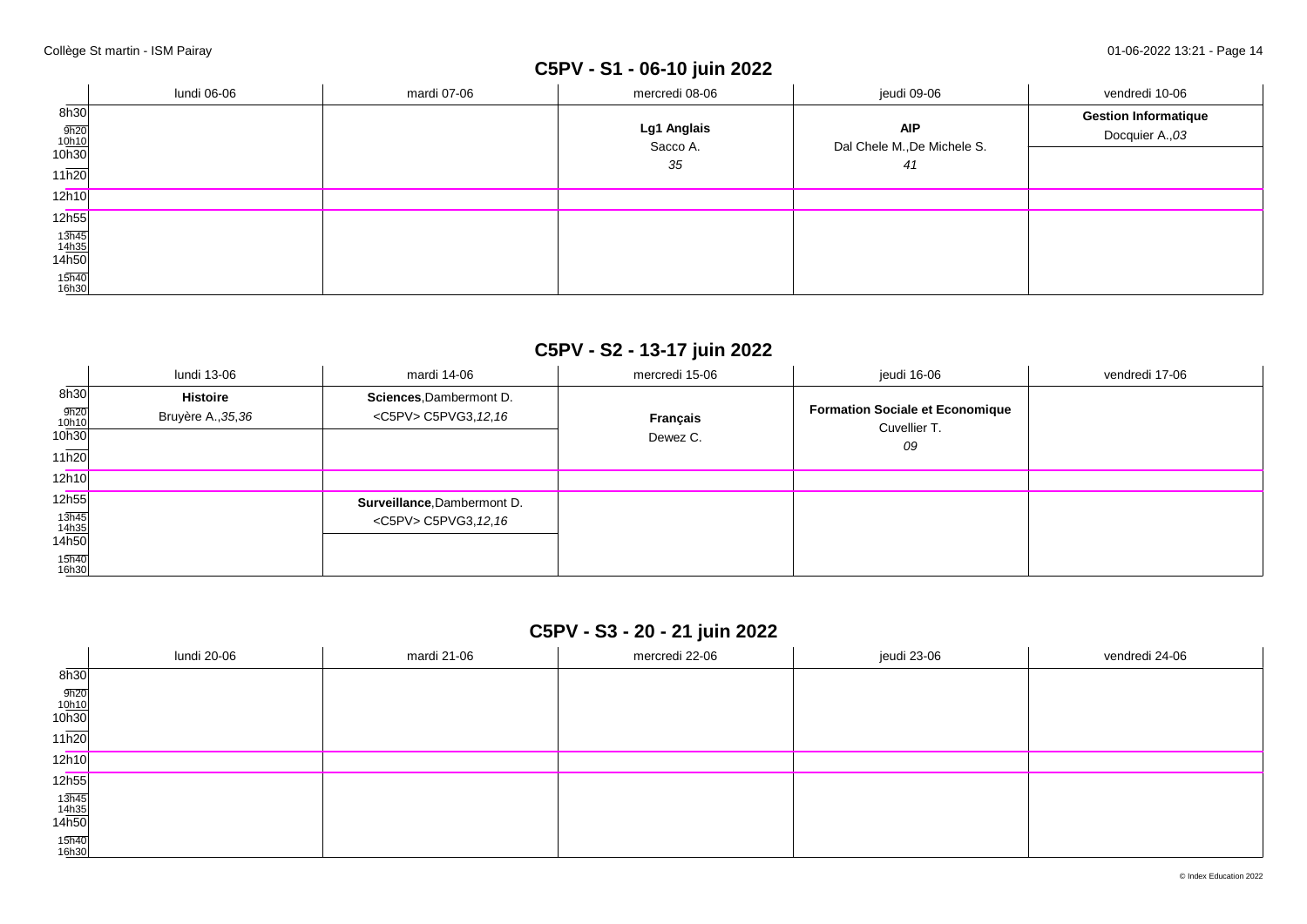# **C5PV - S1 - 06-10 juin 2022**

|                                                       | lundi 06-06 | mardi 07-06 | mercredi 08-06                | jeudi 09-06                                     | vendredi 10-06                                 |
|-------------------------------------------------------|-------------|-------------|-------------------------------|-------------------------------------------------|------------------------------------------------|
| 8h30<br>$\frac{9h20}{10h10}$<br>10h30<br>11h20        |             |             | Lg1 Anglais<br>Sacco A.<br>35 | <b>AIP</b><br>Dal Chele M., De Michele S.<br>41 | <b>Gestion Informatique</b><br>Docquier A., 03 |
| 12h10                                                 |             |             |                               |                                                 |                                                |
| 12h55                                                 |             |             |                               |                                                 |                                                |
| $\frac{13\overline{h45}}{14\underline{h35}}$<br>14h50 |             |             |                               |                                                 |                                                |
| 15h40<br>16h30                                        |             |             |                               |                                                 |                                                |

## **C5PV - S2 - 13-17 juin 2022**

|                                                                                  | lundi 13-06                    | mardi 14-06                                                 | mercredi 15-06       | jeudi 16-06                                                  | vendredi 17-06 |
|----------------------------------------------------------------------------------|--------------------------------|-------------------------------------------------------------|----------------------|--------------------------------------------------------------|----------------|
| 8h30<br>9h20<br>10h10<br>10h30<br>11h20                                          | Histoire<br>Bruyère A., 35, 36 | Sciences, Dambermont D.<br><c5pv> C5PVG3, 12, 16</c5pv>     | Français<br>Dewez C. | <b>Formation Sociale et Economique</b><br>Cuvellier T.<br>09 |                |
| 12h10                                                                            |                                |                                                             |                      |                                                              |                |
| 12h55<br>$\frac{13\overline{h45}}{14\underline{h35}}$<br>14h50<br>15h40<br>16h30 |                                | Surveillance, Dambermont D.<br><c5pv> C5PVG3, 12, 16</c5pv> |                      |                                                              |                |

## **C5PV - S3 - 20 - 21 juin 2022**

|                                                        | lundi 20-06 | mardi 21-06 | mercredi 22-06 | jeudi 23-06 | vendredi 24-06 |
|--------------------------------------------------------|-------------|-------------|----------------|-------------|----------------|
| $\overline{\phantom{a}}$<br>8h30                       |             |             |                |             |                |
| $\frac{9h20}{10h10}$<br>10h30                          |             |             |                |             |                |
| $11\overline{h20}$                                     |             |             |                |             |                |
| 12h10                                                  |             |             |                |             |                |
| 12 <sub>h55</sub>                                      |             |             |                |             |                |
| $\begin{array}{r} 13h45 \\ 14h35 \\ 14h50 \end{array}$ |             |             |                |             |                |
| 15h40<br>16h30                                         |             |             |                |             |                |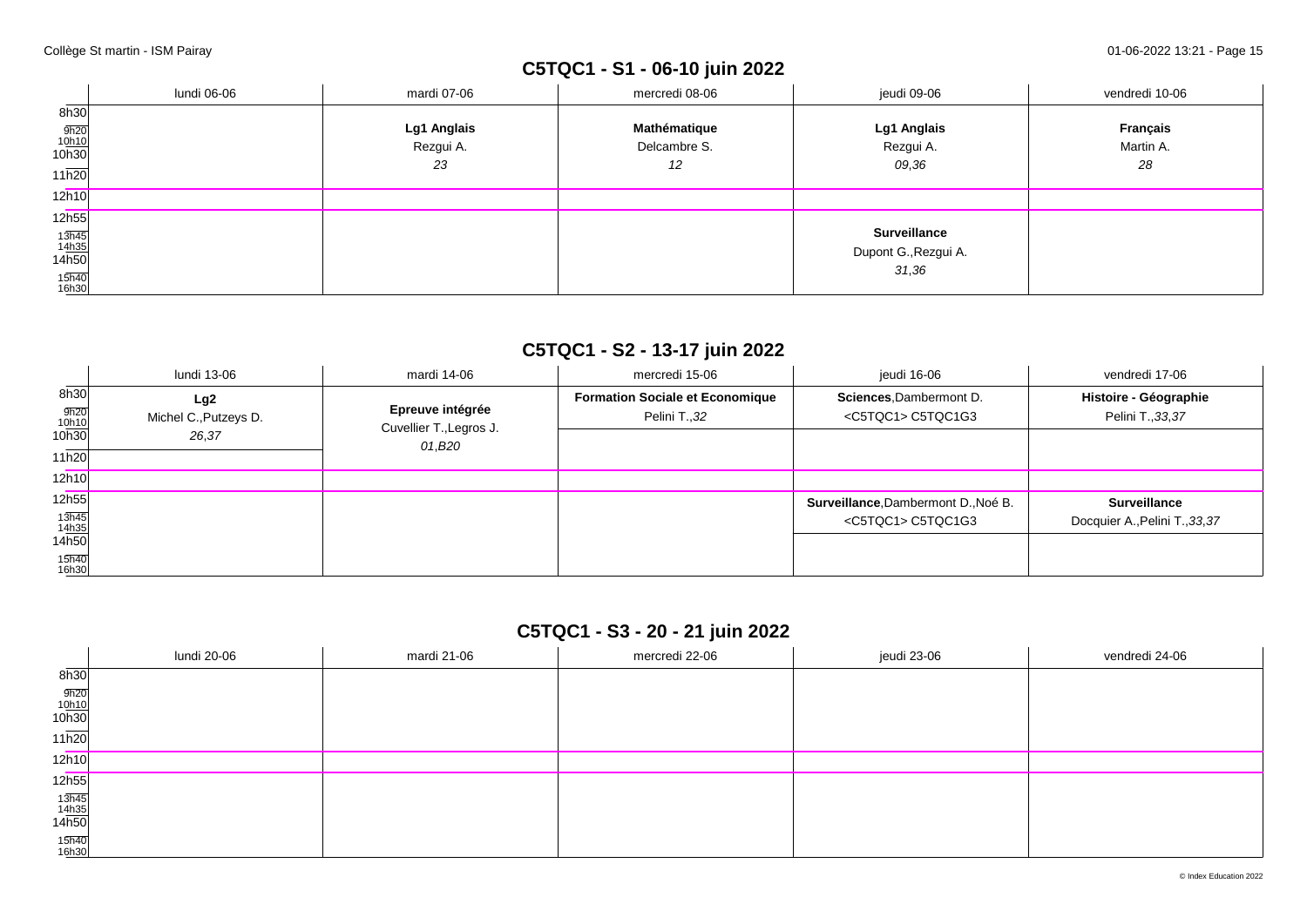## **C5TQC1 - S1 - 06-10 juin 2022**

|                                                       | lundi 06-06 | mardi 07-06 | mercredi 08-06 | jeudi 09-06          | vendredi 10-06  |
|-------------------------------------------------------|-------------|-------------|----------------|----------------------|-----------------|
| 8h30                                                  |             |             |                |                      |                 |
|                                                       |             | Lg1 Anglais | Mathématique   | Lg1 Anglais          | <b>Français</b> |
| $\frac{9h20}{10h10}$<br>10h30                         |             | Rezgui A.   | Delcambre S.   | Rezgui A.            | Martin A.       |
| 11h20                                                 |             | 23          | 12             | 09,36                | 28              |
| 12h10                                                 |             |             |                |                      |                 |
| 12h55                                                 |             |             |                |                      |                 |
| $\frac{13\overline{h45}}{14\underline{h35}}$<br>14h50 |             |             |                | <b>Surveillance</b>  |                 |
|                                                       |             |             |                | Dupont G., Rezgui A. |                 |
| 15h40<br>16h30                                        |             |             |                | 31,36                |                 |

## **C5TQC1 - S2 - 13-17 juin 2022**

|                                                | lundi 13-06                           | mardi 14-06                                           | mercredi 15-06                                          | ieudi 16-06                                                       | vendredi 17-06                                        |
|------------------------------------------------|---------------------------------------|-------------------------------------------------------|---------------------------------------------------------|-------------------------------------------------------------------|-------------------------------------------------------|
| 8h30<br>$\frac{9h20}{10h10}$<br>10h30<br>11h20 | Lg2<br>Michel C., Putzeys D.<br>26,37 | Epreuve intégrée<br>Cuvellier T., Legros J.<br>01,B20 | <b>Formation Sociale et Economique</b><br>Pelini T., 32 | Sciences, Dambermont D.<br><c5tqc1> C5TQC1G3</c5tqc1>             | Histoire - Géographie<br>Pelini T., 33, 37            |
| 12h10                                          |                                       |                                                       |                                                         |                                                                   |                                                       |
| 12h55<br>$13h45$<br>$14h35$<br>14h50           |                                       |                                                       |                                                         | Surveillance, Dambermont D., Noé B.<br><c5tqc1> C5TQC1G3</c5tqc1> | <b>Surveillance</b><br>Docquier A., Pelini T., 33, 37 |
| 15h40<br>16h30                                 |                                       |                                                       |                                                         |                                                                   |                                                       |

## **C5TQC1 - S3 - 20 - 21 juin 2022**

|                                | lundi 20-06 | mardi 21-06 | mercredi 22-06 | jeudi 23-06 | vendredi 24-06 |
|--------------------------------|-------------|-------------|----------------|-------------|----------------|
| 8h30                           |             |             |                |             |                |
| $\frac{9h20}{10h10}$<br>10h30  |             |             |                |             |                |
| 11h20                          |             |             |                |             |                |
| 12h10                          |             |             |                |             |                |
| 12h55                          |             |             |                |             |                |
| $\frac{13h45}{14h35}$<br>14h50 |             |             |                |             |                |
| 15h40<br>16h30                 |             |             |                |             |                |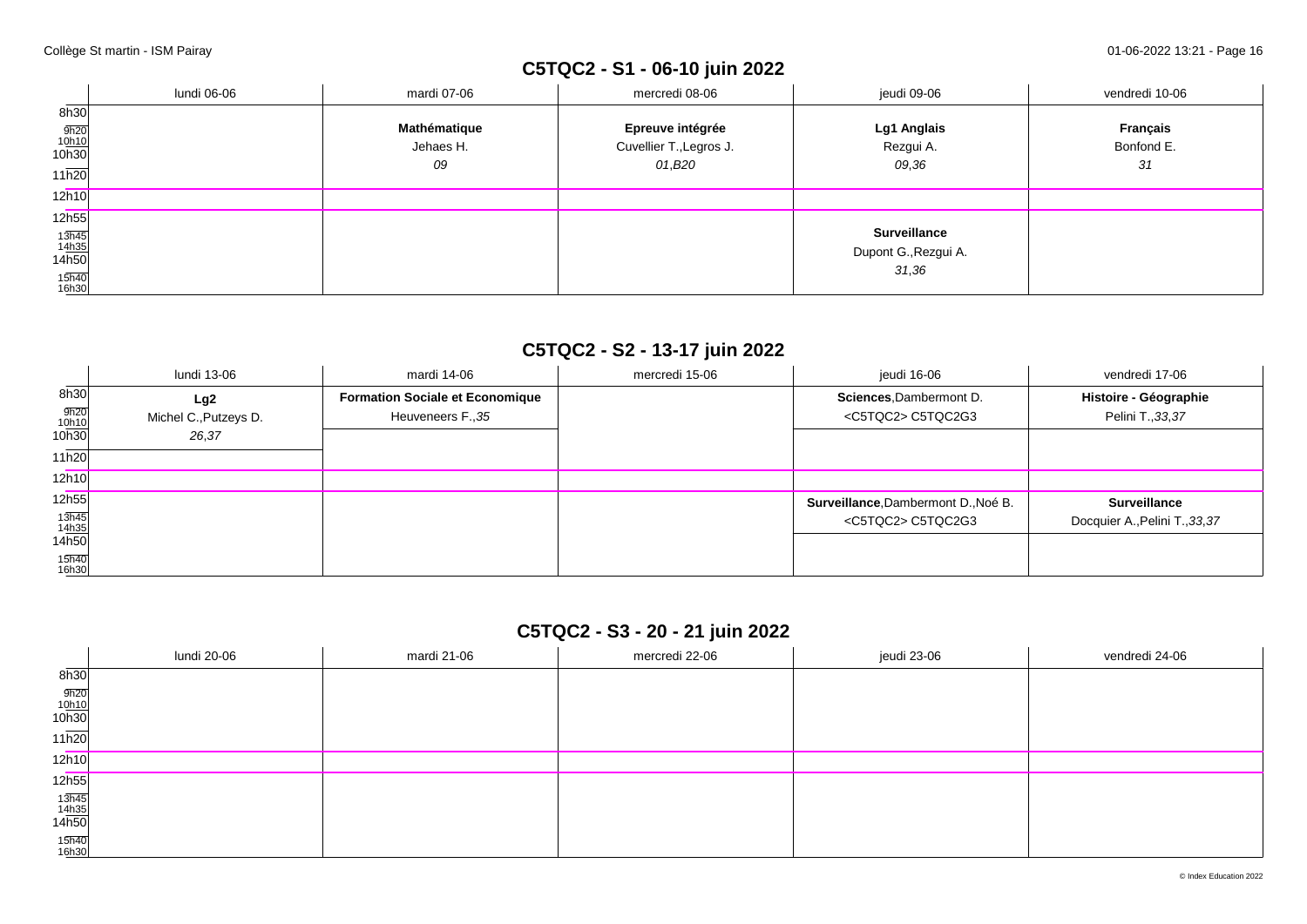## **C5TQC2 - S1 - 06-10 juin 2022**

|                                        | lundi 06-06 | mardi 07-06  | mercredi 08-06          | jeudi 09-06                                          | vendredi 10-06 |
|----------------------------------------|-------------|--------------|-------------------------|------------------------------------------------------|----------------|
| 8h30                                   |             |              |                         |                                                      |                |
|                                        |             | Mathématique | Epreuve intégrée        | Lg1 Anglais                                          | Français       |
| $\frac{9h20}{10h10}$<br>10h30          |             | Jehaes H.    | Cuvellier T., Legros J. | Rezgui A.                                            | Bonfond E.     |
| 11h20                                  |             | 09           | 01,B20                  | 09,36                                                | 31             |
| 12h10                                  |             |              |                         |                                                      |                |
| 12h55                                  |             |              |                         |                                                      |                |
| $\frac{13\overline{h45}}{14h35}$ 14h50 |             |              |                         | <b>Surveillance</b><br>Dupont G., Rezgui A.<br>31,36 |                |
| 15h40<br>16h30                         |             |              |                         |                                                      |                |

## **C5TQC2 - S2 - 13-17 juin 2022**

|                                        | lundi 13-06                           | mardi 14-06                                                 | mercredi 15-06 | ieudi 16-06                                                       | vendredi 17-06                                        |
|----------------------------------------|---------------------------------------|-------------------------------------------------------------|----------------|-------------------------------------------------------------------|-------------------------------------------------------|
| 8h30<br>$\frac{9h20}{10h10}$<br>10h30  | Lg2<br>Michel C., Putzeys D.<br>26,37 | <b>Formation Sociale et Economique</b><br>Heuveneers F., 35 |                | Sciences, Dambermont D.<br><c5tqc2> C5TQC2G3</c5tqc2>             | Histoire - Géographie<br>Pelini T., 33, 37            |
| 11h20<br>12h10                         |                                       |                                                             |                |                                                                   |                                                       |
| 12h55<br>$\frac{13h45}{14h35}$ $14h50$ |                                       |                                                             |                | Surveillance, Dambermont D., Noé B.<br><c5tqc2> C5TQC2G3</c5tqc2> | <b>Surveillance</b><br>Docquier A., Pelini T., 33, 37 |
| 15h40<br>16h30                         |                                       |                                                             |                |                                                                   |                                                       |

## **C5TQC2 - S3 - 20 - 21 juin 2022**

|                                | lundi 20-06 | mardi 21-06 | mercredi 22-06 | jeudi 23-06 | vendredi 24-06 |
|--------------------------------|-------------|-------------|----------------|-------------|----------------|
| 8h30                           |             |             |                |             |                |
| $\frac{9h20}{10h10}$<br>10h30  |             |             |                |             |                |
| 11h20                          |             |             |                |             |                |
| 12h10                          |             |             |                |             |                |
| 12h55                          |             |             |                |             |                |
| $\frac{13h45}{14h35}$<br>14h50 |             |             |                |             |                |
| 15h40<br>16h30                 |             |             |                |             |                |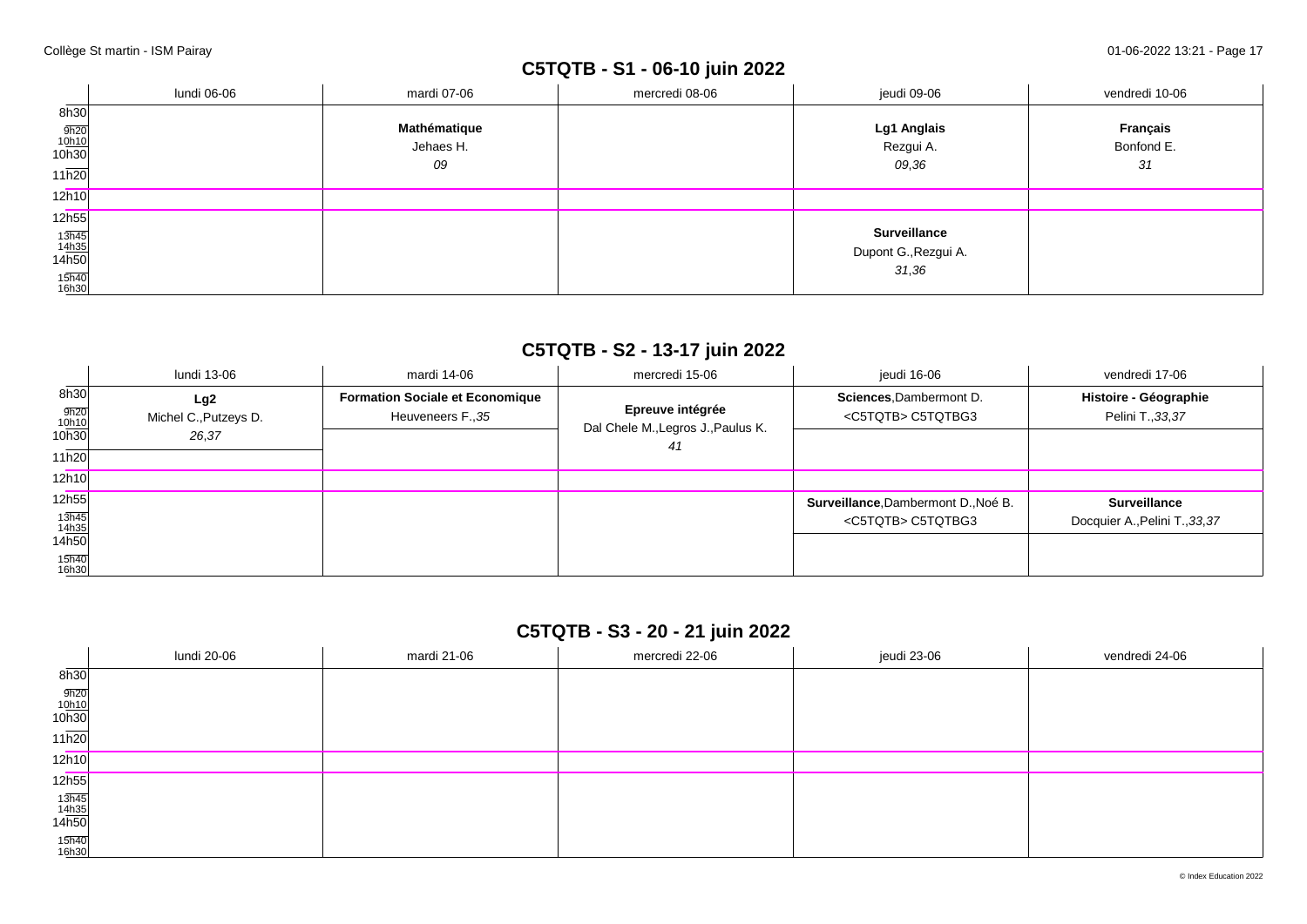## **C5TQTB - S1 - 06-10 juin 2022**

|                                        | lundi 06-06 | mardi 07-06  | mercredi 08-06 | jeudi 09-06                                          | vendredi 10-06 |
|----------------------------------------|-------------|--------------|----------------|------------------------------------------------------|----------------|
| 8h30                                   |             |              |                |                                                      |                |
|                                        |             | Mathématique |                | Lg1 Anglais                                          | Français       |
| $\frac{9h20}{10h10}$<br>10h30          |             | Jehaes H.    |                | Rezgui A.                                            | Bonfond E.     |
| 11h20                                  |             | 09           |                | 09,36                                                | 31             |
| 12h10                                  |             |              |                |                                                      |                |
| 12h55                                  |             |              |                |                                                      |                |
| $\frac{13\overline{h45}}{14h35}$ 14h50 |             |              |                | <b>Surveillance</b><br>Dupont G., Rezgui A.<br>31,36 |                |
| 15h40<br>16h30                         |             |              |                |                                                      |                |

## **C5TQTB - S2 - 13-17 juin 2022**

|                                                | lundi 13-06                           | mardi 14-06                                                 | mercredi 15-06                                               | ieudi 16-06                                                       | vendredi 17-06                                        |
|------------------------------------------------|---------------------------------------|-------------------------------------------------------------|--------------------------------------------------------------|-------------------------------------------------------------------|-------------------------------------------------------|
| 8h30<br>$\frac{9h20}{10h10}$<br>10h30<br>11h20 | Lg2<br>Michel C., Putzeys D.<br>26,37 | <b>Formation Sociale et Economique</b><br>Heuveneers F., 35 | Epreuve intégrée<br>Dal Chele M., Legros J., Paulus K.<br>41 | Sciences, Dambermont D.<br><c5tqtb> C5TQTBG3</c5tqtb>             | Histoire - Géographie<br>Pelini T., 33, 37            |
| 12h10                                          |                                       |                                                             |                                                              |                                                                   |                                                       |
| 12h55<br>13h45<br>14h35<br>14h50               |                                       |                                                             |                                                              | Surveillance, Dambermont D., Noé B.<br><c5tqtb> C5TQTBG3</c5tqtb> | <b>Surveillance</b><br>Docquier A., Pelini T., 33, 37 |
| 15h40<br>16h30                                 |                                       |                                                             |                                                              |                                                                   |                                                       |

## **C5TQTB - S3 - 20 - 21 juin 2022**

|                                                        | lundi 20-06 | mardi 21-06 | mercredi 22-06 | jeudi 23-06 | vendredi 24-06 |
|--------------------------------------------------------|-------------|-------------|----------------|-------------|----------------|
| 8h30                                                   |             |             |                |             |                |
| $\frac{9h20}{10h10}$<br>10h30                          |             |             |                |             |                |
| 11h20                                                  |             |             |                |             |                |
| 12h10                                                  |             |             |                |             |                |
| 12h55                                                  |             |             |                |             |                |
| $\begin{array}{r} 13h45 \\ 14h35 \\ 14h50 \end{array}$ |             |             |                |             |                |
| 15h40<br>16h30                                         |             |             |                |             |                |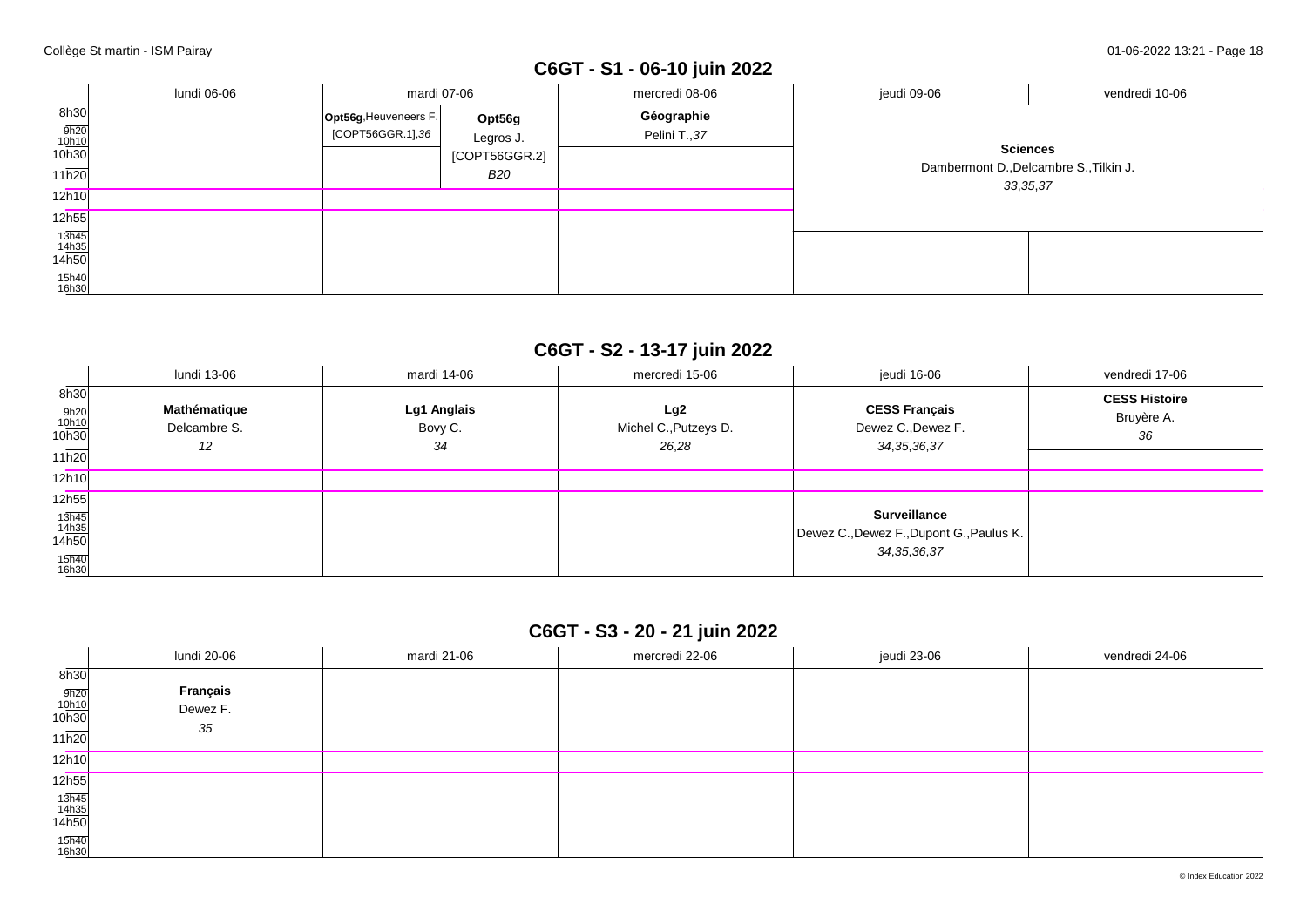# **C6GT - S1 - 06-10 juin 2022**

|                                                             | lundi 06-06 | mardi 07-06                               |                                                    | mercredi 08-06             | jeudi 09-06                                                             | vendredi 10-06 |
|-------------------------------------------------------------|-------------|-------------------------------------------|----------------------------------------------------|----------------------------|-------------------------------------------------------------------------|----------------|
| 8h30<br>$\frac{9h20}{10h10}$<br>10h30<br>11h20              |             | Opt56g, Heuveneers F.<br>[COPT56GGR.1],36 | Opt56g<br>Legros J.<br>[COPT56GGR.2]<br><b>B20</b> | Géographie<br>Pelini T.,37 | <b>Sciences</b><br>Dambermont D., Delcambre S., Tilkin J.<br>33, 35, 37 |                |
| 12h10                                                       |             |                                           |                                                    |                            |                                                                         |                |
| 12h55                                                       |             |                                           |                                                    |                            |                                                                         |                |
| $\frac{13\overline{h45}}{14\underline{h35}}$ 14h50<br>15h40 |             |                                           |                                                    |                            |                                                                         |                |
| 16h30                                                       |             |                                           |                                                    |                            |                                                                         |                |

## **C6GT - S2 - 13-17 juin 2022**

|                                                                         | lundi 13-06                        | mardi 14-06                  | mercredi 15-06                        | jeudi 16-06                                                                       | vendredi 17-06                           |
|-------------------------------------------------------------------------|------------------------------------|------------------------------|---------------------------------------|-----------------------------------------------------------------------------------|------------------------------------------|
| 8h30<br>$\frac{9h20}{10h10}$<br>10h30<br>11h20                          | Mathématique<br>Delcambre S.<br>12 | Lg1 Anglais<br>Bovy C.<br>34 | Lg2<br>Michel C., Putzeys D.<br>26,28 | <b>CESS Français</b><br>Dewez C., Dewez F.<br>34, 35, 36, 37                      | <b>CESS Histoire</b><br>Bruyère A.<br>36 |
| 12h10                                                                   |                                    |                              |                                       |                                                                                   |                                          |
| 12h55                                                                   |                                    |                              |                                       |                                                                                   |                                          |
| $\frac{13\overline{h45}}{14\underline{h35}}$<br>14h50<br>15h40<br>16h30 |                                    |                              |                                       | <b>Surveillance</b><br>Dewez C., Dewez F., Dupont G., Paulus K.<br>34, 35, 36, 37 |                                          |

## **C6GT - S3 - 20 - 21 juin 2022**

|                               | lundi 20-06 | mardi 21-06 | mercredi 22-06 | jeudi 23-06 | vendredi 24-06 |
|-------------------------------|-------------|-------------|----------------|-------------|----------------|
| 8h30                          |             |             |                |             |                |
|                               | Français    |             |                |             |                |
| $\frac{9h20}{10h10}$<br>10h30 | Dewez F.    |             |                |             |                |
| 11h20                         | 35          |             |                |             |                |
|                               |             |             |                |             |                |
| 12h10                         |             |             |                |             |                |
| 12h55                         |             |             |                |             |                |
|                               |             |             |                |             |                |
| $\frac{13h45}{14h35}$ 14h50   |             |             |                |             |                |
| 15h40<br>16h30                |             |             |                |             |                |
|                               |             |             |                |             |                |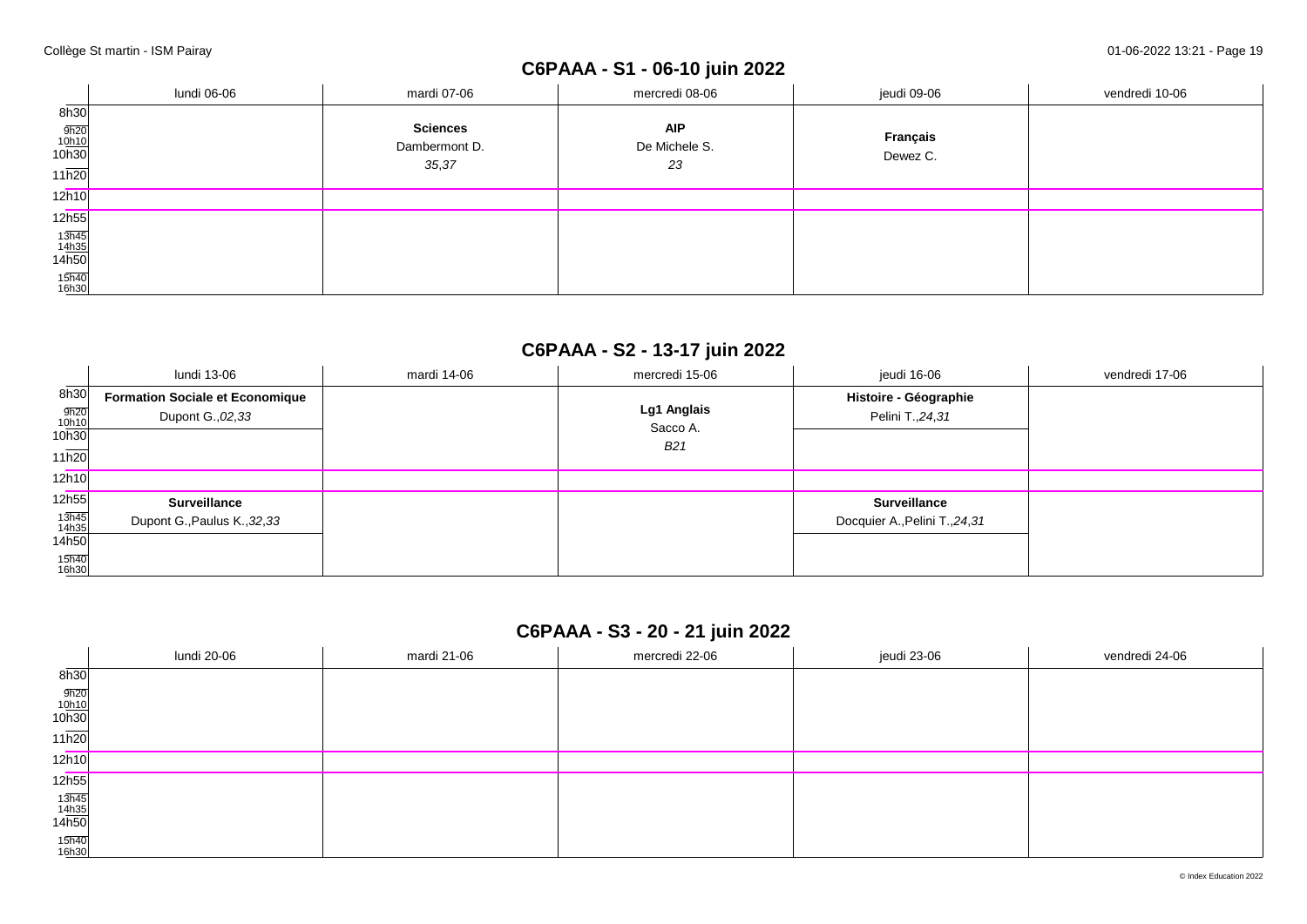## **C6PAAA - S1 - 06-10 juin 2022**

|                                                       | lundi 06-06 | mardi 07-06     | mercredi 08-06 | jeudi 09-06 | vendredi 10-06 |
|-------------------------------------------------------|-------------|-----------------|----------------|-------------|----------------|
| 8h30                                                  |             |                 |                |             |                |
|                                                       |             | <b>Sciences</b> | <b>AIP</b>     | Français    |                |
| $\frac{9h20}{10h10}$<br>10h30                         |             | Dambermont D.   | De Michele S.  | Dewez C.    |                |
| 11h20                                                 |             | 35,37           | 23             |             |                |
| 12h10                                                 |             |                 |                |             |                |
| 12h55                                                 |             |                 |                |             |                |
|                                                       |             |                 |                |             |                |
| $\frac{13\overline{h45}}{14\underline{h35}}$<br>14h50 |             |                 |                |             |                |
| 15h40<br>16h30                                        |             |                 |                |             |                |

## **C6PAAA - S2 - 13-17 juin 2022**

|                                                    | lundi 13-06                                                 | mardi 14-06 | mercredi 15-06                 | jeudi 16-06                                           | vendredi 17-06 |
|----------------------------------------------------|-------------------------------------------------------------|-------------|--------------------------------|-------------------------------------------------------|----------------|
| 8h30<br>$\frac{9h20}{10h10}$<br>10h30<br>11h20     | <b>Formation Sociale et Economique</b><br>Dupont G., 02, 33 |             | Lg1 Anglais<br>Sacco A.<br>B21 | Histoire - Géographie<br>Pelini T., 24, 31            |                |
| 12h10                                              |                                                             |             |                                |                                                       |                |
| 12h55<br>13h45<br>14h35<br>14h50<br>15h40<br>16h30 | <b>Surveillance</b><br>Dupont G., Paulus K., 32, 33         |             |                                | <b>Surveillance</b><br>Docquier A., Pelini T., 24, 31 |                |

## **C6PAAA - S3 - 20 - 21 juin 2022**

|                                                        | lundi 20-06 | mardi 21-06 | mercredi 22-06 | jeudi 23-06 | vendredi 24-06 |
|--------------------------------------------------------|-------------|-------------|----------------|-------------|----------------|
| 8h30                                                   |             |             |                |             |                |
| $\frac{9h20}{10h10}$<br>10h30                          |             |             |                |             |                |
| 11h20                                                  |             |             |                |             |                |
| 12h10                                                  |             |             |                |             |                |
| 12 <sub>h55</sub>                                      |             |             |                |             |                |
| $\begin{array}{r} 13h45 \\ 14h35 \\ 14h50 \end{array}$ |             |             |                |             |                |
| 15h40<br>16h30                                         |             |             |                |             |                |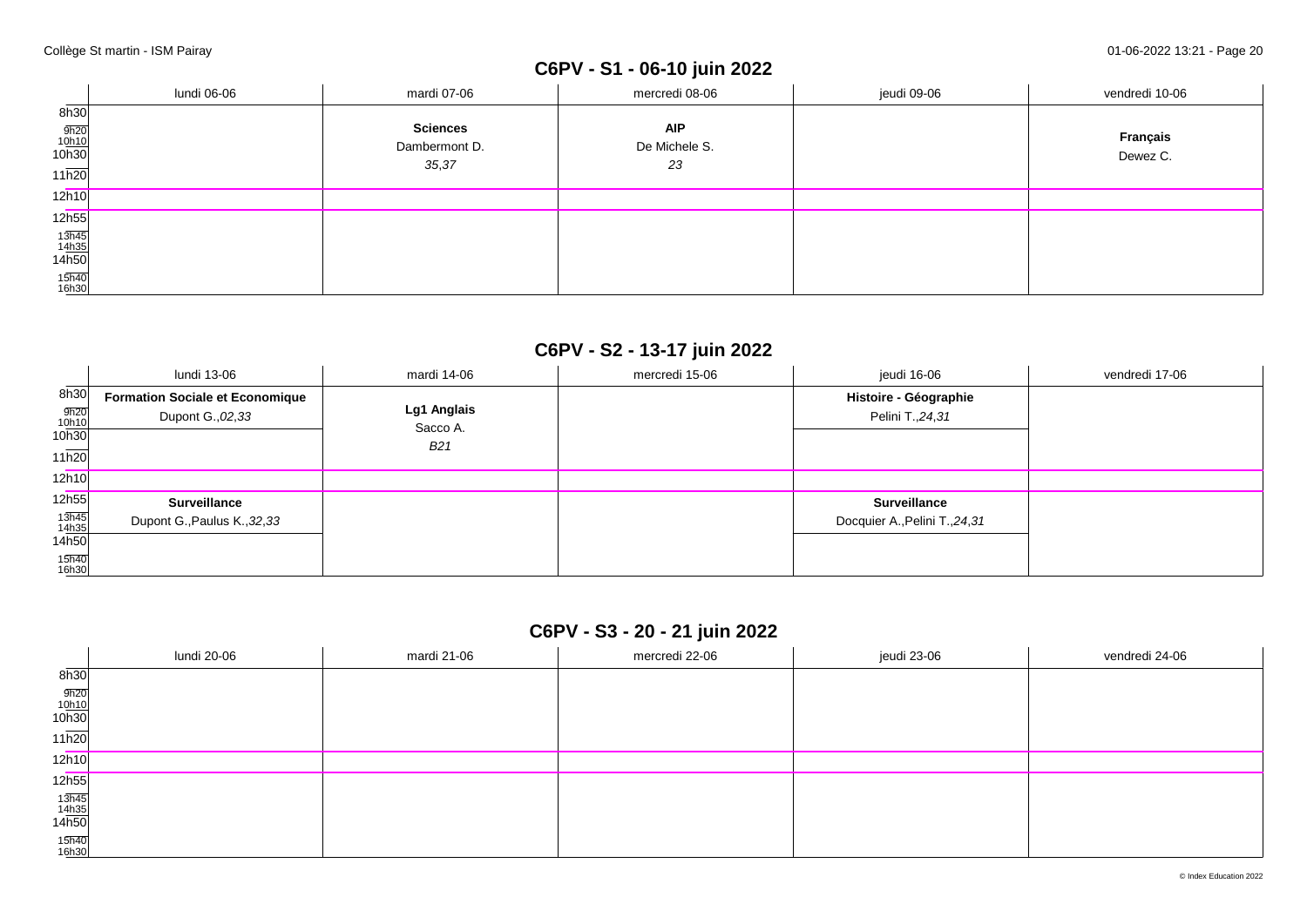# **C6PV - S1 - 06-10 juin 2022**

|                                                    | lundi 06-06 | mardi 07-06                               | mercredi 08-06                    | jeudi 09-06 | vendredi 10-06       |
|----------------------------------------------------|-------------|-------------------------------------------|-----------------------------------|-------------|----------------------|
| 8h30<br>$\frac{9h20}{10h10}$<br>10h30<br>11h20     |             | <b>Sciences</b><br>Dambermont D.<br>35,37 | <b>AIP</b><br>De Michele S.<br>23 |             | Français<br>Dewez C. |
| 12h10                                              |             |                                           |                                   |             |                      |
| 12h55                                              |             |                                           |                                   |             |                      |
| $\frac{13\overline{h45}}{14\underline{h35}}$ 14h50 |             |                                           |                                   |             |                      |
| 15h40<br>16h30                                     |             |                                           |                                   |             |                      |

## **C6PV - S2 - 13-17 juin 2022**

|                                                        | lundi 13-06                                                 | mardi 14-06                           | mercredi 15-06 | jeudi 16-06                                           | vendredi 17-06 |
|--------------------------------------------------------|-------------------------------------------------------------|---------------------------------------|----------------|-------------------------------------------------------|----------------|
| 8h30<br>$\frac{9h20}{10h10}$<br>10h30<br>11h20         | <b>Formation Sociale et Economique</b><br>Dupont G., 02, 33 | Lg1 Anglais<br>Sacco A.<br><b>B21</b> |                | Histoire - Géographie<br>Pelini T., 24, 31            |                |
| 12h10                                                  |                                                             |                                       |                |                                                       |                |
| 12h55<br>$13h45$<br>$14h35$<br>14h50<br>15h40<br>16h30 | <b>Surveillance</b><br>Dupont G., Paulus K., 32, 33         |                                       |                | <b>Surveillance</b><br>Docquier A., Pelini T., 24, 31 |                |

## **C6PV - S3 - 20 - 21 juin 2022**

|                                                        | lundi 20-06 | mardi 21-06 | mercredi 22-06 | jeudi 23-06 | vendredi 24-06 |
|--------------------------------------------------------|-------------|-------------|----------------|-------------|----------------|
| $\frac{1}{2}$<br>8h30                                  |             |             |                |             |                |
| $\frac{9h20}{10h10}$<br>10h30                          |             |             |                |             |                |
| 11h20                                                  |             |             |                |             |                |
| 12h10                                                  |             |             |                |             |                |
| 12h55                                                  |             |             |                |             |                |
| $\begin{array}{r} 13h45 \\ 14h35 \\ 14h50 \end{array}$ |             |             |                |             |                |
| 15h40<br>16h30                                         |             |             |                |             |                |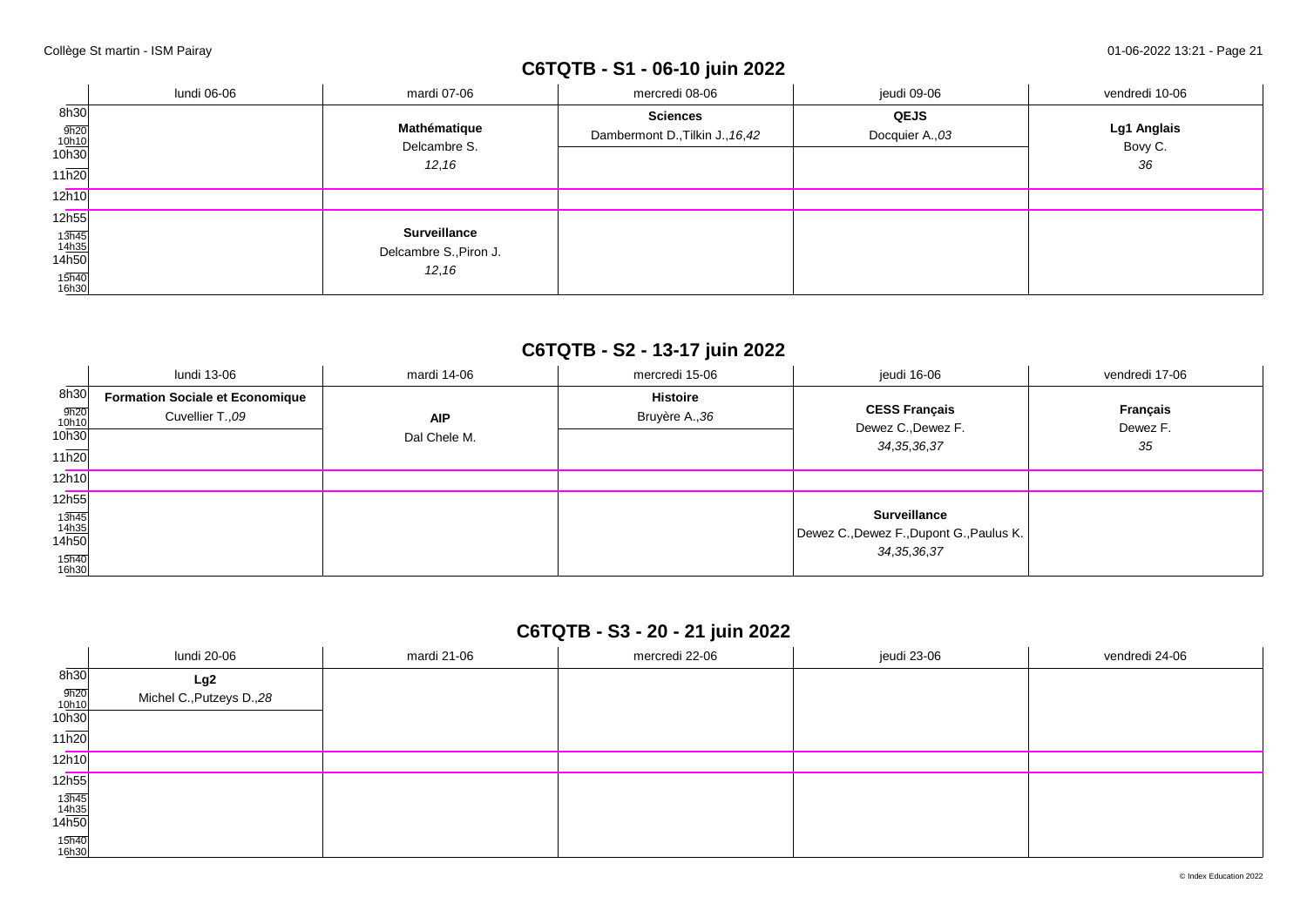# **C6TQTB - S1 - 06-10 juin 2022**

|                                                                                  | lundi 06-06 | mardi 07-06                                             | mercredi 08-06                                      | jeudi 09-06                    | vendredi 10-06               |
|----------------------------------------------------------------------------------|-------------|---------------------------------------------------------|-----------------------------------------------------|--------------------------------|------------------------------|
| 8h30<br>$\frac{9h20}{10h10}$<br>10h30<br>11h20                                   |             | Mathématique<br>Delcambre S.<br>12, 16                  | <b>Sciences</b><br>Dambermont D., Tilkin J., 16, 42 | <b>QEJS</b><br>Docquier A., 03 | Lg1 Anglais<br>Bovy C.<br>36 |
| 12h10                                                                            |             |                                                         |                                                     |                                |                              |
| 12h55<br>$\frac{13\overline{h45}}{14\underline{h35}}$<br>14h50<br>15h40<br>16h30 |             | <b>Surveillance</b><br>Delcambre S., Piron J.<br>12, 16 |                                                     |                                |                              |

## **C6TQTB - S2 - 13-17 juin 2022**

|                                                       | lundi 13-06                            | mardi 14-06  | mercredi 15-06  | jeudi 16-06                                                | vendredi 17-06 |
|-------------------------------------------------------|----------------------------------------|--------------|-----------------|------------------------------------------------------------|----------------|
| 8h30                                                  | <b>Formation Sociale et Economique</b> |              | <b>Histoire</b> | <b>CESS Français</b>                                       | Français       |
| 9h20<br>10h10                                         | Cuvellier T., 09                       | <b>AIP</b>   | Bruyère A., 36  | Dewez C., Dewez F.                                         | Dewez F.       |
| 10h30                                                 |                                        | Dal Chele M. |                 | 34, 35, 36, 37                                             | 35             |
| 11h20                                                 |                                        |              |                 |                                                            |                |
| 12h10                                                 |                                        |              |                 |                                                            |                |
| 12h55                                                 |                                        |              |                 |                                                            |                |
| $\frac{13\overline{h45}}{14\underline{h35}}$<br>14h50 |                                        |              |                 | <b>Surveillance</b>                                        |                |
|                                                       |                                        |              |                 | Dewez C., Dewez F., Dupont G., Paulus K.<br>34, 35, 36, 37 |                |
| 15h40<br>16h30                                        |                                        |              |                 |                                                            |                |

## **C6TQTB - S3 - 20 - 21 juin 2022**

|                                        | lundi 20-06               | mardi 21-06 | mercredi 22-06 | jeudi 23-06 | vendredi 24-06 |
|----------------------------------------|---------------------------|-------------|----------------|-------------|----------------|
| 8h30                                   | Lg2                       |             |                |             |                |
| $\frac{9h20}{10h10}$<br>10h30          | Michel C., Putzeys D., 28 |             |                |             |                |
|                                        |                           |             |                |             |                |
| 11h20                                  |                           |             |                |             |                |
| 12h10                                  |                           |             |                |             |                |
| 12h55                                  |                           |             |                |             |                |
| $\frac{13\overline{h45}}{14h35}$ 14h50 |                           |             |                |             |                |
|                                        |                           |             |                |             |                |
| 15h40<br>16h30                         |                           |             |                |             |                |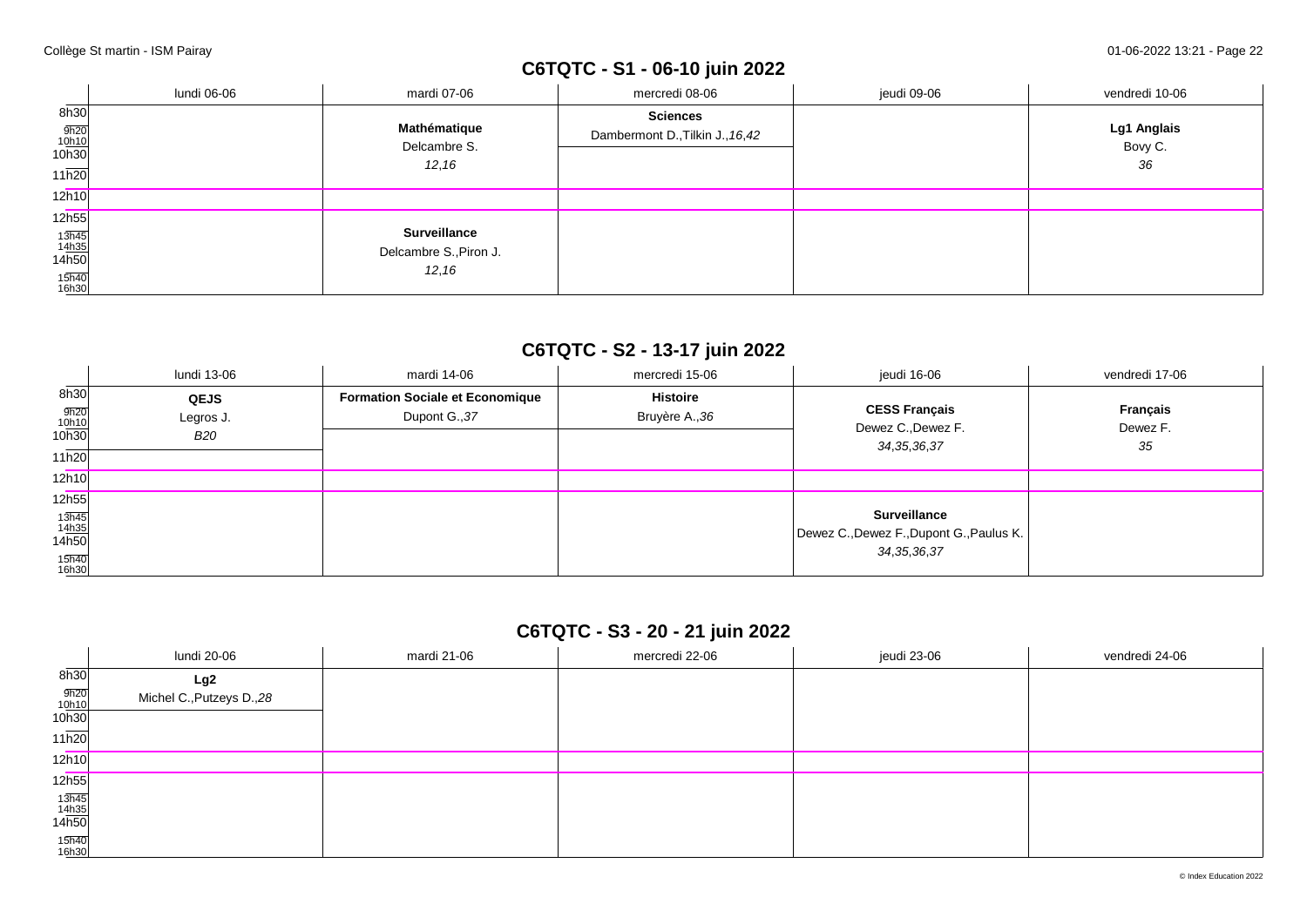# **C6TQTC - S1 - 06-10 juin 2022**

|                                                                   | lundi 06-06 | mardi 07-06                                             | mercredi 08-06                                      | jeudi 09-06 | vendredi 10-06               |
|-------------------------------------------------------------------|-------------|---------------------------------------------------------|-----------------------------------------------------|-------------|------------------------------|
| 8h30<br>$\frac{9h20}{10h10}$<br>10h30<br>11h20                    |             | Mathématique<br>Delcambre S.<br>12, 16                  | <b>Sciences</b><br>Dambermont D., Tilkin J., 16, 42 |             | Lg1 Anglais<br>Bovy C.<br>36 |
| 12h10                                                             |             |                                                         |                                                     |             |                              |
| 12h55<br>$\frac{13\overline{h45}}{14h35}$ 14h50<br>15h40<br>16h30 |             | <b>Surveillance</b><br>Delcambre S., Piron J.<br>12, 16 |                                                     |             |                              |

## **C6TQTC - S2 - 13-17 juin 2022**

|                                                                         | lundi 13-06                            | mardi 14-06                                             | mercredi 15-06                    | jeudi 16-06                                                                       | vendredi 17-06             |
|-------------------------------------------------------------------------|----------------------------------------|---------------------------------------------------------|-----------------------------------|-----------------------------------------------------------------------------------|----------------------------|
| 8h30<br>9h20<br>10h10<br>10h30<br>11h20                                 | <b>QEJS</b><br>Legros J.<br><b>B20</b> | <b>Formation Sociale et Economique</b><br>Dupont G., 37 | <b>Histoire</b><br>Bruyère A., 36 | <b>CESS Français</b><br>Dewez C., Dewez F.<br>34, 35, 36, 37                      | Français<br>Dewez F.<br>35 |
| 12h10                                                                   |                                        |                                                         |                                   |                                                                                   |                            |
| 12h55                                                                   |                                        |                                                         |                                   |                                                                                   |                            |
| $\frac{13\overline{h45}}{14\underline{h35}}$<br>14h50<br>15h40<br>16h30 |                                        |                                                         |                                   | <b>Surveillance</b><br>Dewez C., Dewez F., Dupont G., Paulus K.<br>34, 35, 36, 37 |                            |

## **C6TQTC - S3 - 20 - 21 juin 2022**

|                                        | lundi 20-06               | mardi 21-06 | mercredi 22-06 | jeudi 23-06 | vendredi 24-06 |
|----------------------------------------|---------------------------|-------------|----------------|-------------|----------------|
| 8h30                                   | Lg2                       |             |                |             |                |
| $\frac{9h20}{10h10}$<br>10h30          | Michel C., Putzeys D., 28 |             |                |             |                |
|                                        |                           |             |                |             |                |
| 11h20                                  |                           |             |                |             |                |
| 12h10                                  |                           |             |                |             |                |
| 12h55                                  |                           |             |                |             |                |
| $\frac{13\overline{h45}}{14h35}$ 14h50 |                           |             |                |             |                |
|                                        |                           |             |                |             |                |
| 15h40<br>16h30                         |                           |             |                |             |                |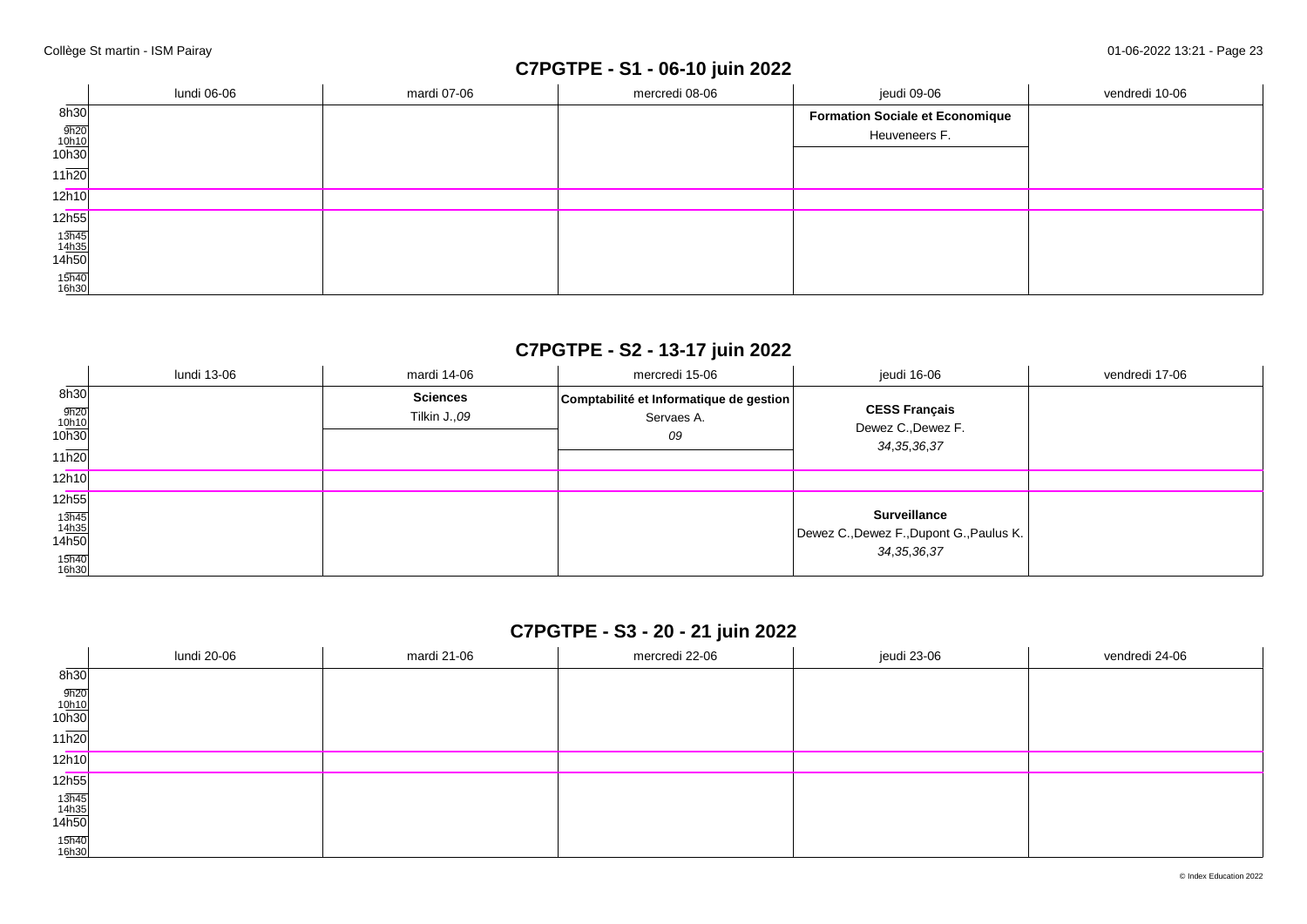## **C7PGTPE - S1 - 06-10 juin 2022**

|                                | lundi 06-06 | mardi 07-06 | mercredi 08-06 | jeudi 09-06                            | vendredi 10-06 |
|--------------------------------|-------------|-------------|----------------|----------------------------------------|----------------|
| 8h30                           |             |             |                | <b>Formation Sociale et Economique</b> |                |
|                                |             |             |                | Heuveneers F.                          |                |
| $\frac{9h20}{10h10}$<br>10h30  |             |             |                |                                        |                |
| 11h20                          |             |             |                |                                        |                |
| 12h10                          |             |             |                |                                        |                |
| 12h55                          |             |             |                |                                        |                |
|                                |             |             |                |                                        |                |
| $\frac{13h45}{14h35}$<br>14h50 |             |             |                |                                        |                |
| 15h40<br>16h30                 |             |             |                |                                        |                |

## **C7PGTPE - S2 - 13-17 juin 2022**

|                                                                         | lundi 13-06 | mardi 14-06                     | mercredi 15-06                                              | jeudi 16-06                                                                       | vendredi 17-06 |
|-------------------------------------------------------------------------|-------------|---------------------------------|-------------------------------------------------------------|-----------------------------------------------------------------------------------|----------------|
| 8h30<br>$\frac{9h20}{10h10}$<br>10h30<br>11h20                          |             | <b>Sciences</b><br>Tilkin J.,09 | Comptabilité et Informatique de gestion<br>Servaes A.<br>09 | <b>CESS Français</b><br>Dewez C., Dewez F.<br>34, 35, 36, 37                      |                |
| 12h10                                                                   |             |                                 |                                                             |                                                                                   |                |
| 12h55                                                                   |             |                                 |                                                             |                                                                                   |                |
| $\frac{13\overline{h45}}{14\underline{h35}}$<br>14h50<br>15h40<br>16h30 |             |                                 |                                                             | <b>Surveillance</b><br>Dewez C., Dewez F., Dupont G., Paulus K.<br>34, 35, 36, 37 |                |

### **C7PGTPE - S3 - 20 - 21 juin 2022**

|                                | lundi 20-06 | mardi 21-06 | mercredi 22-06 | jeudi 23-06 | vendredi 24-06 |
|--------------------------------|-------------|-------------|----------------|-------------|----------------|
| 8h30                           |             |             |                |             |                |
| $\frac{9h20}{10h10}$<br>10h30  |             |             |                |             |                |
| 11h20                          |             |             |                |             |                |
| 12h10                          |             |             |                |             |                |
| 12h55                          |             |             |                |             |                |
| $\frac{13h45}{14h35}$<br>14h50 |             |             |                |             |                |
| 15h40<br>16h30                 |             |             |                |             |                |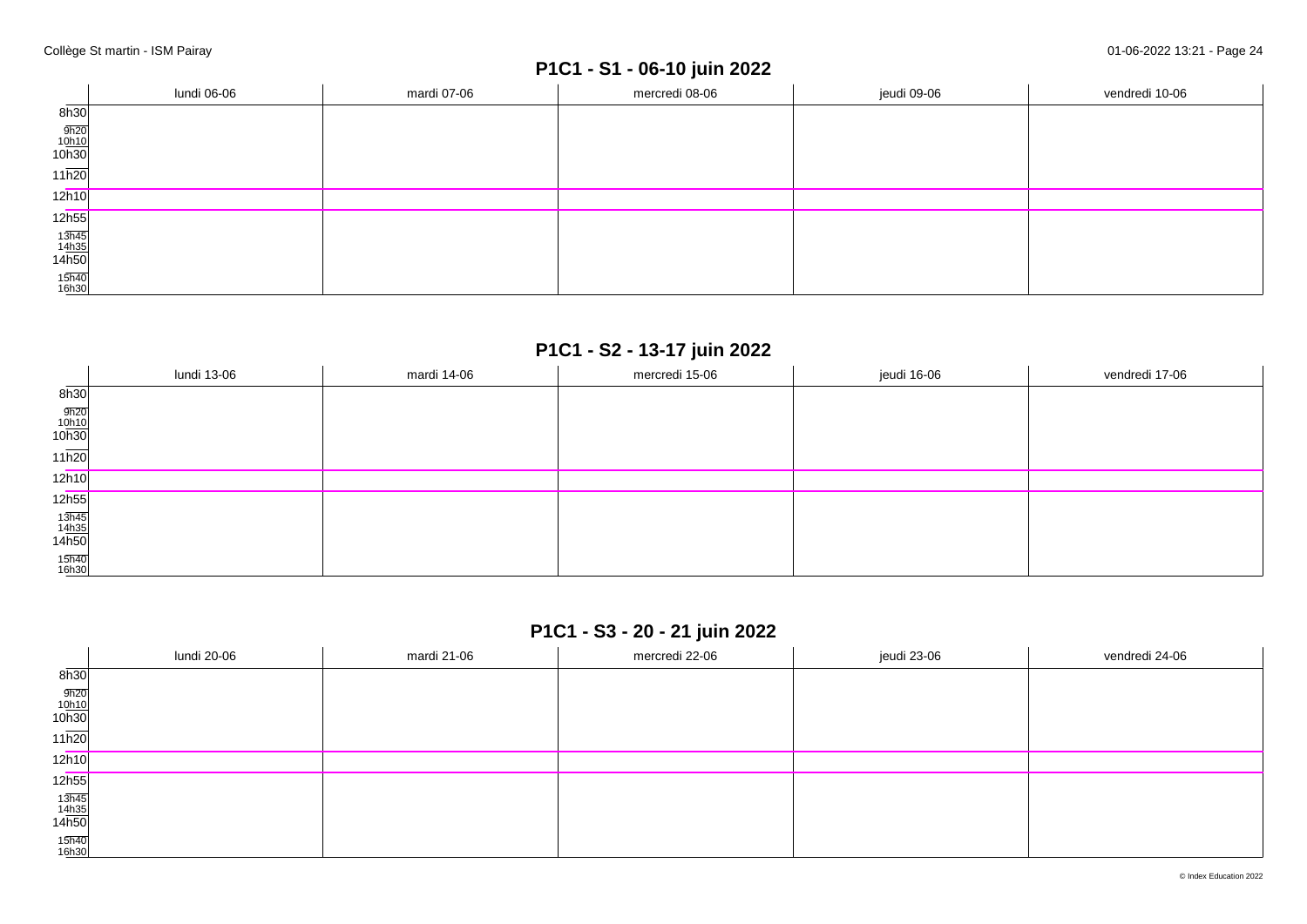# **P1C1 - S1 - 06-10 juin 2022**

|                                | lundi 06-06 | mardi 07-06 | mercredi 08-06 | jeudi 09-06 | vendredi 10-06 |
|--------------------------------|-------------|-------------|----------------|-------------|----------------|
| 8h30                           |             |             |                |             |                |
| $\frac{9h20}{10h10}$<br>10h30  |             |             |                |             |                |
| $11\overline{h20}$             |             |             |                |             |                |
| 12h10                          |             |             |                |             |                |
| 12h55                          |             |             |                |             |                |
| $\frac{13h45}{14h35}$<br>14h50 |             |             |                |             |                |
| 15h40<br>16h30                 |             |             |                |             |                |

### **P1C1 - S2 - 13-17 juin 2022**

|                                                        | lundi 13-06 | mardi 14-06 | mercredi 15-06 | jeudi 16-06 | vendredi 17-06 |
|--------------------------------------------------------|-------------|-------------|----------------|-------------|----------------|
| 8h30                                                   |             |             |                |             |                |
| $\frac{9h20}{10h10}$<br>10h30                          |             |             |                |             |                |
| $11\overline{h20}$                                     |             |             |                |             |                |
| 12h10                                                  |             |             |                |             |                |
| 12 <sub>h55</sub>                                      |             |             |                |             |                |
| $\begin{array}{r} 13h45 \\ 14h35 \\ 14h50 \end{array}$ |             |             |                |             |                |
| 15h40<br>16h30                                         |             |             |                |             |                |

### **P1C1 - S3 - 20 - 21 juin 2022**

|                                                        | lundi 20-06 | mardi 21-06 | mercredi 22-06 | jeudi 23-06 | vendredi 24-06 |
|--------------------------------------------------------|-------------|-------------|----------------|-------------|----------------|
| 8h30                                                   |             |             |                |             |                |
| $\frac{9h20}{10h10}$<br>10h30                          |             |             |                |             |                |
| 11h20                                                  |             |             |                |             |                |
| 12h10                                                  |             |             |                |             |                |
| 12h55                                                  |             |             |                |             |                |
| $\begin{array}{r} 13h45 \\ 14h35 \\ 14h50 \end{array}$ |             |             |                |             |                |
| 15h40<br>16h30                                         |             |             |                |             |                |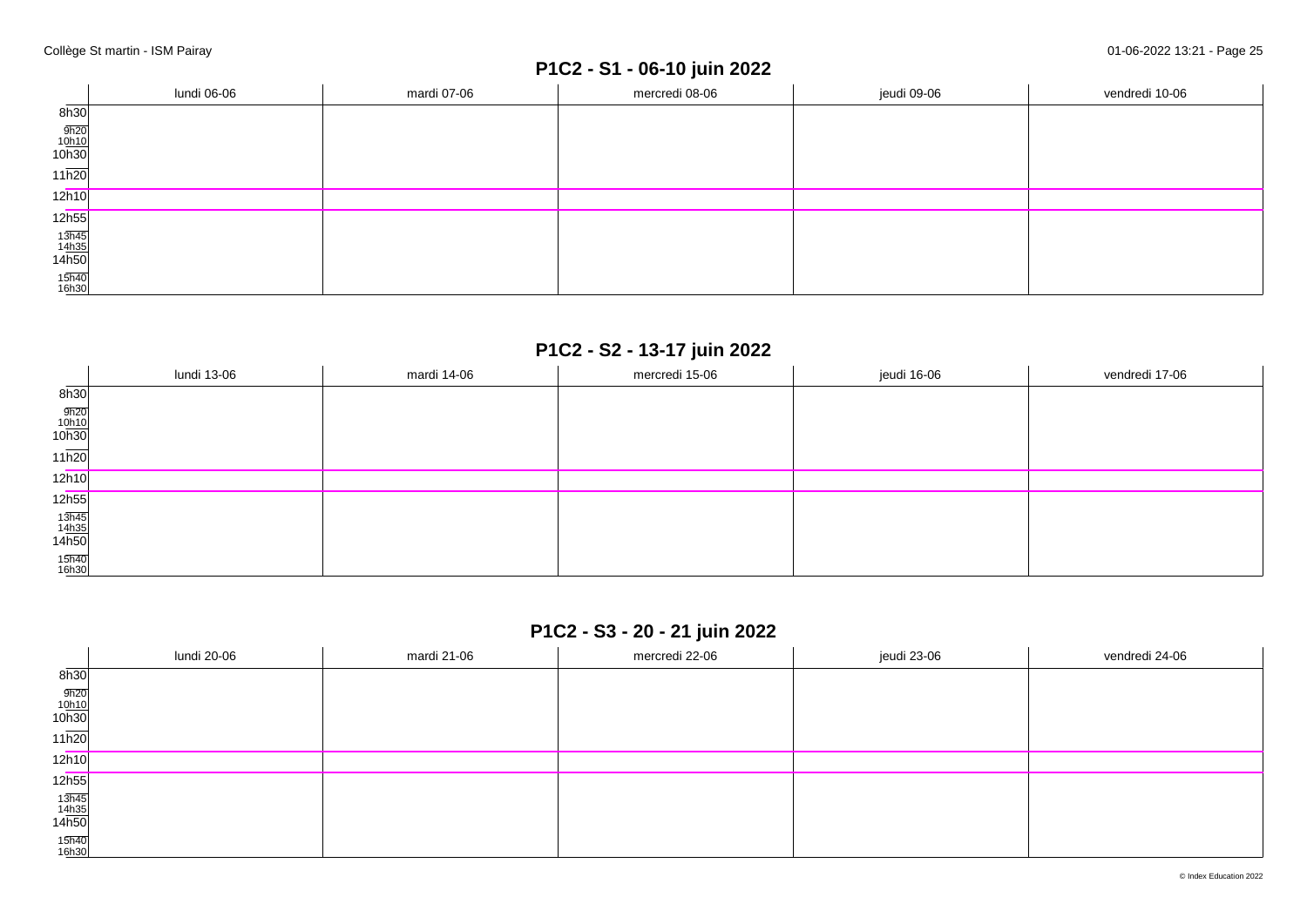# **P1C2 - S1 - 06-10 juin 2022**

|                                | lundi 06-06 | mardi 07-06 | mercredi 08-06 | jeudi 09-06 | vendredi 10-06 |
|--------------------------------|-------------|-------------|----------------|-------------|----------------|
| 8h30                           |             |             |                |             |                |
| $\frac{9h20}{10h10}$<br>10h30  |             |             |                |             |                |
| $11\overline{h20}$             |             |             |                |             |                |
| 12h10                          |             |             |                |             |                |
| 12h55                          |             |             |                |             |                |
| $\frac{13h45}{14h35}$<br>14h50 |             |             |                |             |                |
| 15h40<br>16h30                 |             |             |                |             |                |

### **P1C2 - S2 - 13-17 juin 2022**

|                                | lundi 13-06 | mardi 14-06 | mercredi 15-06 | jeudi 16-06 | vendredi 17-06 |
|--------------------------------|-------------|-------------|----------------|-------------|----------------|
| 8h30                           |             |             |                |             |                |
| $\frac{9h20}{10h10}$<br>10h30  |             |             |                |             |                |
| $11\overline{h20}$             |             |             |                |             |                |
| 12h10                          |             |             |                |             |                |
| 12h55                          |             |             |                |             |                |
| $\frac{13h45}{14h35}$<br>14h50 |             |             |                |             |                |
| 15h40<br>16h30                 |             |             |                |             |                |

## **P1C2 - S3 - 20 - 21 juin 2022**

|                                                        | lundi 20-06 | mardi 21-06 | mercredi 22-06 | jeudi 23-06 | vendredi 24-06 |
|--------------------------------------------------------|-------------|-------------|----------------|-------------|----------------|
| 8h30                                                   |             |             |                |             |                |
| $\frac{9h20}{10h10}$<br>10h30                          |             |             |                |             |                |
| 11h20                                                  |             |             |                |             |                |
| 12h10                                                  |             |             |                |             |                |
| 12h55                                                  |             |             |                |             |                |
| $\begin{array}{r} 13h45 \\ 14h35 \\ 14h50 \end{array}$ |             |             |                |             |                |
| 15h40<br>16h30                                         |             |             |                |             |                |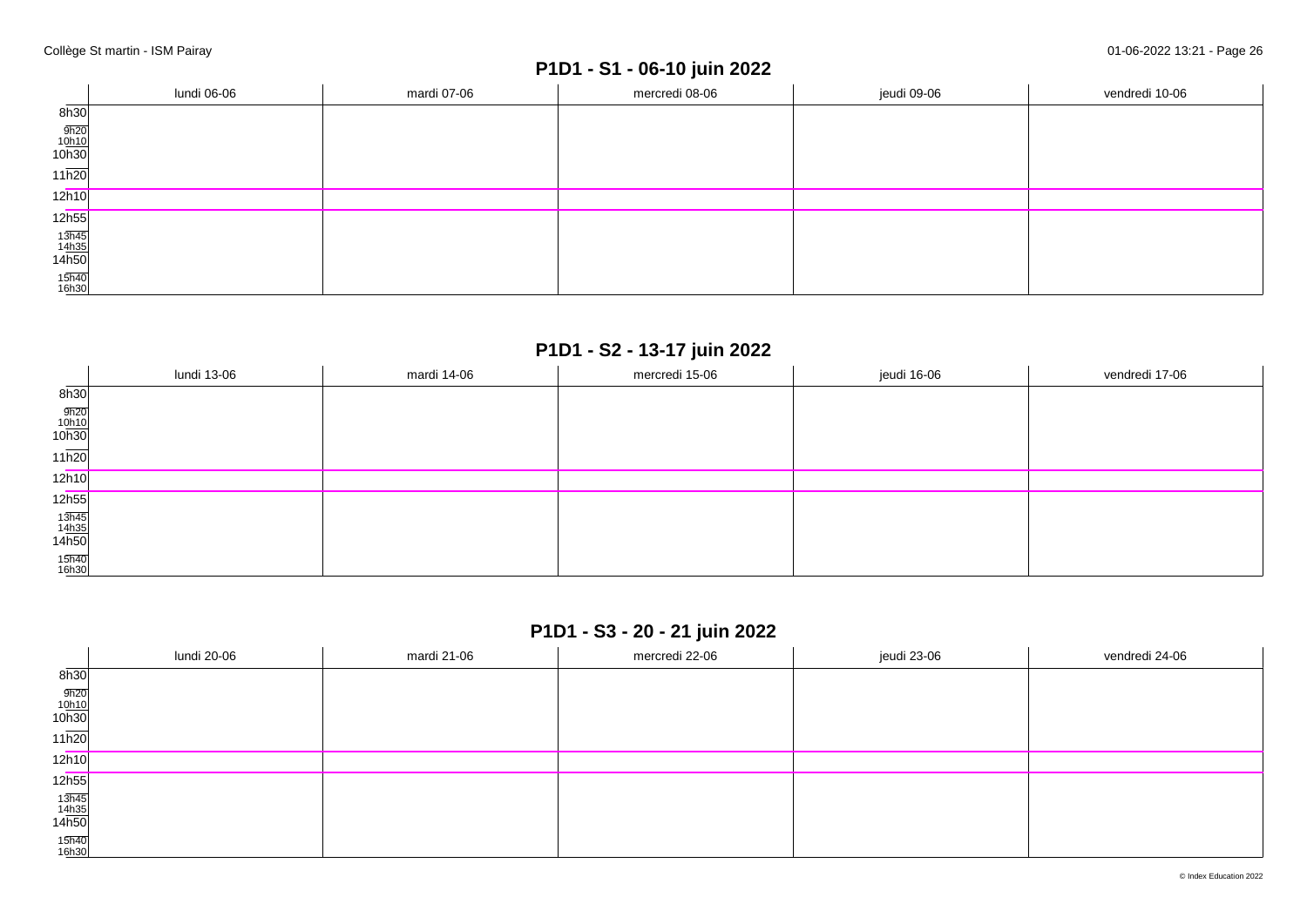# **P1D1 - S1 - 06-10 juin 2022**

|                                | lundi 06-06 | mardi 07-06 | mercredi 08-06 | jeudi 09-06 | vendredi 10-06 |
|--------------------------------|-------------|-------------|----------------|-------------|----------------|
| 8h30                           |             |             |                |             |                |
| $\frac{9h20}{10h10}$<br>10h30  |             |             |                |             |                |
| $11\overline{h20}$             |             |             |                |             |                |
| 12h10                          |             |             |                |             |                |
| 12h55                          |             |             |                |             |                |
| $\frac{13h45}{14h35}$<br>14h50 |             |             |                |             |                |
| 15h40<br>16h30                 |             |             |                |             |                |

### **P1D1 - S2 - 13-17 juin 2022**

|                                | lundi 13-06 | mardi 14-06 | mercredi 15-06 | jeudi 16-06 | vendredi 17-06 |
|--------------------------------|-------------|-------------|----------------|-------------|----------------|
| 8h30                           |             |             |                |             |                |
| $\frac{9h20}{10h10}$<br>10h30  |             |             |                |             |                |
| $11\overline{h20}$             |             |             |                |             |                |
| 12h10                          |             |             |                |             |                |
| 12h55                          |             |             |                |             |                |
| $\frac{13h45}{14h35}$<br>14h50 |             |             |                |             |                |
| 15h40<br>16h30                 |             |             |                |             |                |

## **P1D1 - S3 - 20 - 21 juin 2022**

|                                                        | lundi 20-06 | mardi 21-06 | mercredi 22-06 | jeudi 23-06 | vendredi 24-06 |
|--------------------------------------------------------|-------------|-------------|----------------|-------------|----------------|
| $\overline{\phantom{a}}$<br>8h30                       |             |             |                |             |                |
| $\frac{9h20}{10h10}$<br>10h30                          |             |             |                |             |                |
| $11\overline{h20}$                                     |             |             |                |             |                |
| 12h10                                                  |             |             |                |             |                |
| 12 <sub>h55</sub>                                      |             |             |                |             |                |
| $\begin{array}{r} 13h45 \\ 14h35 \\ 14h50 \end{array}$ |             |             |                |             |                |
| 15h40<br>16h30                                         |             |             |                |             |                |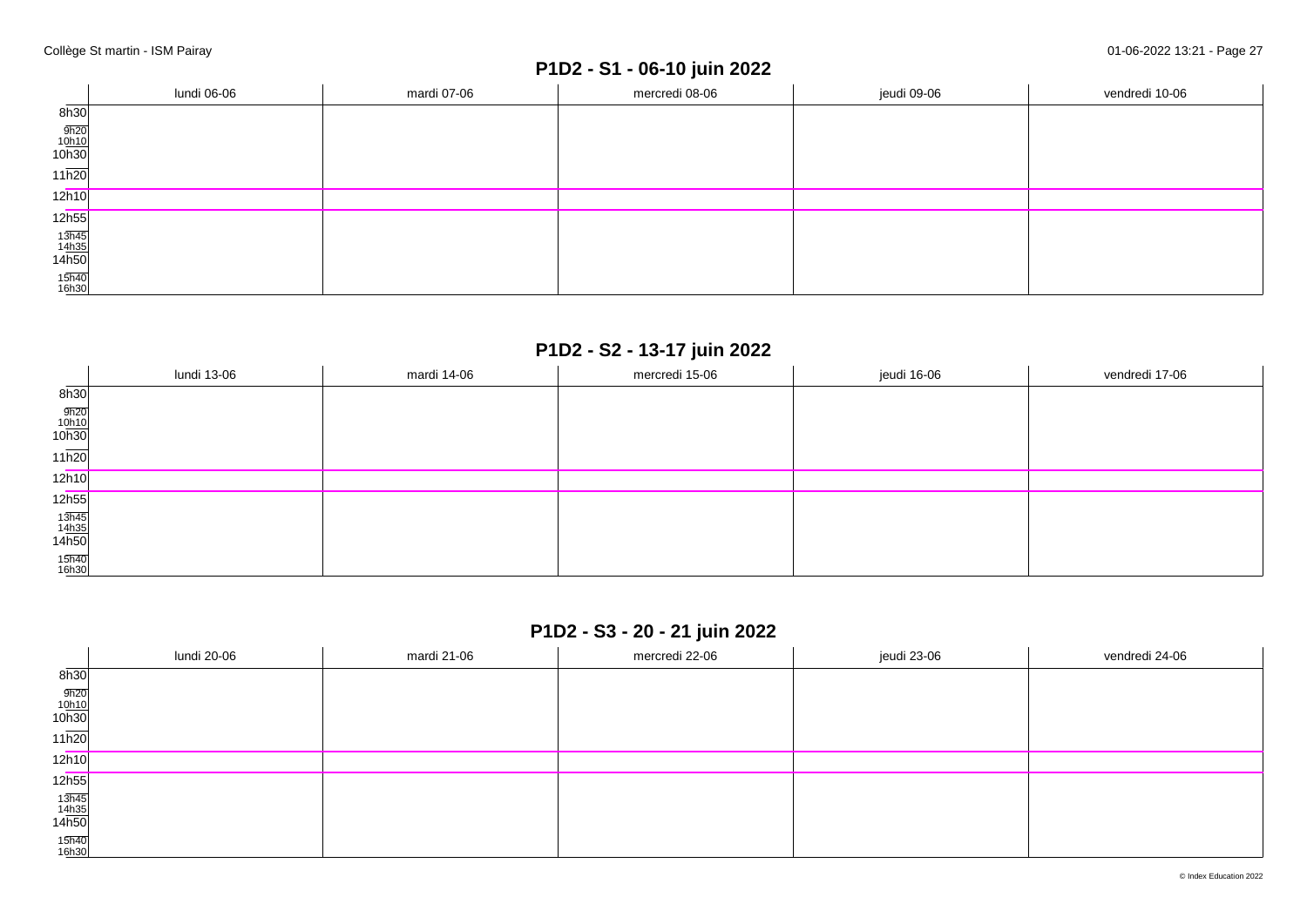# **P1D2 - S1 - 06-10 juin 2022**

|                                | lundi 06-06 | mardi 07-06 | mercredi 08-06 | jeudi 09-06 | vendredi 10-06 |
|--------------------------------|-------------|-------------|----------------|-------------|----------------|
| 8h30                           |             |             |                |             |                |
| $\frac{9h20}{10h10}$<br>10h30  |             |             |                |             |                |
| $11\overline{h20}$             |             |             |                |             |                |
| 12h10                          |             |             |                |             |                |
| 12h55                          |             |             |                |             |                |
| $\frac{13h45}{14h35}$<br>14h50 |             |             |                |             |                |
| 15h40<br>16h30                 |             |             |                |             |                |

## **P1D2 - S2 - 13-17 juin 2022**

|                                | lundi 13-06 | mardi 14-06 | mercredi 15-06 | jeudi 16-06 | vendredi 17-06 |
|--------------------------------|-------------|-------------|----------------|-------------|----------------|
| 8h30                           |             |             |                |             |                |
| $\frac{9h20}{10h10}$<br>10h30  |             |             |                |             |                |
| $11\overline{h20}$             |             |             |                |             |                |
| 12h10                          |             |             |                |             |                |
| 12h55                          |             |             |                |             |                |
| $\frac{13h45}{14h35}$<br>14h50 |             |             |                |             |                |
| 15h40<br>16h30                 |             |             |                |             |                |

## **P1D2 - S3 - 20 - 21 juin 2022**

|                                                        | lundi 20-06 | mardi 21-06 | mercredi 22-06 | jeudi 23-06 | vendredi 24-06 |
|--------------------------------------------------------|-------------|-------------|----------------|-------------|----------------|
| $\overline{\phantom{a}}$<br>8h30                       |             |             |                |             |                |
| $\frac{9h20}{10h10}$<br>10h30                          |             |             |                |             |                |
| $11\overline{h20}$                                     |             |             |                |             |                |
| 12h10                                                  |             |             |                |             |                |
| 12 <sub>h55</sub>                                      |             |             |                |             |                |
| $\begin{array}{r} 13h45 \\ 14h35 \\ 14h50 \end{array}$ |             |             |                |             |                |
| 15h40<br>16h30                                         |             |             |                |             |                |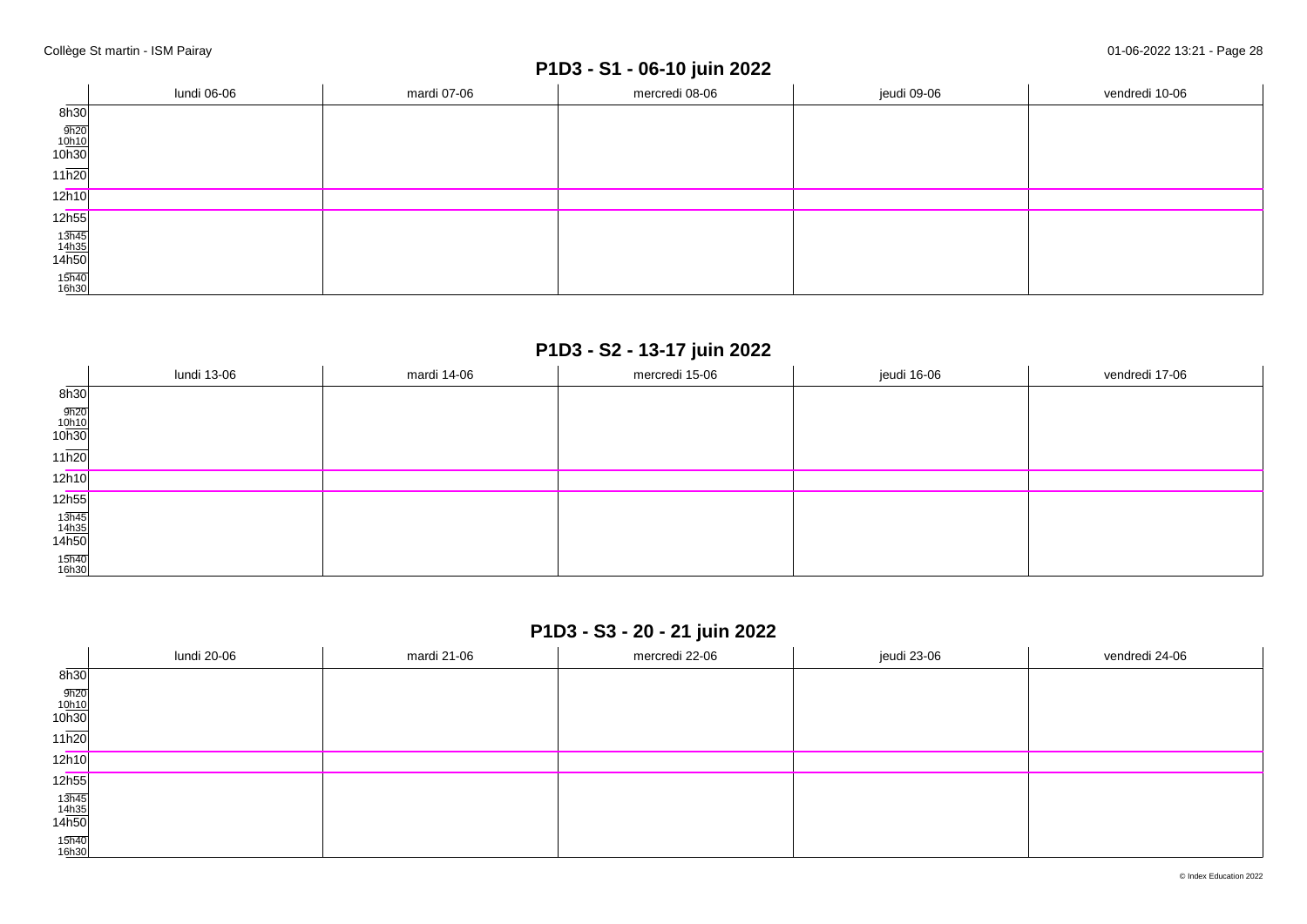# **P1D3 - S1 - 06-10 juin 2022**

|                                | lundi 06-06 | mardi 07-06 | mercredi 08-06 | jeudi 09-06 | vendredi 10-06 |
|--------------------------------|-------------|-------------|----------------|-------------|----------------|
| 8h30                           |             |             |                |             |                |
| $\frac{9h20}{10h10}$<br>10h30  |             |             |                |             |                |
| $11\overline{h20}$             |             |             |                |             |                |
| 12h10                          |             |             |                |             |                |
| 12h55                          |             |             |                |             |                |
| $\frac{13h45}{14h35}$<br>14h50 |             |             |                |             |                |
| 15h40<br>16h30                 |             |             |                |             |                |

### **P1D3 - S2 - 13-17 juin 2022**

|                                | lundi 13-06 | mardi 14-06 | mercredi 15-06 | jeudi 16-06 | vendredi 17-06 |
|--------------------------------|-------------|-------------|----------------|-------------|----------------|
| 8h30                           |             |             |                |             |                |
| $\frac{9h20}{10h10}$<br>10h30  |             |             |                |             |                |
| $11\overline{h20}$             |             |             |                |             |                |
| 12h10                          |             |             |                |             |                |
| 12h55                          |             |             |                |             |                |
| $\frac{13h45}{14h35}$<br>14h50 |             |             |                |             |                |
| 15h40<br>16h30                 |             |             |                |             |                |

## **P1D3 - S3 - 20 - 21 juin 2022**

|                                                        | lundi 20-06 | mardi 21-06 | mercredi 22-06 | jeudi 23-06 | vendredi 24-06 |
|--------------------------------------------------------|-------------|-------------|----------------|-------------|----------------|
| $\overline{\phantom{a}}$<br>8h30                       |             |             |                |             |                |
| $\frac{9h20}{10h10}$<br>10h30                          |             |             |                |             |                |
| $11\overline{h20}$                                     |             |             |                |             |                |
| 12h10                                                  |             |             |                |             |                |
| 12 <sub>h55</sub>                                      |             |             |                |             |                |
| $\begin{array}{r} 13h45 \\ 14h35 \\ 14h50 \end{array}$ |             |             |                |             |                |
| 15h40<br>16h30                                         |             |             |                |             |                |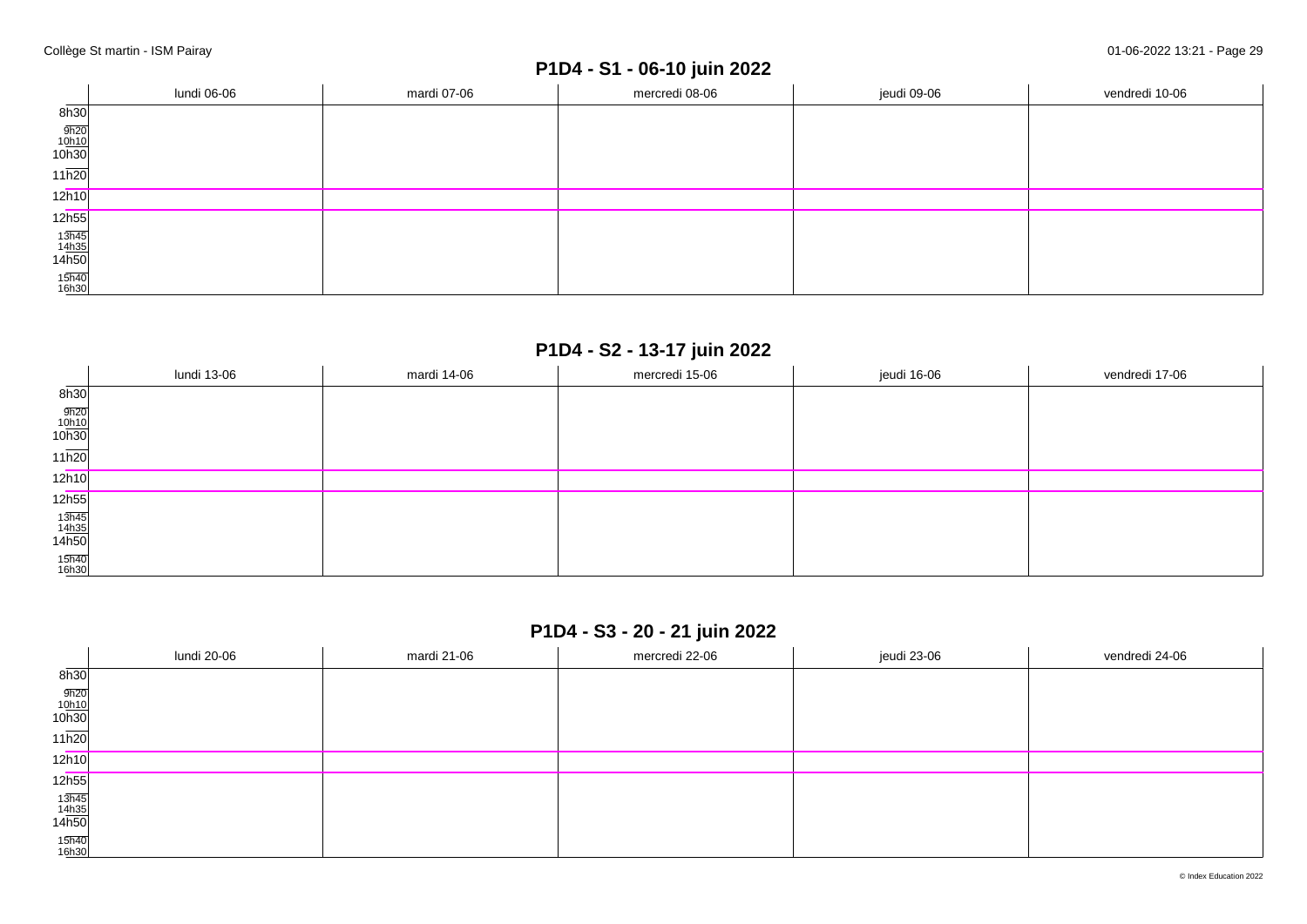# **P1D4 - S1 - 06-10 juin 2022**

|                                | lundi 06-06 | mardi 07-06 | mercredi 08-06 | jeudi 09-06 | vendredi 10-06 |
|--------------------------------|-------------|-------------|----------------|-------------|----------------|
| 8h30                           |             |             |                |             |                |
| $\frac{9h20}{10h10}$<br>10h30  |             |             |                |             |                |
| $11\overline{h20}$             |             |             |                |             |                |
| 12h10                          |             |             |                |             |                |
| 12h55                          |             |             |                |             |                |
| $\frac{13h45}{14h35}$<br>14h50 |             |             |                |             |                |
| 15h40<br>16h30                 |             |             |                |             |                |

### **P1D4 - S2 - 13-17 juin 2022**

|                                | lundi 13-06 | mardi 14-06 | mercredi 15-06 | jeudi 16-06 | vendredi 17-06 |
|--------------------------------|-------------|-------------|----------------|-------------|----------------|
| 8h30                           |             |             |                |             |                |
| $\frac{9h20}{10h10}$<br>10h30  |             |             |                |             |                |
| $11\overline{h20}$             |             |             |                |             |                |
| 12h10                          |             |             |                |             |                |
| 12h55                          |             |             |                |             |                |
| $\frac{13h45}{14h35}$<br>14h50 |             |             |                |             |                |
| 15h40<br>16h30                 |             |             |                |             |                |

### **P1D4 - S3 - 20 - 21 juin 2022**

|                                                        | lundi 20-06 | mardi 21-06 | mercredi 22-06 | jeudi 23-06 | vendredi 24-06 |
|--------------------------------------------------------|-------------|-------------|----------------|-------------|----------------|
| 8h30                                                   |             |             |                |             |                |
| $\frac{9h20}{10h10}$<br>10h30                          |             |             |                |             |                |
| 11h20                                                  |             |             |                |             |                |
| 12h10                                                  |             |             |                |             |                |
| 12h55                                                  |             |             |                |             |                |
| $\begin{array}{r} 13h45 \\ 14h35 \\ 14h50 \end{array}$ |             |             |                |             |                |
| 15h40<br>16h30                                         |             |             |                |             |                |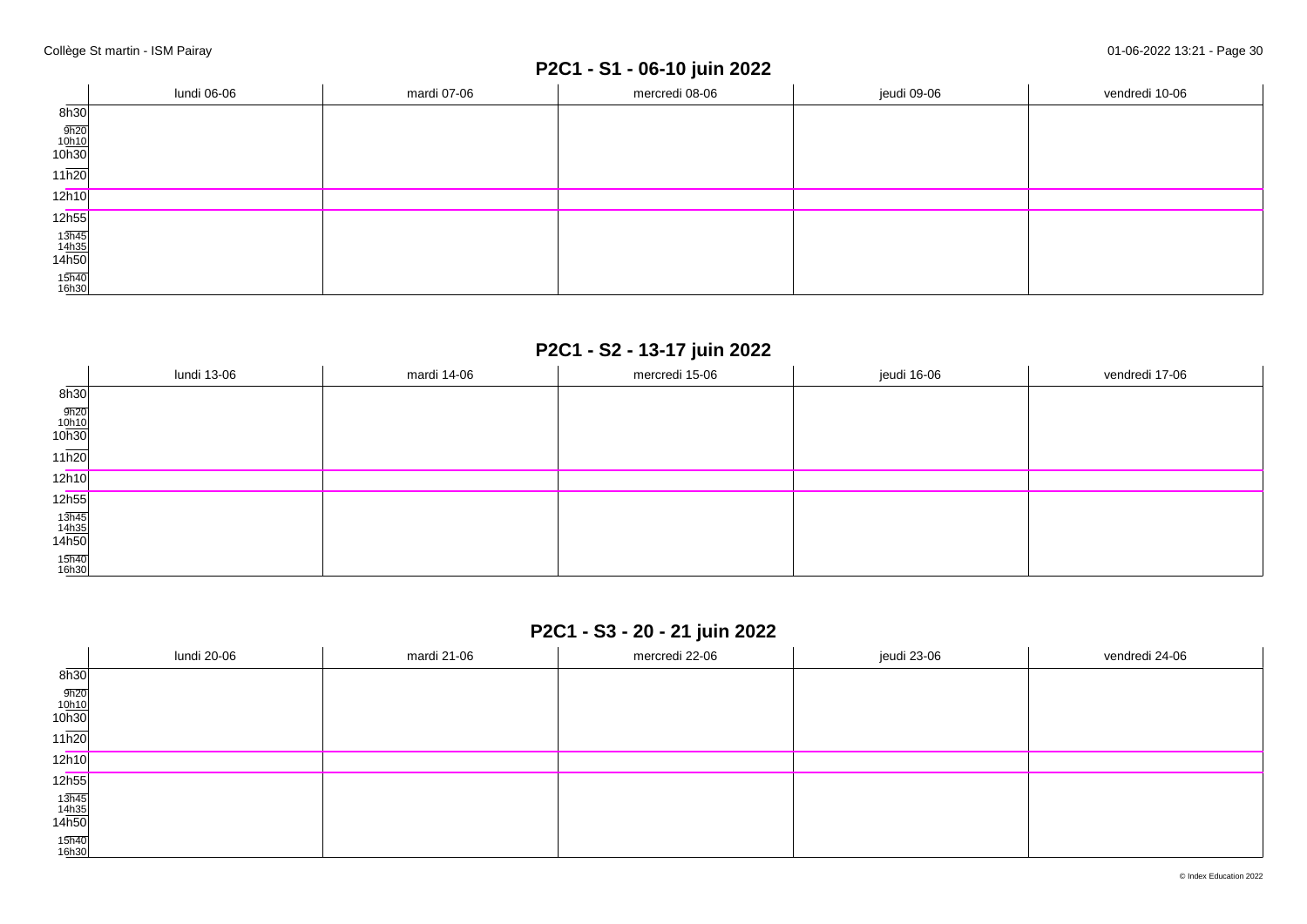## **P2C1 - S1 - 06-10 juin 2022**

|                                | lundi 06-06 | mardi 07-06 | mercredi 08-06 | jeudi 09-06 | vendredi 10-06 |
|--------------------------------|-------------|-------------|----------------|-------------|----------------|
| 8h30                           |             |             |                |             |                |
| $\frac{9h20}{10h10}$<br>10h30  |             |             |                |             |                |
| $11\overline{h20}$             |             |             |                |             |                |
| 12h10                          |             |             |                |             |                |
| 12h55                          |             |             |                |             |                |
| $\frac{13h45}{14h35}$<br>14h50 |             |             |                |             |                |
| 15h40<br>16h30                 |             |             |                |             |                |

## **P2C1 - S2 - 13-17 juin 2022**

|                                                        | lundi 13-06 | mardi 14-06 | mercredi 15-06 | jeudi 16-06 | vendredi 17-06 |
|--------------------------------------------------------|-------------|-------------|----------------|-------------|----------------|
| 8h30                                                   |             |             |                |             |                |
| $\frac{9h20}{10h10}$<br>10h30                          |             |             |                |             |                |
| $11\overline{h20}$                                     |             |             |                |             |                |
| 12h10                                                  |             |             |                |             |                |
| 12 <sub>h55</sub>                                      |             |             |                |             |                |
| $\begin{array}{r} 13h45 \\ 14h35 \\ 14h50 \end{array}$ |             |             |                |             |                |
| 15h40<br>16h30                                         |             |             |                |             |                |

## **P2C1 - S3 - 20 - 21 juin 2022**

|                                                        | lundi 20-06 | mardi 21-06 | mercredi 22-06 | jeudi 23-06 | vendredi 24-06 |
|--------------------------------------------------------|-------------|-------------|----------------|-------------|----------------|
| 8h30                                                   |             |             |                |             |                |
| $\frac{9h20}{10h10}$<br>10h30                          |             |             |                |             |                |
| 11h20                                                  |             |             |                |             |                |
| 12h10                                                  |             |             |                |             |                |
| 12h55                                                  |             |             |                |             |                |
| $\begin{array}{r} 13h45 \\ 14h35 \\ 14h50 \end{array}$ |             |             |                |             |                |
| 15h40<br>16h30                                         |             |             |                |             |                |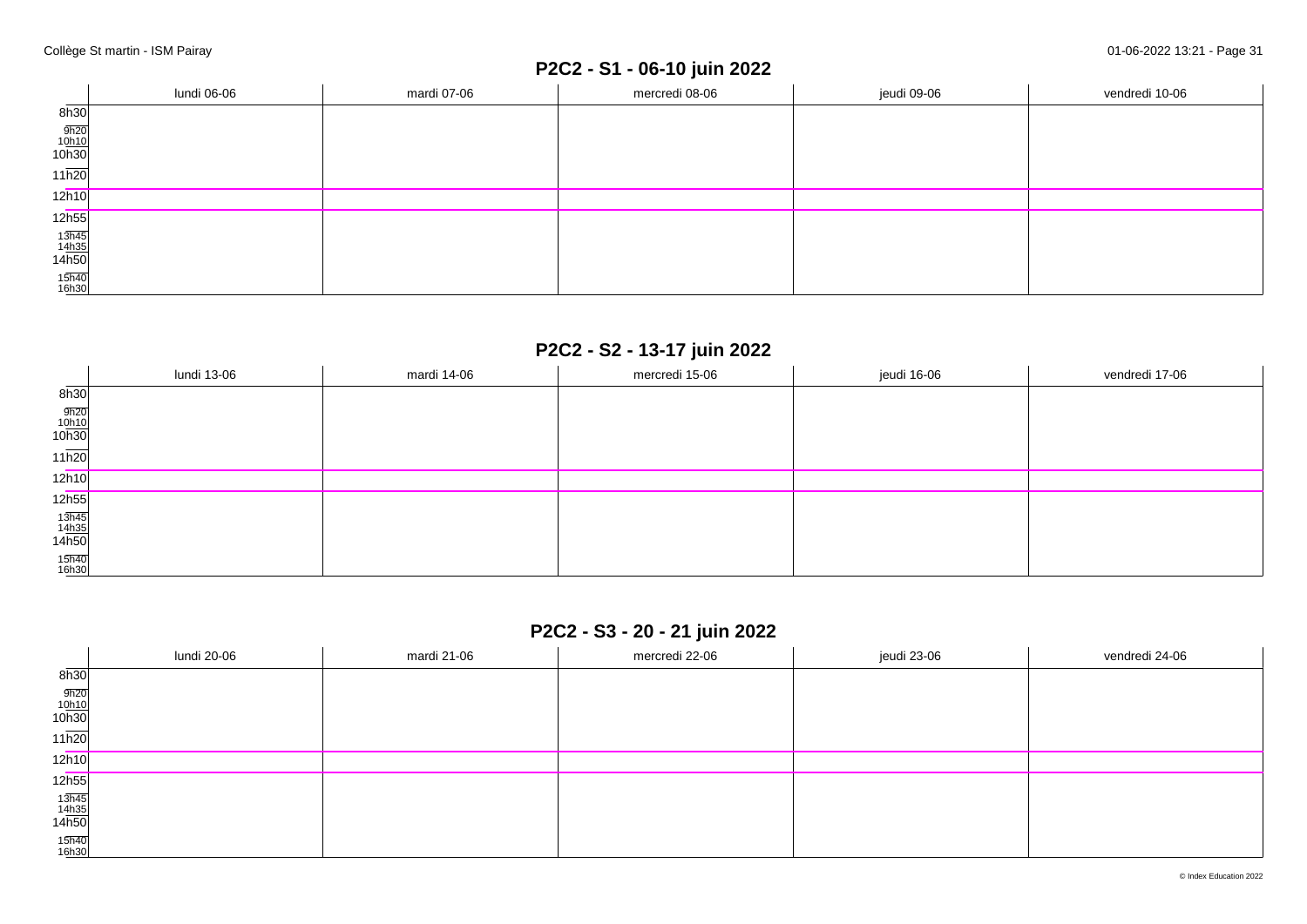## **P2C2 - S1 - 06-10 juin 2022**

|                                | lundi 06-06 | mardi 07-06 | mercredi 08-06 | jeudi 09-06 | vendredi 10-06 |
|--------------------------------|-------------|-------------|----------------|-------------|----------------|
| 8h30                           |             |             |                |             |                |
| $\frac{9h20}{10h10}$<br>10h30  |             |             |                |             |                |
| $11\overline{h20}$             |             |             |                |             |                |
| 12h10                          |             |             |                |             |                |
| 12h55                          |             |             |                |             |                |
| $\frac{13h45}{14h35}$<br>14h50 |             |             |                |             |                |
| 15h40<br>16h30                 |             |             |                |             |                |

## **P2C2 - S2 - 13-17 juin 2022**

|                                | lundi 13-06 | mardi 14-06 | mercredi 15-06 | jeudi 16-06 | vendredi 17-06 |
|--------------------------------|-------------|-------------|----------------|-------------|----------------|
| 8h30                           |             |             |                |             |                |
| $\frac{9h20}{10h10}$<br>10h30  |             |             |                |             |                |
| $11\overline{h20}$             |             |             |                |             |                |
| 12h10                          |             |             |                |             |                |
| 12h55                          |             |             |                |             |                |
| $\frac{13h45}{14h35}$<br>14h50 |             |             |                |             |                |
| 15h40<br>16h30                 |             |             |                |             |                |

## **P2C2 - S3 - 20 - 21 juin 2022**

|                                                        | lundi 20-06 | mardi 21-06 | mercredi 22-06 | jeudi 23-06 | vendredi 24-06 |
|--------------------------------------------------------|-------------|-------------|----------------|-------------|----------------|
| $\overline{\phantom{a}}$<br>8h30                       |             |             |                |             |                |
| $\frac{9h20}{10h10}$<br>10h30                          |             |             |                |             |                |
| $11\overline{h20}$                                     |             |             |                |             |                |
| 12h10                                                  |             |             |                |             |                |
| 12 <sub>h55</sub>                                      |             |             |                |             |                |
| $\begin{array}{r} 13h45 \\ 14h35 \\ 14h50 \end{array}$ |             |             |                |             |                |
| 15h40<br>16h30                                         |             |             |                |             |                |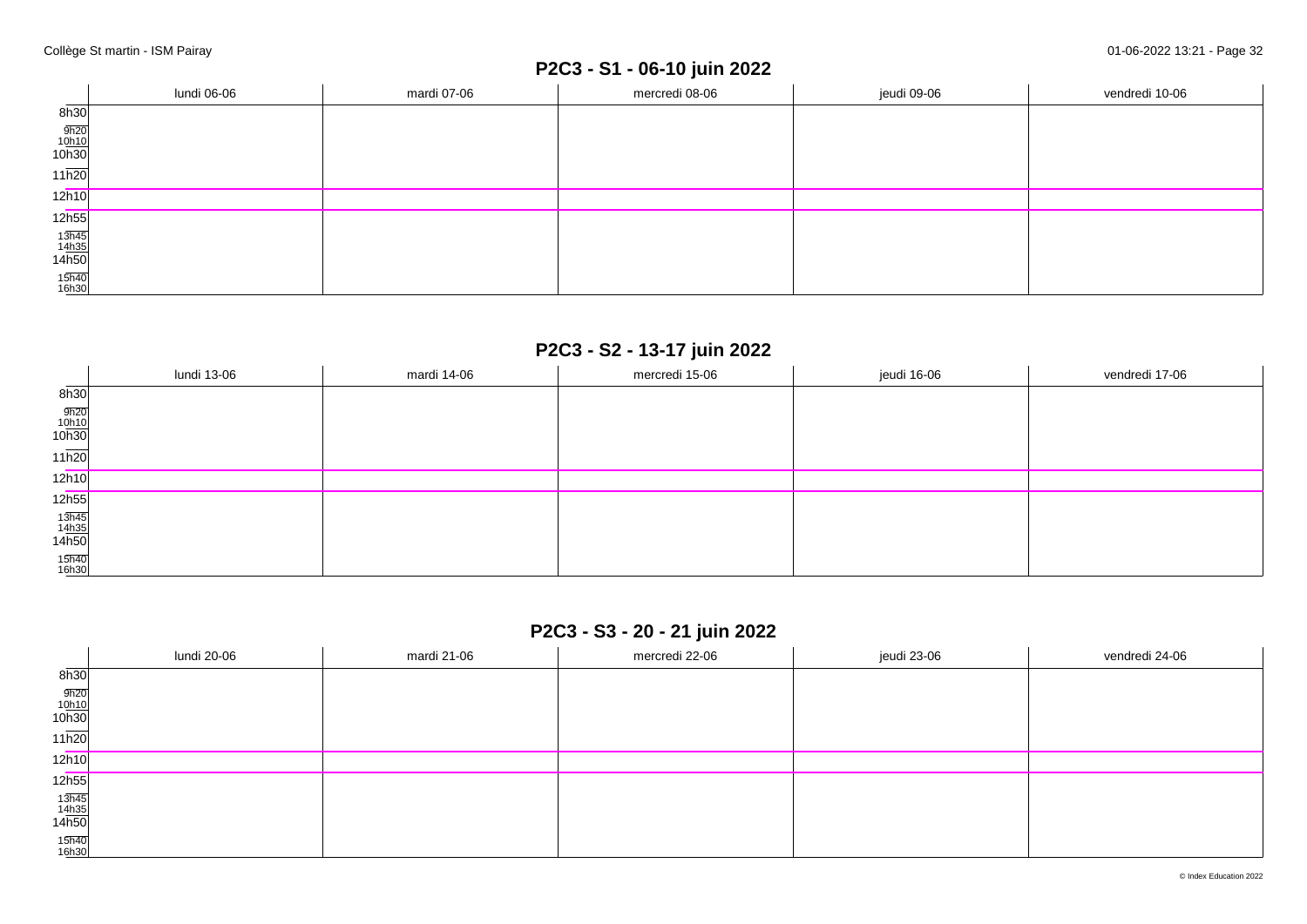## **P2C3 - S1 - 06-10 juin 2022**

|                                | lundi 06-06 | mardi 07-06 | mercredi 08-06 | jeudi 09-06 | vendredi 10-06 |
|--------------------------------|-------------|-------------|----------------|-------------|----------------|
| 8h30                           |             |             |                |             |                |
| $\frac{9h20}{10h10}$<br>10h30  |             |             |                |             |                |
| $11\overline{h20}$             |             |             |                |             |                |
| 12h10                          |             |             |                |             |                |
| 12h55                          |             |             |                |             |                |
| $\frac{13h45}{14h35}$<br>14h50 |             |             |                |             |                |
| 15h40<br>16h30                 |             |             |                |             |                |

### **P2C3 - S2 - 13-17 juin 2022**

|                                | lundi 13-06 | mardi 14-06 | mercredi 15-06 | jeudi 16-06 | vendredi 17-06 |
|--------------------------------|-------------|-------------|----------------|-------------|----------------|
| 8h30                           |             |             |                |             |                |
| $\frac{9h20}{10h10}$<br>10h30  |             |             |                |             |                |
| $11\overline{h20}$             |             |             |                |             |                |
| 12h10                          |             |             |                |             |                |
| 12h55                          |             |             |                |             |                |
| $\frac{13h45}{14h35}$<br>14h50 |             |             |                |             |                |
| 15h40<br>16h30                 |             |             |                |             |                |

## **P2C3 - S3 - 20 - 21 juin 2022**

|                                                        | lundi 20-06 | mardi 21-06 | mercredi 22-06 | jeudi 23-06 | vendredi 24-06 |
|--------------------------------------------------------|-------------|-------------|----------------|-------------|----------------|
| 8h30                                                   |             |             |                |             |                |
| $\frac{9h20}{10h10}$<br>10h30                          |             |             |                |             |                |
| 11h20                                                  |             |             |                |             |                |
| 12h10                                                  |             |             |                |             |                |
| 12h55                                                  |             |             |                |             |                |
| $\begin{array}{r} 13h45 \\ 14h35 \\ 14h50 \end{array}$ |             |             |                |             |                |
| 15h40<br>16h30                                         |             |             |                |             |                |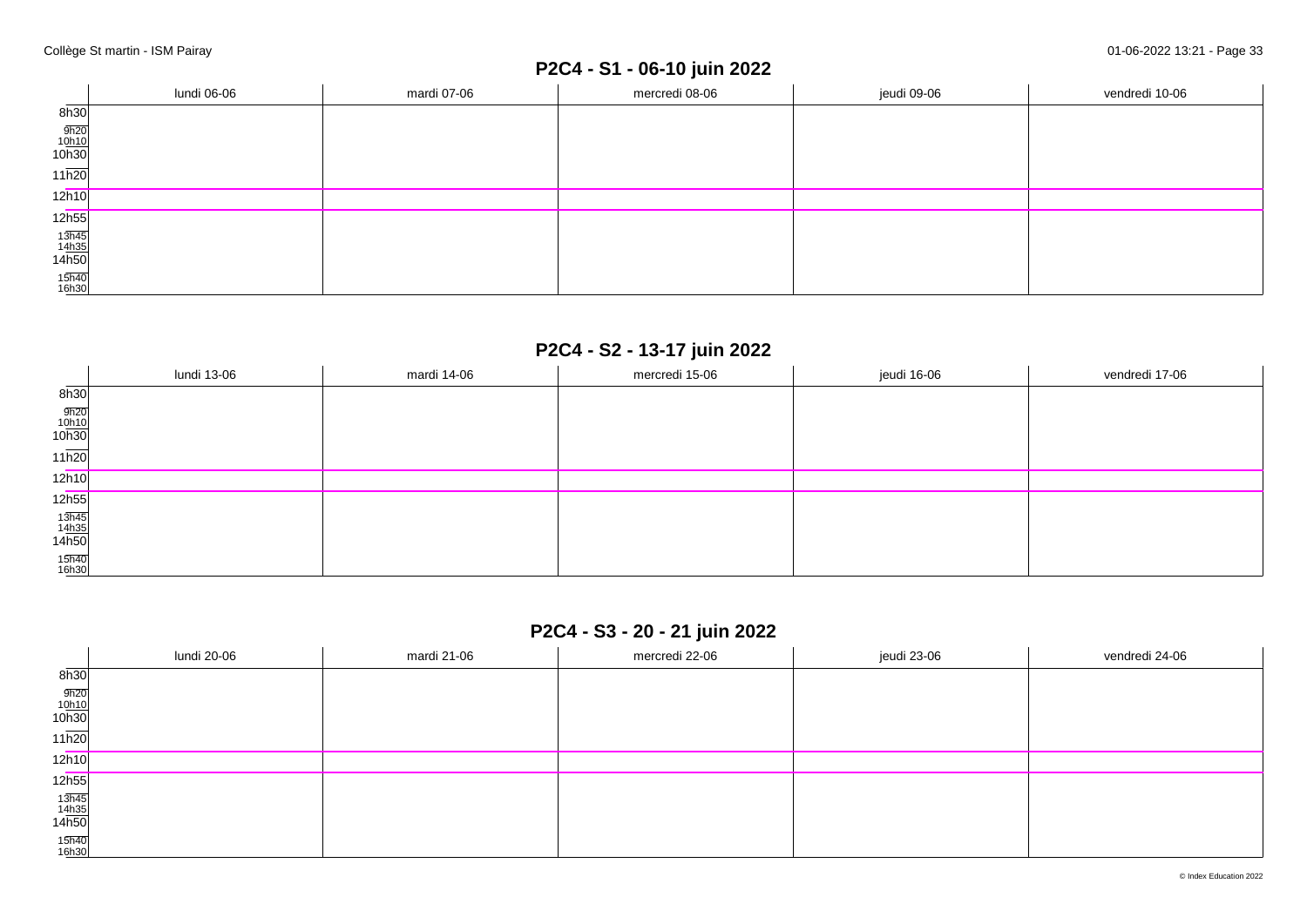## **P2C4 - S1 - 06-10 juin 2022**

|                                | lundi 06-06 | mardi 07-06 | mercredi 08-06 | jeudi 09-06 | vendredi 10-06 |
|--------------------------------|-------------|-------------|----------------|-------------|----------------|
| 8h30                           |             |             |                |             |                |
| $\frac{9h20}{10h10}$<br>10h30  |             |             |                |             |                |
| $11\overline{h20}$             |             |             |                |             |                |
| 12h10                          |             |             |                |             |                |
| 12h55                          |             |             |                |             |                |
| $\frac{13h45}{14h35}$<br>14h50 |             |             |                |             |                |
| 15h40<br>16h30                 |             |             |                |             |                |

### **P2C4 - S2 - 13-17 juin 2022**

|                                | lundi 13-06 | mardi 14-06 | mercredi 15-06 | jeudi 16-06 | vendredi 17-06 |
|--------------------------------|-------------|-------------|----------------|-------------|----------------|
| 8h30                           |             |             |                |             |                |
| $\frac{9h20}{10h10}$<br>10h30  |             |             |                |             |                |
| $11\overline{h20}$             |             |             |                |             |                |
| 12h10                          |             |             |                |             |                |
| 12h55                          |             |             |                |             |                |
| $\frac{13h45}{14h35}$<br>14h50 |             |             |                |             |                |
| 15h40<br>16h30                 |             |             |                |             |                |

### **P2C4 - S3 - 20 - 21 juin 2022**

|                                                        | lundi 20-06 | mardi 21-06 | mercredi 22-06 | jeudi 23-06 | vendredi 24-06 |
|--------------------------------------------------------|-------------|-------------|----------------|-------------|----------------|
| 8h30                                                   |             |             |                |             |                |
| $\frac{9h20}{10h10}$<br>10h30                          |             |             |                |             |                |
| 11h20                                                  |             |             |                |             |                |
| 12h10                                                  |             |             |                |             |                |
| 12h55                                                  |             |             |                |             |                |
| $\begin{array}{r} 13h45 \\ 14h35 \\ 14h50 \end{array}$ |             |             |                |             |                |
| 15h40<br>16h30                                         |             |             |                |             |                |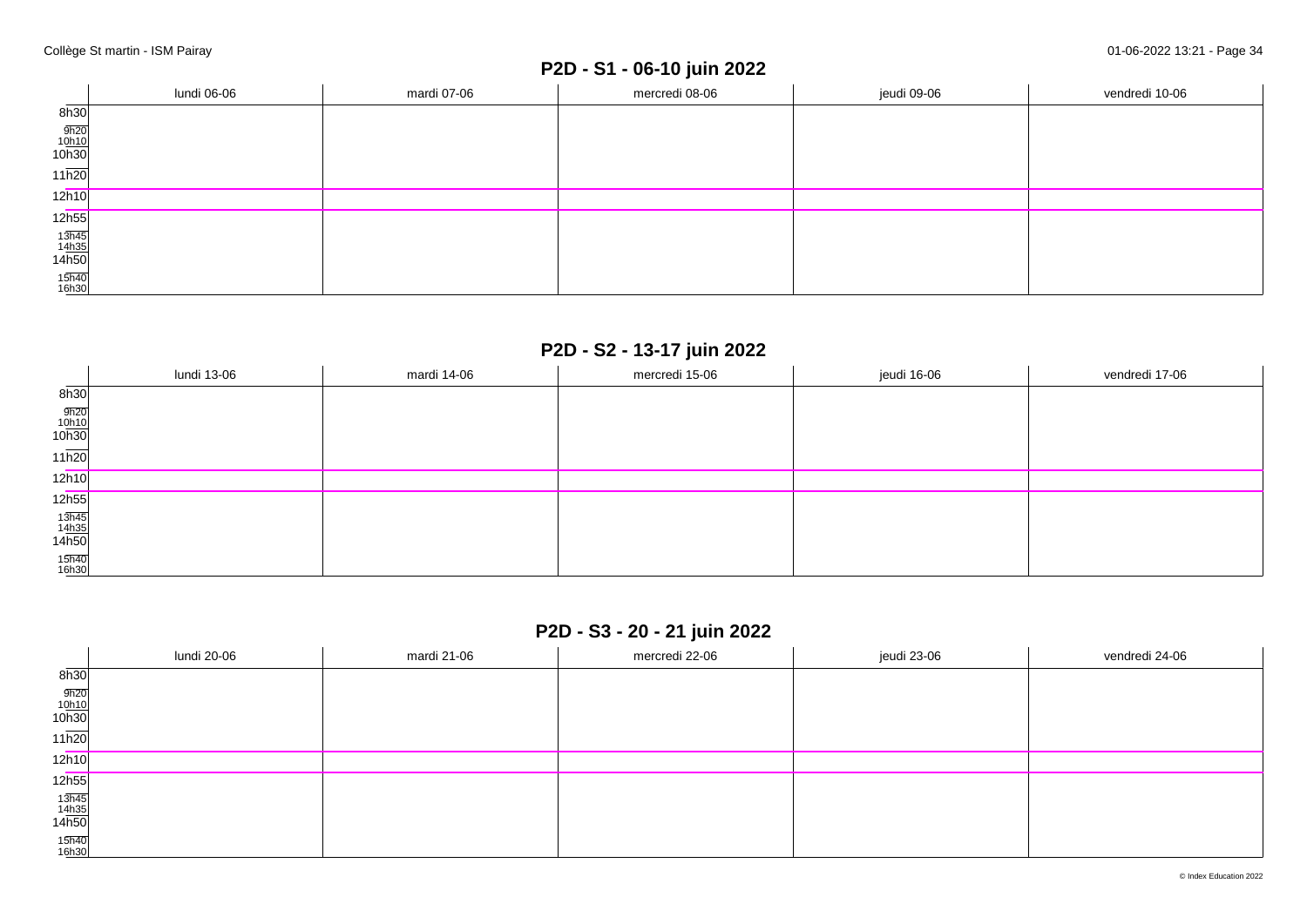### **P2D - S1 - 06-10 juin 2022**

|                                | lundi 06-06 | mardi 07-06 | jeudi 09-06<br>mercredi 08-06 |  | vendredi 10-06 |
|--------------------------------|-------------|-------------|-------------------------------|--|----------------|
| 8h30                           |             |             |                               |  |                |
|                                |             |             |                               |  |                |
| $\frac{9h20}{10h10}$<br>10h30  |             |             |                               |  |                |
| $11\overline{h20}$             |             |             |                               |  |                |
| 12h10                          |             |             |                               |  |                |
| 12h55                          |             |             |                               |  |                |
| $\frac{13h45}{14h35}$<br>14h50 |             |             |                               |  |                |
|                                |             |             |                               |  |                |
| 15h40<br>16h30                 |             |             |                               |  |                |

### **P2D - S2 - 13-17 juin 2022**

|                                | lundi 13-06 | mardi 14-06 | mercredi 15-06 | jeudi 16-06 | vendredi 17-06 |
|--------------------------------|-------------|-------------|----------------|-------------|----------------|
| 8h30                           |             |             |                |             |                |
| $\frac{9h20}{10h10}$<br>10h30  |             |             |                |             |                |
| $11\overline{h20}$             |             |             |                |             |                |
| 12h10                          |             |             |                |             |                |
| 12h55                          |             |             |                |             |                |
| $\frac{13h45}{14h35}$<br>14h50 |             |             |                |             |                |
| 15h40<br>16h30                 |             |             |                |             |                |

## **P2D - S3 - 20 - 21 juin 2022**

|                                                        | lundi 20-06 | mardi 21-06 | mercredi 22-06 | jeudi 23-06 | vendredi 24-06 |
|--------------------------------------------------------|-------------|-------------|----------------|-------------|----------------|
| 8h30                                                   |             |             |                |             |                |
| $\frac{9h20}{10h10}$<br>10h30                          |             |             |                |             |                |
| 11h20                                                  |             |             |                |             |                |
| 12h10                                                  |             |             |                |             |                |
| 12 <sub>h55</sub>                                      |             |             |                |             |                |
| $\begin{array}{r} 13h45 \\ 14h35 \\ 14h50 \end{array}$ |             |             |                |             |                |
| 15h40<br>16h30                                         |             |             |                |             |                |